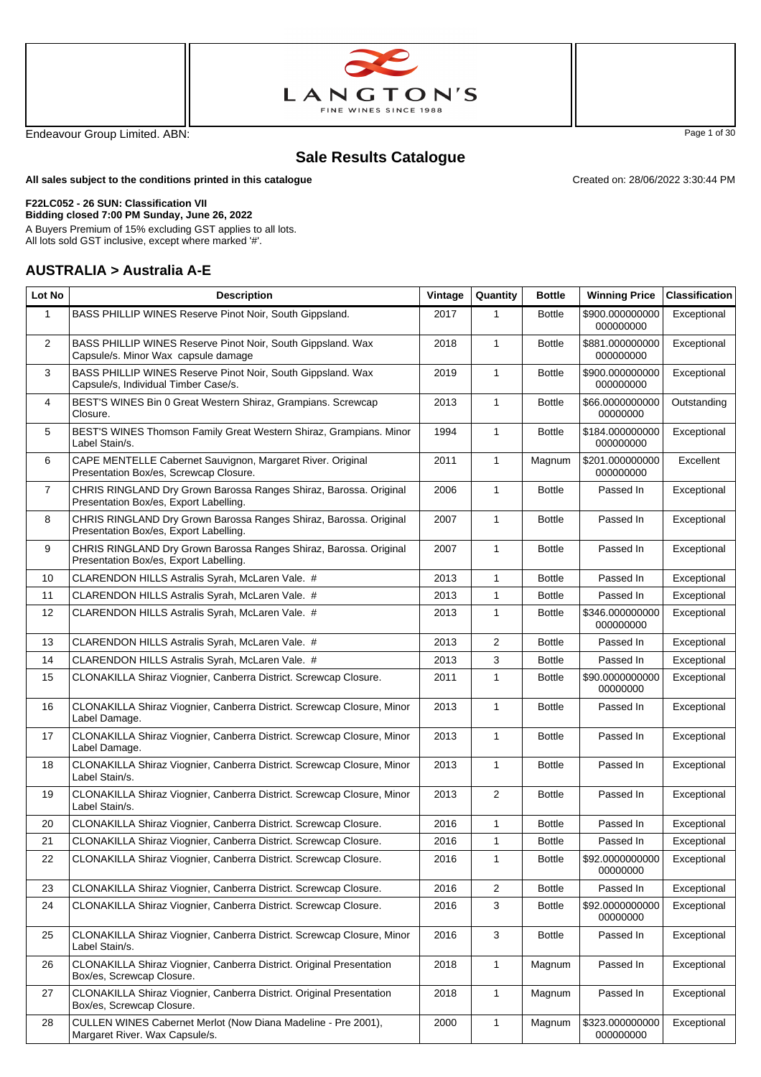



Endeavour Group Limited. ABN: Page 1 of 30

Created on: 28/06/2022 3:30:44 PM

## **Sale Results Catalogue**

**All sales subject to the conditions printed in this catalogue**

#### **F22LC052 - 26 SUN: Classification VII**

**Bidding closed 7:00 PM Sunday, June 26, 2022** A Buyers Premium of 15% excluding GST applies to all lots.

All lots sold GST inclusive, except where marked '#'.

#### **AUSTRALIA > Australia A-E**

| Lot No         | <b>Description</b>                                                                                          | Vintage | Quantity       | <b>Bottle</b> | <b>Winning Price</b>                    | <b>Classification</b> |
|----------------|-------------------------------------------------------------------------------------------------------------|---------|----------------|---------------|-----------------------------------------|-----------------------|
| $\mathbf{1}$   | BASS PHILLIP WINES Reserve Pinot Noir, South Gippsland.                                                     | 2017    | $\mathbf{1}$   | <b>Bottle</b> | \$900.000000000<br>000000000            | Exceptional           |
| 2              | BASS PHILLIP WINES Reserve Pinot Noir, South Gippsland. Wax<br>Capsule/s. Minor Wax capsule damage          | 2018    | $\mathbf{1}$   | <b>Bottle</b> | \$881.000000000<br>000000000            | Exceptional           |
| 3              | BASS PHILLIP WINES Reserve Pinot Noir, South Gippsland. Wax<br>Capsule/s, Individual Timber Case/s.         | 2019    | $\mathbf{1}$   | <b>Bottle</b> | \$900.000000000<br>000000000            | Exceptional           |
| 4              | BEST'S WINES Bin 0 Great Western Shiraz, Grampians. Screwcap<br>Closure.                                    | 2013    | 1              | <b>Bottle</b> | \$66.0000000000<br>00000000             | Outstanding           |
| 5              | BEST'S WINES Thomson Family Great Western Shiraz, Grampians. Minor<br>Label Stain/s.                        | 1994    | 1              | <b>Bottle</b> | \$184.000000000<br>000000000            | Exceptional           |
| 6              | CAPE MENTELLE Cabernet Sauvignon, Margaret River. Original<br>Presentation Box/es, Screwcap Closure.        | 2011    | $\mathbf{1}$   | Magnum        | \$201.000000000<br>000000000            | Excellent             |
| $\overline{7}$ | CHRIS RINGLAND Dry Grown Barossa Ranges Shiraz, Barossa. Original<br>Presentation Box/es, Export Labelling. | 2006    | $\mathbf{1}$   | <b>Bottle</b> | Passed In                               | Exceptional           |
| 8              | CHRIS RINGLAND Dry Grown Barossa Ranges Shiraz, Barossa. Original<br>Presentation Box/es, Export Labelling. | 2007    | $\mathbf{1}$   | <b>Bottle</b> | Passed In                               | Exceptional           |
| 9              | CHRIS RINGLAND Dry Grown Barossa Ranges Shiraz, Barossa. Original<br>Presentation Box/es, Export Labelling. | 2007    | $\mathbf{1}$   | <b>Bottle</b> | Passed In                               | Exceptional           |
| 10             | CLARENDON HILLS Astralis Syrah, McLaren Vale. #                                                             | 2013    | $\mathbf{1}$   | <b>Bottle</b> | Passed In                               | Exceptional           |
| 11             | CLARENDON HILLS Astralis Syrah, McLaren Vale. #                                                             | 2013    | $\mathbf{1}$   | <b>Bottle</b> | Passed In                               | Exceptional           |
| 12             | CLARENDON HILLS Astralis Syrah, McLaren Vale. #                                                             | 2013    | $\mathbf{1}$   | <b>Bottle</b> | \$346.000000000<br>000000000            | Exceptional           |
| 13             | CLARENDON HILLS Astralis Syrah, McLaren Vale. #                                                             | 2013    | 2              | <b>Bottle</b> | Passed In                               | Exceptional           |
| 14             | CLARENDON HILLS Astralis Syrah, McLaren Vale. #                                                             | 2013    | 3              | <b>Bottle</b> | Passed In                               | Exceptional           |
| 15             | CLONAKILLA Shiraz Viognier, Canberra District. Screwcap Closure.                                            | 2011    | 1              | <b>Bottle</b> | \$90.0000000000<br>00000000             | Exceptional           |
| 16             | CLONAKILLA Shiraz Viognier, Canberra District. Screwcap Closure, Minor<br>Label Damage.                     | 2013    | $\mathbf{1}$   | <b>Bottle</b> | Passed In                               | Exceptional           |
| 17             | CLONAKILLA Shiraz Viognier, Canberra District. Screwcap Closure, Minor<br>Label Damage.                     | 2013    | $\mathbf{1}$   | <b>Bottle</b> | Passed In                               | Exceptional           |
| 18             | CLONAKILLA Shiraz Viognier, Canberra District. Screwcap Closure, Minor<br>Label Stain/s.                    | 2013    | $\mathbf{1}$   | <b>Bottle</b> | Passed In                               | Exceptional           |
| 19             | CLONAKILLA Shiraz Viognier, Canberra District. Screwcap Closure, Minor<br>Label Stain/s.                    | 2013    | $\overline{2}$ | <b>Bottle</b> | Passed In                               | Exceptional           |
| 20             | CLONAKILLA Shiraz Viognier, Canberra District. Screwcap Closure.                                            | 2016    | 1              | <b>Bottle</b> | Passed In                               | Exceptional           |
| 21             | CLONAKILLA Shiraz Viognier, Canberra District. Screwcap Closure.                                            | 2016    | $\mathbf{1}$   | <b>Bottle</b> | Passed In                               | Exceptional           |
| 22             | CLONAKILLA Shiraz Viognier, Canberra District. Screwcap Closure.                                            | 2016    | 1              | <b>Bottle</b> | \$92.0000000000 Exceptional<br>00000000 |                       |
| 23             | CLONAKILLA Shiraz Viognier, Canberra District. Screwcap Closure.                                            | 2016    | $\overline{2}$ | <b>Bottle</b> | Passed In                               | Exceptional           |
| 24             | CLONAKILLA Shiraz Viognier, Canberra District. Screwcap Closure.                                            | 2016    | 3              | <b>Bottle</b> | \$92.0000000000<br>00000000             | Exceptional           |
| 25             | CLONAKILLA Shiraz Viognier, Canberra District. Screwcap Closure, Minor<br>Label Stain/s.                    | 2016    | 3              | <b>Bottle</b> | Passed In                               | Exceptional           |
| 26             | CLONAKILLA Shiraz Viognier, Canberra District. Original Presentation<br>Box/es, Screwcap Closure.           | 2018    | $\mathbf{1}$   | Magnum        | Passed In                               | Exceptional           |
| 27             | CLONAKILLA Shiraz Viognier, Canberra District. Original Presentation<br>Box/es, Screwcap Closure.           | 2018    | $\mathbf{1}$   | Magnum        | Passed In                               | Exceptional           |
| 28             | CULLEN WINES Cabernet Merlot (Now Diana Madeline - Pre 2001),<br>Margaret River. Wax Capsule/s.             | 2000    | 1              | Magnum        | \$323.000000000<br>000000000            | Exceptional           |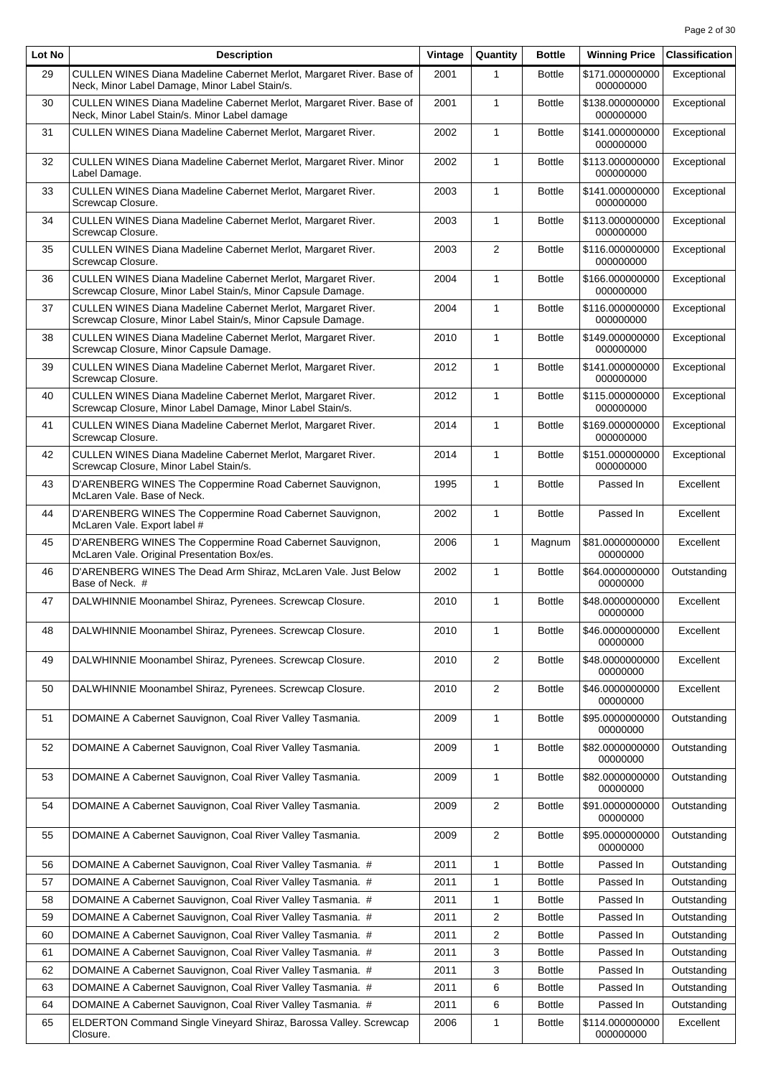| Lot No | <b>Description</b>                                                                                                           | Vintage | Quantity       | <b>Bottle</b> | <b>Winning Price</b>         | <b>Classification</b> |
|--------|------------------------------------------------------------------------------------------------------------------------------|---------|----------------|---------------|------------------------------|-----------------------|
| 29     | CULLEN WINES Diana Madeline Cabernet Merlot, Margaret River. Base of<br>Neck, Minor Label Damage, Minor Label Stain/s.       | 2001    | 1              | <b>Bottle</b> | \$171.000000000<br>000000000 | Exceptional           |
| 30     | CULLEN WINES Diana Madeline Cabernet Merlot, Margaret River. Base of<br>Neck, Minor Label Stain/s. Minor Label damage        | 2001    | $\mathbf{1}$   | <b>Bottle</b> | \$138.000000000<br>000000000 | Exceptional           |
| 31     | <b>CULLEN WINES Diana Madeline Cabernet Merlot, Margaret River.</b>                                                          | 2002    | $\mathbf{1}$   | <b>Bottle</b> | \$141.000000000<br>000000000 | Exceptional           |
| 32     | CULLEN WINES Diana Madeline Cabernet Merlot, Margaret River. Minor<br>Label Damage.                                          | 2002    | $\mathbf{1}$   | <b>Bottle</b> | \$113.000000000<br>000000000 | Exceptional           |
| 33     | CULLEN WINES Diana Madeline Cabernet Merlot, Margaret River.<br>Screwcap Closure.                                            | 2003    | $\mathbf{1}$   | <b>Bottle</b> | \$141.000000000<br>000000000 | Exceptional           |
| 34     | CULLEN WINES Diana Madeline Cabernet Merlot, Margaret River.<br>Screwcap Closure.                                            | 2003    | $\mathbf{1}$   | <b>Bottle</b> | \$113.000000000<br>000000000 | Exceptional           |
| 35     | CULLEN WINES Diana Madeline Cabernet Merlot, Margaret River.<br>Screwcap Closure.                                            | 2003    | $\overline{2}$ | <b>Bottle</b> | \$116.000000000<br>000000000 | Exceptional           |
| 36     | CULLEN WINES Diana Madeline Cabernet Merlot, Margaret River.<br>Screwcap Closure, Minor Label Stain/s, Minor Capsule Damage. | 2004    | $\mathbf{1}$   | <b>Bottle</b> | \$166.000000000<br>000000000 | Exceptional           |
| 37     | CULLEN WINES Diana Madeline Cabernet Merlot, Margaret River.<br>Screwcap Closure, Minor Label Stain/s, Minor Capsule Damage. | 2004    | $\mathbf{1}$   | <b>Bottle</b> | \$116.000000000<br>000000000 | Exceptional           |
| 38     | CULLEN WINES Diana Madeline Cabernet Merlot, Margaret River.<br>Screwcap Closure, Minor Capsule Damage.                      | 2010    | $\mathbf{1}$   | <b>Bottle</b> | \$149.000000000<br>000000000 | Exceptional           |
| 39     | CULLEN WINES Diana Madeline Cabernet Merlot, Margaret River.<br>Screwcap Closure.                                            | 2012    | 1              | <b>Bottle</b> | \$141.000000000<br>000000000 | Exceptional           |
| 40     | CULLEN WINES Diana Madeline Cabernet Merlot, Margaret River.<br>Screwcap Closure, Minor Label Damage, Minor Label Stain/s.   | 2012    | $\mathbf{1}$   | <b>Bottle</b> | \$115.000000000<br>000000000 | Exceptional           |
| 41     | CULLEN WINES Diana Madeline Cabernet Merlot, Margaret River.<br>Screwcap Closure.                                            | 2014    | $\mathbf{1}$   | <b>Bottle</b> | \$169.000000000<br>000000000 | Exceptional           |
| 42     | CULLEN WINES Diana Madeline Cabernet Merlot, Margaret River.<br>Screwcap Closure, Minor Label Stain/s.                       | 2014    | $\mathbf{1}$   | <b>Bottle</b> | \$151.000000000<br>000000000 | Exceptional           |
| 43     | D'ARENBERG WINES The Coppermine Road Cabernet Sauvignon,<br>McLaren Vale. Base of Neck.                                      | 1995    | $\mathbf{1}$   | <b>Bottle</b> | Passed In                    | Excellent             |
| 44     | D'ARENBERG WINES The Coppermine Road Cabernet Sauvignon,<br>McLaren Vale. Export label #                                     | 2002    | $\mathbf{1}$   | <b>Bottle</b> | Passed In                    | Excellent             |
| 45     | D'ARENBERG WINES The Coppermine Road Cabernet Sauvignon,<br>McLaren Vale. Original Presentation Box/es.                      | 2006    | $\mathbf{1}$   | Magnum        | \$81.0000000000<br>00000000  | Excellent             |
| 46     | D'ARENBERG WINES The Dead Arm Shiraz, McLaren Vale. Just Below<br>Base of Neck. #                                            | 2002    | 1              | <b>Bottle</b> | \$64.0000000000<br>00000000  | Outstanding           |
| 47     | DALWHINNIE Moonambel Shiraz, Pyrenees. Screwcap Closure.                                                                     | 2010    | $\mathbf{1}$   | <b>Bottle</b> | \$48.0000000000<br>00000000  | Excellent             |
| 48     | DALWHINNIE Moonambel Shiraz, Pyrenees. Screwcap Closure.                                                                     | 2010    | 1              | <b>Bottle</b> | \$46.0000000000<br>00000000  | Excellent             |
| 49     | DALWHINNIE Moonambel Shiraz, Pyrenees. Screwcap Closure.                                                                     | 2010    | $\overline{2}$ | <b>Bottle</b> | \$48.0000000000<br>00000000  | Excellent             |
| 50     | DALWHINNIE Moonambel Shiraz, Pyrenees. Screwcap Closure.                                                                     | 2010    | $\overline{2}$ | <b>Bottle</b> | \$46.0000000000<br>00000000  | Excellent             |
| 51     | DOMAINE A Cabernet Sauvignon, Coal River Valley Tasmania.                                                                    | 2009    | 1              | <b>Bottle</b> | \$95.0000000000<br>00000000  | Outstanding           |
| 52     | DOMAINE A Cabernet Sauvignon, Coal River Valley Tasmania.                                                                    | 2009    | 1              | <b>Bottle</b> | \$82.0000000000<br>00000000  | Outstanding           |
| 53     | DOMAINE A Cabernet Sauvignon, Coal River Valley Tasmania.                                                                    | 2009    | 1              | <b>Bottle</b> | \$82.0000000000<br>00000000  | Outstanding           |
| 54     | DOMAINE A Cabernet Sauvignon, Coal River Valley Tasmania.                                                                    | 2009    | 2              | <b>Bottle</b> | \$91.0000000000<br>00000000  | Outstanding           |
| 55     | DOMAINE A Cabernet Sauvignon, Coal River Valley Tasmania.                                                                    | 2009    | 2              | <b>Bottle</b> | \$95.0000000000<br>00000000  | Outstanding           |
| 56     | DOMAINE A Cabernet Sauvignon, Coal River Valley Tasmania. #                                                                  | 2011    | 1              | <b>Bottle</b> | Passed In                    | Outstanding           |
| 57     | DOMAINE A Cabernet Sauvignon, Coal River Valley Tasmania. #                                                                  | 2011    | 1              | <b>Bottle</b> | Passed In                    | Outstanding           |
| 58     | DOMAINE A Cabernet Sauvignon, Coal River Valley Tasmania. #                                                                  | 2011    | 1              | <b>Bottle</b> | Passed In                    | Outstanding           |
| 59     | DOMAINE A Cabernet Sauvignon, Coal River Valley Tasmania. #                                                                  | 2011    | 2              | <b>Bottle</b> | Passed In                    | Outstanding           |
| 60     | DOMAINE A Cabernet Sauvignon, Coal River Valley Tasmania. #                                                                  | 2011    | 2              | <b>Bottle</b> | Passed In                    | Outstanding           |
| 61     | DOMAINE A Cabernet Sauvignon, Coal River Valley Tasmania. #                                                                  | 2011    | 3              | <b>Bottle</b> | Passed In                    | Outstanding           |
| 62     | DOMAINE A Cabernet Sauvignon, Coal River Valley Tasmania. #                                                                  | 2011    | 3              | <b>Bottle</b> | Passed In                    | Outstanding           |
| 63     | DOMAINE A Cabernet Sauvignon, Coal River Valley Tasmania. #                                                                  | 2011    | 6              | <b>Bottle</b> | Passed In                    | Outstanding           |
| 64     | DOMAINE A Cabernet Sauvignon, Coal River Valley Tasmania. #                                                                  | 2011    | 6              | <b>Bottle</b> | Passed In                    | Outstanding           |
| 65     | ELDERTON Command Single Vineyard Shiraz, Barossa Valley. Screwcap<br>Closure.                                                | 2006    | 1              | <b>Bottle</b> | \$114.000000000<br>000000000 | Excellent             |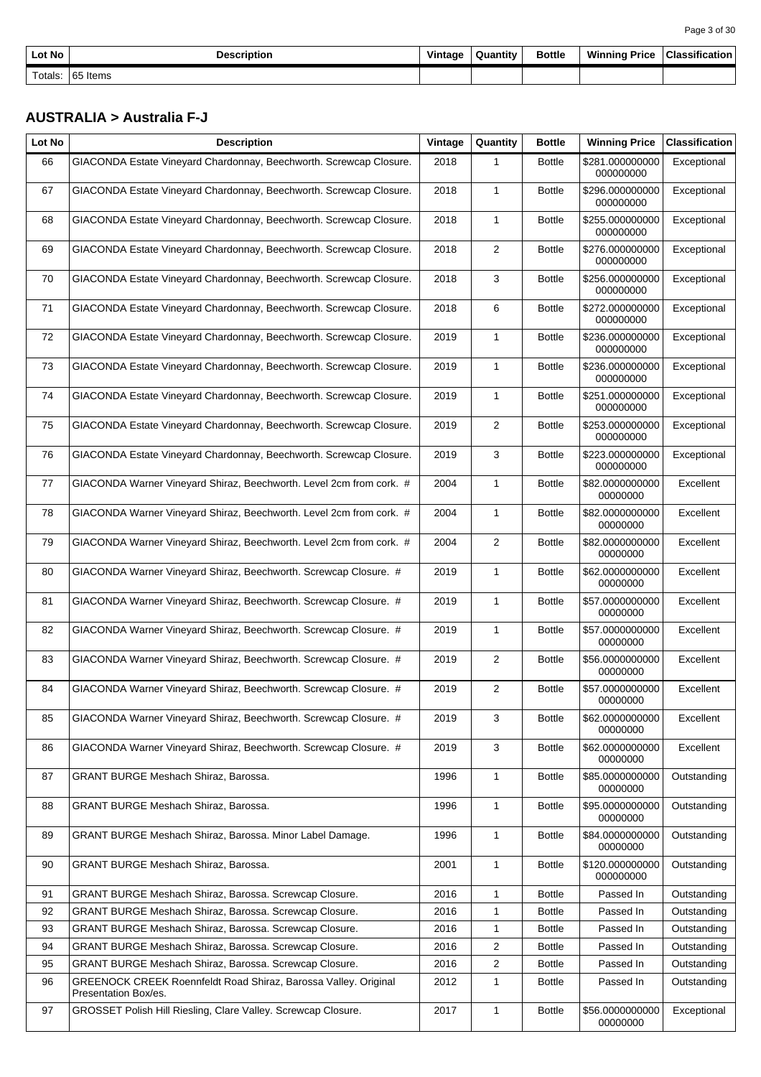| Page 3 of 30 |  |  |
|--------------|--|--|
|--------------|--|--|

| Lot No  | <b>Description</b> | Vintage | Quantity | <b>Bottle</b> | <b>Winning Price</b> | Classification |
|---------|--------------------|---------|----------|---------------|----------------------|----------------|
| Totals: | 65 Items           |         |          |               |                      |                |

#### **AUSTRALIA > Australia F-J**

| Lot No | <b>Description</b>                                                                      | Vintage | Quantity       | <b>Bottle</b> | <b>Winning Price</b>         | <b>Classification</b> |
|--------|-----------------------------------------------------------------------------------------|---------|----------------|---------------|------------------------------|-----------------------|
| 66     | GIACONDA Estate Vineyard Chardonnay, Beechworth. Screwcap Closure.                      | 2018    | $\mathbf{1}$   | <b>Bottle</b> | \$281.000000000<br>000000000 | Exceptional           |
| 67     | GIACONDA Estate Vineyard Chardonnay, Beechworth. Screwcap Closure.                      | 2018    | $\mathbf{1}$   | <b>Bottle</b> | \$296.000000000<br>000000000 | Exceptional           |
| 68     | GIACONDA Estate Vineyard Chardonnay, Beechworth. Screwcap Closure.                      | 2018    | $\mathbf{1}$   | <b>Bottle</b> | \$255.000000000<br>000000000 | Exceptional           |
| 69     | GIACONDA Estate Vineyard Chardonnay, Beechworth. Screwcap Closure.                      | 2018    | 2              | <b>Bottle</b> | \$276.000000000<br>000000000 | Exceptional           |
| 70     | GIACONDA Estate Vineyard Chardonnay, Beechworth. Screwcap Closure.                      | 2018    | 3              | <b>Bottle</b> | \$256.000000000<br>000000000 | Exceptional           |
| 71     | GIACONDA Estate Vineyard Chardonnay, Beechworth. Screwcap Closure.                      | 2018    | 6              | <b>Bottle</b> | \$272.000000000<br>000000000 | Exceptional           |
| 72     | GIACONDA Estate Vineyard Chardonnay, Beechworth. Screwcap Closure.                      | 2019    | $\mathbf{1}$   | <b>Bottle</b> | \$236.000000000<br>000000000 | Exceptional           |
| 73     | GIACONDA Estate Vineyard Chardonnay, Beechworth. Screwcap Closure.                      | 2019    | $\mathbf{1}$   | <b>Bottle</b> | \$236.000000000<br>000000000 | Exceptional           |
| 74     | GIACONDA Estate Vineyard Chardonnay, Beechworth. Screwcap Closure.                      | 2019    | $\mathbf{1}$   | <b>Bottle</b> | \$251.000000000<br>000000000 | Exceptional           |
| 75     | GIACONDA Estate Vineyard Chardonnay, Beechworth. Screwcap Closure.                      | 2019    | $\overline{2}$ | <b>Bottle</b> | \$253.000000000<br>000000000 | Exceptional           |
| 76     | GIACONDA Estate Vineyard Chardonnay, Beechworth. Screwcap Closure.                      | 2019    | 3              | <b>Bottle</b> | \$223.000000000<br>000000000 | Exceptional           |
| 77     | GIACONDA Warner Vineyard Shiraz, Beechworth. Level 2cm from cork. #                     | 2004    | $\mathbf{1}$   | <b>Bottle</b> | \$82.0000000000<br>00000000  | Excellent             |
| 78     | GIACONDA Warner Vineyard Shiraz, Beechworth. Level 2cm from cork. #                     | 2004    | $\mathbf{1}$   | <b>Bottle</b> | \$82.0000000000<br>00000000  | Excellent             |
| 79     | GIACONDA Warner Vineyard Shiraz, Beechworth. Level 2cm from cork. #                     | 2004    | 2              | <b>Bottle</b> | \$82.0000000000<br>00000000  | Excellent             |
| 80     | GIACONDA Warner Vineyard Shiraz, Beechworth. Screwcap Closure. #                        | 2019    | $\mathbf{1}$   | <b>Bottle</b> | \$62.0000000000<br>00000000  | Excellent             |
| 81     | GIACONDA Warner Vineyard Shiraz, Beechworth. Screwcap Closure. #                        | 2019    | $\mathbf{1}$   | <b>Bottle</b> | \$57.0000000000<br>00000000  | Excellent             |
| 82     | GIACONDA Warner Vineyard Shiraz, Beechworth. Screwcap Closure. #                        | 2019    | $\mathbf{1}$   | <b>Bottle</b> | \$57.0000000000<br>00000000  | Excellent             |
| 83     | GIACONDA Warner Vineyard Shiraz, Beechworth. Screwcap Closure. #                        | 2019    | 2              | <b>Bottle</b> | \$56.0000000000<br>00000000  | Excellent             |
| 84     | GIACONDA Warner Vineyard Shiraz, Beechworth. Screwcap Closure. #                        | 2019    | $\overline{2}$ | <b>Bottle</b> | \$57.0000000000<br>00000000  | Excellent             |
| 85     | GIACONDA Warner Vineyard Shiraz, Beechworth. Screwcap Closure. #                        | 2019    | 3              | <b>Bottle</b> | \$62.0000000000<br>00000000  | Excellent             |
| 86     | GIACONDA Warner Vineyard Shiraz, Beechworth. Screwcap Closure. #                        | 2019    | 3              | <b>Bottle</b> | \$62.0000000000<br>00000000  | Excellent             |
| 87     | <b>GRANT BURGE Meshach Shiraz, Barossa.</b>                                             | 1996    | $\mathbf{1}$   | <b>Bottle</b> | \$85.0000000000<br>00000000  | Outstanding           |
| 88     | GRANT BURGE Meshach Shiraz, Barossa.                                                    | 1996    | $\mathbf{1}$   | <b>Bottle</b> | \$95.0000000000<br>00000000  | Outstanding           |
| 89     | GRANT BURGE Meshach Shiraz, Barossa. Minor Label Damage.                                | 1996    | $\mathbf{1}$   | <b>Bottle</b> | \$84.0000000000<br>00000000  | Outstanding           |
| 90     | GRANT BURGE Meshach Shiraz, Barossa.                                                    | 2001    | $\mathbf{1}$   | <b>Bottle</b> | \$120.000000000<br>000000000 | Outstanding           |
| 91     | GRANT BURGE Meshach Shiraz, Barossa. Screwcap Closure.                                  | 2016    | $\mathbf{1}$   | <b>Bottle</b> | Passed In                    | Outstanding           |
| 92     | GRANT BURGE Meshach Shiraz, Barossa. Screwcap Closure.                                  | 2016    | $\mathbf{1}$   | <b>Bottle</b> | Passed In                    | Outstanding           |
| 93     | GRANT BURGE Meshach Shiraz, Barossa. Screwcap Closure.                                  | 2016    | $\mathbf{1}$   | <b>Bottle</b> | Passed In                    | Outstanding           |
| 94     | GRANT BURGE Meshach Shiraz, Barossa. Screwcap Closure.                                  | 2016    | 2              | <b>Bottle</b> | Passed In                    | Outstanding           |
| 95     | GRANT BURGE Meshach Shiraz, Barossa. Screwcap Closure.                                  | 2016    | 2              | <b>Bottle</b> | Passed In                    | Outstanding           |
| 96     | GREENOCK CREEK Roennfeldt Road Shiraz, Barossa Valley. Original<br>Presentation Box/es. | 2012    | $\mathbf{1}$   | <b>Bottle</b> | Passed In                    | Outstanding           |
| 97     | GROSSET Polish Hill Riesling, Clare Valley. Screwcap Closure.                           | 2017    | $\mathbf{1}$   | <b>Bottle</b> | \$56.0000000000<br>00000000  | Exceptional           |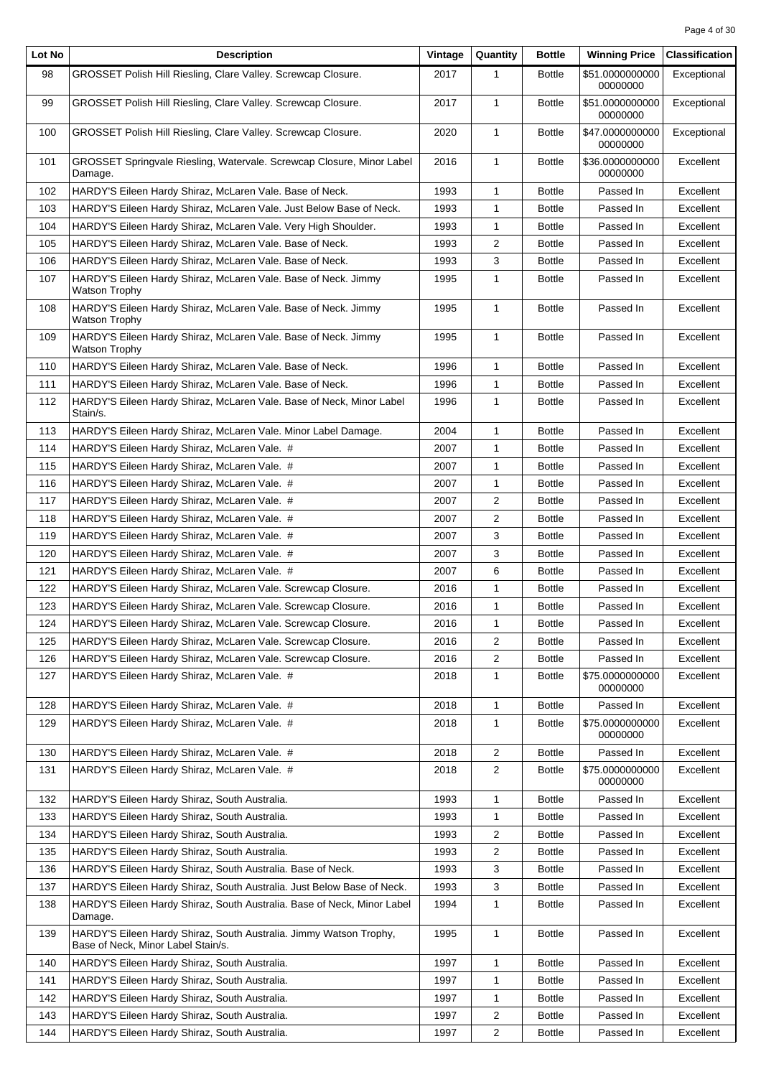| Lot No | <b>Description</b>                                                                                       | Vintage | Quantity                | <b>Bottle</b> | <b>Winning Price</b>        | <b>Classification</b> |
|--------|----------------------------------------------------------------------------------------------------------|---------|-------------------------|---------------|-----------------------------|-----------------------|
| 98     | GROSSET Polish Hill Riesling, Clare Valley. Screwcap Closure.                                            | 2017    | 1                       | <b>Bottle</b> | \$51.0000000000<br>00000000 | Exceptional           |
| 99     | GROSSET Polish Hill Riesling, Clare Valley. Screwcap Closure.                                            | 2017    | $\mathbf{1}$            | <b>Bottle</b> | \$51.0000000000<br>00000000 | Exceptional           |
| 100    | GROSSET Polish Hill Riesling, Clare Valley. Screwcap Closure.                                            | 2020    | $\mathbf{1}$            | <b>Bottle</b> | \$47.0000000000<br>00000000 | Exceptional           |
| 101    | GROSSET Springvale Riesling, Watervale. Screwcap Closure, Minor Label<br>Damage.                         | 2016    | $\mathbf{1}$            | <b>Bottle</b> | \$36.0000000000<br>00000000 | Excellent             |
| 102    | HARDY'S Eileen Hardy Shiraz, McLaren Vale. Base of Neck.                                                 | 1993    | 1                       | <b>Bottle</b> | Passed In                   | Excellent             |
| 103    | HARDY'S Eileen Hardy Shiraz, McLaren Vale. Just Below Base of Neck.                                      | 1993    | $\mathbf{1}$            | <b>Bottle</b> | Passed In                   | Excellent             |
| 104    | HARDY'S Eileen Hardy Shiraz, McLaren Vale. Very High Shoulder.                                           | 1993    | $\mathbf{1}$            | <b>Bottle</b> | Passed In                   | Excellent             |
| 105    | HARDY'S Eileen Hardy Shiraz, McLaren Vale. Base of Neck.                                                 | 1993    | 2                       | <b>Bottle</b> | Passed In                   | Excellent             |
| 106    | HARDY'S Eileen Hardy Shiraz, McLaren Vale. Base of Neck.                                                 | 1993    | 3                       | <b>Bottle</b> | Passed In                   | Excellent             |
| 107    | HARDY'S Eileen Hardy Shiraz, McLaren Vale. Base of Neck. Jimmy<br>Watson Trophy                          | 1995    | $\mathbf{1}$            | <b>Bottle</b> | Passed In                   | Excellent             |
| 108    | HARDY'S Eileen Hardy Shiraz, McLaren Vale. Base of Neck. Jimmy<br><b>Watson Trophy</b>                   | 1995    | $\mathbf{1}$            | <b>Bottle</b> | Passed In                   | Excellent             |
| 109    | HARDY'S Eileen Hardy Shiraz, McLaren Vale. Base of Neck. Jimmy<br>Watson Trophy                          | 1995    | $\mathbf{1}$            | <b>Bottle</b> | Passed In                   | Excellent             |
| 110    | HARDY'S Eileen Hardy Shiraz, McLaren Vale. Base of Neck.                                                 | 1996    | 1                       | <b>Bottle</b> | Passed In                   | Excellent             |
| 111    | HARDY'S Eileen Hardy Shiraz, McLaren Vale. Base of Neck.                                                 | 1996    | $\mathbf{1}$            | <b>Bottle</b> | Passed In                   | Excellent             |
| 112    | HARDY'S Eileen Hardy Shiraz, McLaren Vale. Base of Neck, Minor Label<br>Stain/s.                         | 1996    | $\mathbf{1}$            | <b>Bottle</b> | Passed In                   | Excellent             |
| 113    | HARDY'S Eileen Hardy Shiraz, McLaren Vale. Minor Label Damage.                                           | 2004    | 1                       | <b>Bottle</b> | Passed In                   | Excellent             |
| 114    | HARDY'S Eileen Hardy Shiraz, McLaren Vale. #                                                             | 2007    | 1                       | <b>Bottle</b> | Passed In                   | Excellent             |
| 115    | HARDY'S Eileen Hardy Shiraz, McLaren Vale. #                                                             | 2007    | $\mathbf{1}$            | <b>Bottle</b> | Passed In                   | Excellent             |
| 116    | HARDY'S Eileen Hardy Shiraz, McLaren Vale. #                                                             | 2007    | $\mathbf{1}$            | <b>Bottle</b> | Passed In                   | Excellent             |
| 117    | HARDY'S Eileen Hardy Shiraz, McLaren Vale. #                                                             | 2007    | 2                       | <b>Bottle</b> | Passed In                   | Excellent             |
| 118    | HARDY'S Eileen Hardy Shiraz, McLaren Vale. #                                                             | 2007    | 2                       | <b>Bottle</b> | Passed In                   | Excellent             |
| 119    | HARDY'S Eileen Hardy Shiraz, McLaren Vale. #                                                             | 2007    | 3                       | <b>Bottle</b> | Passed In                   | Excellent             |
| 120    | HARDY'S Eileen Hardy Shiraz, McLaren Vale. #                                                             | 2007    | 3                       | <b>Bottle</b> | Passed In                   | Excellent             |
| 121    | HARDY'S Eileen Hardy Shiraz, McLaren Vale. #                                                             | 2007    | 6                       | <b>Bottle</b> | Passed In                   | Excellent             |
| 122    | HARDY'S Eileen Hardy Shiraz, McLaren Vale. Screwcap Closure.                                             | 2016    | 1                       | <b>Bottle</b> | Passed In                   | Excellent             |
| 123    | HARDY'S Eileen Hardy Shiraz, McLaren Vale. Screwcap Closure.                                             | 2016    | 1                       | <b>Bottle</b> | Passed In                   | Excellent             |
| 124    | HARDY'S Eileen Hardy Shiraz, McLaren Vale. Screwcap Closure.                                             | 2016    | 1                       | <b>Bottle</b> | Passed In                   | Excellent             |
| 125    | HARDY'S Eileen Hardy Shiraz, McLaren Vale. Screwcap Closure.                                             | 2016    | 2                       | <b>Bottle</b> | Passed In                   | Excellent             |
| 126    | HARDY'S Eileen Hardy Shiraz, McLaren Vale. Screwcap Closure.                                             | 2016    | 2                       | <b>Bottle</b> | Passed In                   | Excellent             |
| 127    | HARDY'S Eileen Hardy Shiraz, McLaren Vale. #                                                             | 2018    | 1                       | <b>Bottle</b> | \$75.0000000000<br>00000000 | Excellent             |
| 128    | HARDY'S Eileen Hardy Shiraz, McLaren Vale. #                                                             | 2018    | 1                       | <b>Bottle</b> | Passed In                   | Excellent             |
| 129    | HARDY'S Eileen Hardy Shiraz, McLaren Vale. #                                                             | 2018    | $\mathbf{1}$            | <b>Bottle</b> | \$75.0000000000<br>00000000 | Excellent             |
| 130    | HARDY'S Eileen Hardy Shiraz, McLaren Vale. #                                                             | 2018    | $\overline{c}$          | <b>Bottle</b> | Passed In                   | Excellent             |
| 131    | HARDY'S Eileen Hardy Shiraz, McLaren Vale. #                                                             | 2018    | $\overline{\mathbf{c}}$ | <b>Bottle</b> | \$75.0000000000<br>00000000 | Excellent             |
| 132    | HARDY'S Eileen Hardy Shiraz, South Australia.                                                            | 1993    | 1                       | <b>Bottle</b> | Passed In                   | Excellent             |
| 133    | HARDY'S Eileen Hardy Shiraz, South Australia.                                                            | 1993    | 1                       | <b>Bottle</b> | Passed In                   | Excellent             |
| 134    | HARDY'S Eileen Hardy Shiraz, South Australia.                                                            | 1993    | 2                       | <b>Bottle</b> | Passed In                   | Excellent             |
| 135    | HARDY'S Eileen Hardy Shiraz, South Australia.                                                            | 1993    | 2                       | <b>Bottle</b> | Passed In                   | Excellent             |
| 136    | HARDY'S Eileen Hardy Shiraz, South Australia. Base of Neck.                                              | 1993    | 3                       | <b>Bottle</b> | Passed In                   | Excellent             |
| 137    | HARDY'S Eileen Hardy Shiraz, South Australia. Just Below Base of Neck.                                   | 1993    | 3                       | <b>Bottle</b> | Passed In                   | Excellent             |
| 138    | HARDY'S Eileen Hardy Shiraz, South Australia. Base of Neck, Minor Label<br>Damage.                       | 1994    | 1                       | <b>Bottle</b> | Passed In                   | Excellent             |
| 139    | HARDY'S Eileen Hardy Shiraz, South Australia. Jimmy Watson Trophy,<br>Base of Neck, Minor Label Stain/s. | 1995    | 1                       | <b>Bottle</b> | Passed In                   | Excellent             |
| 140    | HARDY'S Eileen Hardy Shiraz, South Australia.                                                            | 1997    | 1                       | <b>Bottle</b> | Passed In                   | Excellent             |
| 141    | HARDY'S Eileen Hardy Shiraz, South Australia.                                                            | 1997    | 1                       | <b>Bottle</b> | Passed In                   | Excellent             |
| 142    | HARDY'S Eileen Hardy Shiraz, South Australia.                                                            | 1997    | 1                       | <b>Bottle</b> | Passed In                   | Excellent             |
| 143    | HARDY'S Eileen Hardy Shiraz, South Australia.                                                            | 1997    | 2                       | <b>Bottle</b> | Passed In                   | Excellent             |
| 144    | HARDY'S Eileen Hardy Shiraz, South Australia.                                                            | 1997    | 2                       | <b>Bottle</b> | Passed In                   | Excellent             |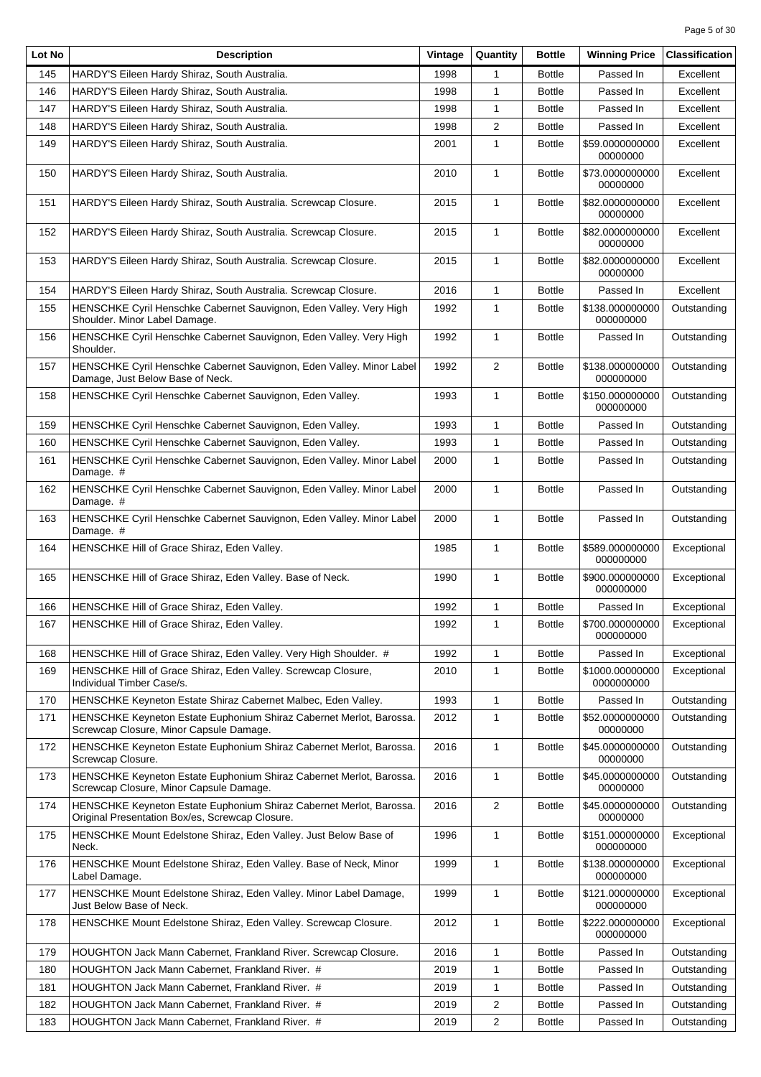| Lot No | <b>Description</b>                                                                                                     | Vintage | Quantity       | <b>Bottle</b> | <b>Winning Price</b>          | <b>Classification</b> |
|--------|------------------------------------------------------------------------------------------------------------------------|---------|----------------|---------------|-------------------------------|-----------------------|
| 145    | HARDY'S Eileen Hardy Shiraz, South Australia.                                                                          | 1998    | 1              | <b>Bottle</b> | Passed In                     | Excellent             |
| 146    | HARDY'S Eileen Hardy Shiraz, South Australia.                                                                          | 1998    | 1              | <b>Bottle</b> | Passed In                     | Excellent             |
| 147    | HARDY'S Eileen Hardy Shiraz, South Australia.                                                                          | 1998    | 1              | <b>Bottle</b> | Passed In                     | Excellent             |
| 148    | HARDY'S Eileen Hardy Shiraz, South Australia.                                                                          | 1998    | 2              | <b>Bottle</b> | Passed In                     | Excellent             |
| 149    | HARDY'S Eileen Hardy Shiraz, South Australia.                                                                          | 2001    | $\mathbf{1}$   | <b>Bottle</b> | \$59.0000000000<br>00000000   | Excellent             |
| 150    | HARDY'S Eileen Hardy Shiraz, South Australia.                                                                          | 2010    | $\mathbf{1}$   | <b>Bottle</b> | \$73.0000000000<br>00000000   | Excellent             |
| 151    | HARDY'S Eileen Hardy Shiraz, South Australia. Screwcap Closure.                                                        | 2015    | $\mathbf{1}$   | <b>Bottle</b> | \$82.0000000000<br>00000000   | Excellent             |
| 152    | HARDY'S Eileen Hardy Shiraz, South Australia. Screwcap Closure.                                                        | 2015    | 1              | <b>Bottle</b> | \$82.0000000000<br>00000000   | Excellent             |
| 153    | HARDY'S Eileen Hardy Shiraz, South Australia. Screwcap Closure.                                                        | 2015    | $\mathbf{1}$   | <b>Bottle</b> | \$82.0000000000<br>00000000   | Excellent             |
| 154    | HARDY'S Eileen Hardy Shiraz, South Australia. Screwcap Closure.                                                        | 2016    | 1              | <b>Bottle</b> | Passed In                     | Excellent             |
| 155    | HENSCHKE Cyril Henschke Cabernet Sauvignon, Eden Valley. Very High<br>Shoulder. Minor Label Damage.                    | 1992    | 1              | <b>Bottle</b> | \$138.000000000<br>000000000  | Outstanding           |
| 156    | HENSCHKE Cyril Henschke Cabernet Sauvignon, Eden Valley. Very High<br>Shoulder.                                        | 1992    | $\mathbf{1}$   | <b>Bottle</b> | Passed In                     | Outstanding           |
| 157    | HENSCHKE Cyril Henschke Cabernet Sauvignon, Eden Valley. Minor Label<br>Damage, Just Below Base of Neck.               | 1992    | $\overline{2}$ | <b>Bottle</b> | \$138.000000000<br>000000000  | Outstanding           |
| 158    | HENSCHKE Cyril Henschke Cabernet Sauvignon, Eden Valley.                                                               | 1993    | 1              | <b>Bottle</b> | \$150.000000000<br>000000000  | Outstanding           |
| 159    | HENSCHKE Cyril Henschke Cabernet Sauvignon, Eden Valley.                                                               | 1993    | $\mathbf{1}$   | <b>Bottle</b> | Passed In                     | Outstanding           |
| 160    | HENSCHKE Cyril Henschke Cabernet Sauvignon, Eden Valley.                                                               | 1993    | 1              | <b>Bottle</b> | Passed In                     | Outstanding           |
| 161    | HENSCHKE Cyril Henschke Cabernet Sauvignon, Eden Valley. Minor Label<br>Damage. #                                      | 2000    | 1              | <b>Bottle</b> | Passed In                     | Outstanding           |
| 162    | HENSCHKE Cyril Henschke Cabernet Sauvignon, Eden Valley. Minor Label<br>Damage. #                                      | 2000    | $\mathbf{1}$   | <b>Bottle</b> | Passed In                     | Outstanding           |
| 163    | HENSCHKE Cyril Henschke Cabernet Sauvignon, Eden Valley. Minor Label<br>Damage. #                                      | 2000    | $\mathbf{1}$   | <b>Bottle</b> | Passed In                     | Outstanding           |
| 164    | HENSCHKE Hill of Grace Shiraz, Eden Valley.                                                                            | 1985    | 1              | <b>Bottle</b> | \$589.000000000<br>000000000  | Exceptional           |
| 165    | HENSCHKE Hill of Grace Shiraz, Eden Valley. Base of Neck.                                                              | 1990    | 1              | <b>Bottle</b> | \$900.000000000<br>000000000  | Exceptional           |
| 166    | HENSCHKE Hill of Grace Shiraz, Eden Valley.                                                                            | 1992    | 1              | <b>Bottle</b> | Passed In                     | Exceptional           |
| 167    | HENSCHKE Hill of Grace Shiraz, Eden Valley.                                                                            | 1992    | 1              | <b>Bottle</b> | \$700.000000000<br>000000000  | Exceptional           |
| 168    | HENSCHKE Hill of Grace Shiraz, Eden Valley. Very High Shoulder. #                                                      | 1992    | 1              | <b>Bottle</b> | Passed In                     | Exceptional           |
| 169    | HENSCHKE Hill of Grace Shiraz, Eden Valley. Screwcap Closure,<br>Individual Timber Case/s.                             | 2010    | 1              | <b>Bottle</b> | \$1000.00000000<br>0000000000 | Exceptional           |
| 170    | HENSCHKE Keyneton Estate Shiraz Cabernet Malbec, Eden Valley.                                                          | 1993    | 1              | <b>Bottle</b> | Passed In                     | Outstanding           |
| 171    | HENSCHKE Keyneton Estate Euphonium Shiraz Cabernet Merlot, Barossa.<br>Screwcap Closure, Minor Capsule Damage.         | 2012    | 1              | <b>Bottle</b> | \$52.0000000000<br>00000000   | Outstanding           |
| 172    | HENSCHKE Keyneton Estate Euphonium Shiraz Cabernet Merlot, Barossa.<br>Screwcap Closure.                               | 2016    | 1              | <b>Bottle</b> | \$45.0000000000<br>00000000   | Outstanding           |
| 173    | HENSCHKE Keyneton Estate Euphonium Shiraz Cabernet Merlot, Barossa.<br>Screwcap Closure, Minor Capsule Damage.         | 2016    | 1              | <b>Bottle</b> | \$45.0000000000<br>00000000   | Outstanding           |
| 174    | HENSCHKE Keyneton Estate Euphonium Shiraz Cabernet Merlot, Barossa.<br>Original Presentation Box/es, Screwcap Closure. | 2016    | 2              | <b>Bottle</b> | \$45.0000000000<br>00000000   | Outstanding           |
| 175    | HENSCHKE Mount Edelstone Shiraz, Eden Valley. Just Below Base of<br>Neck.                                              | 1996    | 1              | <b>Bottle</b> | \$151.000000000<br>000000000  | Exceptional           |
| 176    | HENSCHKE Mount Edelstone Shiraz, Eden Valley. Base of Neck, Minor<br>Label Damage.                                     | 1999    | 1              | <b>Bottle</b> | \$138.000000000<br>000000000  | Exceptional           |
| 177    | HENSCHKE Mount Edelstone Shiraz, Eden Valley. Minor Label Damage,<br>Just Below Base of Neck.                          | 1999    | 1              | <b>Bottle</b> | \$121.000000000<br>000000000  | Exceptional           |
| 178    | HENSCHKE Mount Edelstone Shiraz, Eden Valley. Screwcap Closure.                                                        | 2012    | 1              | <b>Bottle</b> | \$222.000000000<br>000000000  | Exceptional           |
| 179    | HOUGHTON Jack Mann Cabernet, Frankland River. Screwcap Closure.                                                        | 2016    | 1              | <b>Bottle</b> | Passed In                     | Outstanding           |
| 180    | HOUGHTON Jack Mann Cabernet, Frankland River. #                                                                        | 2019    | 1              | <b>Bottle</b> | Passed In                     | Outstanding           |
| 181    | HOUGHTON Jack Mann Cabernet, Frankland River. #                                                                        | 2019    | 1              | <b>Bottle</b> | Passed In                     | Outstanding           |
| 182    | HOUGHTON Jack Mann Cabernet, Frankland River. #                                                                        | 2019    | 2              | <b>Bottle</b> | Passed In                     | Outstanding           |
| 183    | HOUGHTON Jack Mann Cabernet, Frankland River. #                                                                        | 2019    | 2              | <b>Bottle</b> | Passed In                     | Outstanding           |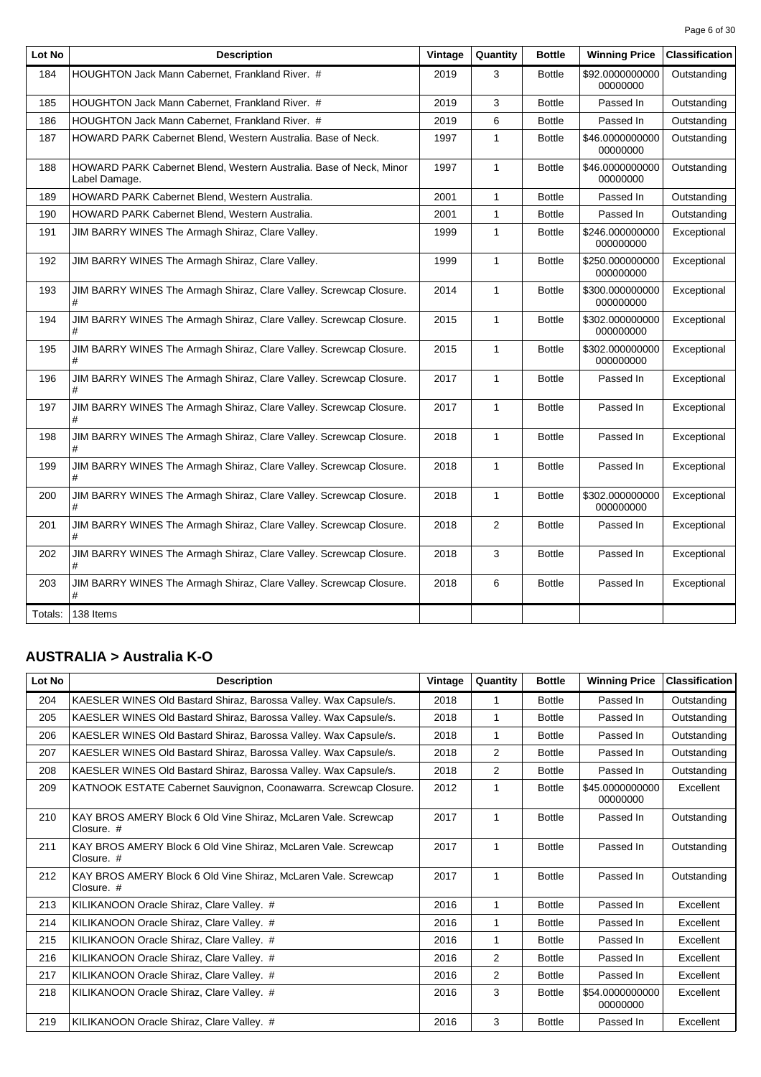| Lot No  | <b>Description</b>                                                                  | Vintage | Quantity     | <b>Bottle</b> | <b>Winning Price</b>         | <b>Classification</b> |
|---------|-------------------------------------------------------------------------------------|---------|--------------|---------------|------------------------------|-----------------------|
| 184     | HOUGHTON Jack Mann Cabernet, Frankland River. #                                     | 2019    | 3            | <b>Bottle</b> | \$92.0000000000<br>00000000  | Outstanding           |
| 185     | HOUGHTON Jack Mann Cabernet, Frankland River. #                                     | 2019    | 3            | <b>Bottle</b> | Passed In                    | Outstanding           |
| 186     | HOUGHTON Jack Mann Cabernet, Frankland River. #                                     | 2019    | 6            | <b>Bottle</b> | Passed In                    | Outstanding           |
| 187     | HOWARD PARK Cabernet Blend, Western Australia. Base of Neck.                        | 1997    | $\mathbf{1}$ | <b>Bottle</b> | \$46.0000000000<br>00000000  | Outstanding           |
| 188     | HOWARD PARK Cabernet Blend, Western Australia. Base of Neck, Minor<br>Label Damage. | 1997    | $\mathbf{1}$ | <b>Bottle</b> | \$46.0000000000<br>00000000  | Outstanding           |
| 189     | HOWARD PARK Cabernet Blend, Western Australia.                                      | 2001    | $\mathbf{1}$ | <b>Bottle</b> | Passed In                    | Outstanding           |
| 190     | HOWARD PARK Cabernet Blend, Western Australia.                                      | 2001    | 1            | <b>Bottle</b> | Passed In                    | Outstanding           |
| 191     | JIM BARRY WINES The Armagh Shiraz, Clare Valley.                                    | 1999    | $\mathbf{1}$ | <b>Bottle</b> | \$246.000000000<br>000000000 | Exceptional           |
| 192     | JIM BARRY WINES The Armagh Shiraz, Clare Valley.                                    | 1999    | $\mathbf{1}$ | <b>Bottle</b> | \$250.000000000<br>000000000 | Exceptional           |
| 193     | JIM BARRY WINES The Armagh Shiraz, Clare Valley. Screwcap Closure.<br>#             | 2014    | $\mathbf{1}$ | <b>Bottle</b> | \$300.000000000<br>000000000 | Exceptional           |
| 194     | JIM BARRY WINES The Armagh Shiraz, Clare Valley. Screwcap Closure.<br>#             | 2015    | 1            | <b>Bottle</b> | \$302.000000000<br>000000000 | Exceptional           |
| 195     | JIM BARRY WINES The Armagh Shiraz, Clare Valley. Screwcap Closure.                  | 2015    | $\mathbf{1}$ | <b>Bottle</b> | \$302.000000000<br>000000000 | Exceptional           |
| 196     | JIM BARRY WINES The Armagh Shiraz, Clare Valley. Screwcap Closure.<br>#             | 2017    | 1            | <b>Bottle</b> | Passed In                    | Exceptional           |
| 197     | JIM BARRY WINES The Armagh Shiraz, Clare Valley. Screwcap Closure.<br>#             | 2017    | $\mathbf{1}$ | <b>Bottle</b> | Passed In                    | Exceptional           |
| 198     | JIM BARRY WINES The Armagh Shiraz, Clare Valley. Screwcap Closure.<br>#             | 2018    | $\mathbf{1}$ | <b>Bottle</b> | Passed In                    | Exceptional           |
| 199     | JIM BARRY WINES The Armagh Shiraz, Clare Valley. Screwcap Closure.<br>#             | 2018    | $\mathbf{1}$ | <b>Bottle</b> | Passed In                    | Exceptional           |
| 200     | JIM BARRY WINES The Armagh Shiraz, Clare Valley. Screwcap Closure.<br>#             | 2018    | $\mathbf{1}$ | <b>Bottle</b> | \$302.000000000<br>000000000 | Exceptional           |
| 201     | JIM BARRY WINES The Armagh Shiraz, Clare Valley. Screwcap Closure.<br>#             | 2018    | 2            | <b>Bottle</b> | Passed In                    | Exceptional           |
| 202     | JIM BARRY WINES The Armagh Shiraz, Clare Valley. Screwcap Closure.<br>#             | 2018    | 3            | <b>Bottle</b> | Passed In                    | Exceptional           |
| 203     | JIM BARRY WINES The Armagh Shiraz, Clare Valley. Screwcap Closure.<br>#             | 2018    | 6            | <b>Bottle</b> | Passed In                    | Exceptional           |
| Totals: | 138 Items                                                                           |         |              |               |                              |                       |

### **AUSTRALIA > Australia K-O**

| Lot No | <b>Description</b>                                                           | Vintage | Quantity       | <b>Bottle</b> | <b>Winning Price</b>        | <b>Classification</b> |
|--------|------------------------------------------------------------------------------|---------|----------------|---------------|-----------------------------|-----------------------|
| 204    | KAESLER WINES Old Bastard Shiraz, Barossa Valley. Wax Capsule/s.             | 2018    | 1              | <b>Bottle</b> | Passed In                   | Outstanding           |
| 205    | KAESLER WINES Old Bastard Shiraz, Barossa Valley. Wax Capsule/s.             | 2018    | 1              | <b>Bottle</b> | Passed In                   | Outstanding           |
| 206    | KAESLER WINES Old Bastard Shiraz, Barossa Valley. Wax Capsule/s.             | 2018    | 1              | <b>Bottle</b> | Passed In                   | Outstanding           |
| 207    | KAESLER WINES Old Bastard Shiraz, Barossa Valley. Wax Capsule/s.             | 2018    | $\overline{2}$ | <b>Bottle</b> | Passed In                   | Outstanding           |
| 208    | KAESLER WINES Old Bastard Shiraz, Barossa Valley. Wax Capsule/s.             | 2018    | $\overline{2}$ | <b>Bottle</b> | Passed In                   | Outstanding           |
| 209    | KATNOOK ESTATE Cabernet Sauvignon, Coonawarra. Screwcap Closure.             | 2012    | 1              | <b>Bottle</b> | \$45,0000000000<br>00000000 | Excellent             |
| 210    | KAY BROS AMERY Block 6 Old Vine Shiraz, McLaren Vale. Screwcap<br>Closure. # | 2017    | 1              | <b>Bottle</b> | Passed In                   | Outstanding           |
| 211    | KAY BROS AMERY Block 6 Old Vine Shiraz, McLaren Vale. Screwcap<br>Closure. # | 2017    | 1              | <b>Bottle</b> | Passed In                   | Outstanding           |
| 212    | KAY BROS AMERY Block 6 Old Vine Shiraz, McLaren Vale. Screwcap<br>Closure. # | 2017    | 1              | <b>Bottle</b> | Passed In                   | Outstanding           |
| 213    | KILIKANOON Oracle Shiraz, Clare Valley. #                                    | 2016    | 1              | <b>Bottle</b> | Passed In                   | Excellent             |
| 214    | KILIKANOON Oracle Shiraz, Clare Valley. #                                    | 2016    | 1              | <b>Bottle</b> | Passed In                   | Excellent             |
| 215    | KILIKANOON Oracle Shiraz, Clare Valley. #                                    | 2016    | 1              | <b>Bottle</b> | Passed In                   | Excellent             |
| 216    | KILIKANOON Oracle Shiraz, Clare Valley. #                                    | 2016    | 2              | <b>Bottle</b> | Passed In                   | Excellent             |
| 217    | KILIKANOON Oracle Shiraz, Clare Valley. #                                    | 2016    | 2              | <b>Bottle</b> | Passed In                   | Excellent             |
| 218    | KILIKANOON Oracle Shiraz, Clare Valley. #                                    | 2016    | 3              | <b>Bottle</b> | \$54.0000000000<br>00000000 | Excellent             |
| 219    | KILIKANOON Oracle Shiraz, Clare Valley. #                                    | 2016    | 3              | <b>Bottle</b> | Passed In                   | Excellent             |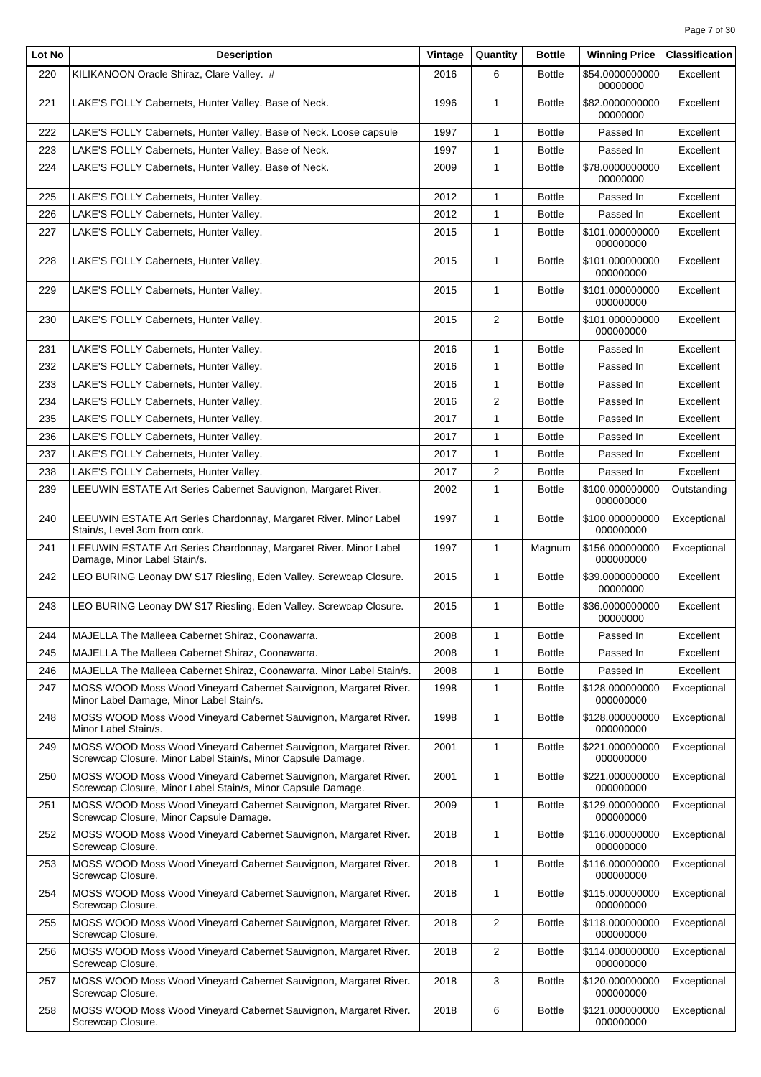| Lot No | <b>Description</b>                                                                                                               | Vintage | Quantity       | <b>Bottle</b> | <b>Winning Price</b>         | <b>Classification</b> |
|--------|----------------------------------------------------------------------------------------------------------------------------------|---------|----------------|---------------|------------------------------|-----------------------|
| 220    | KILIKANOON Oracle Shiraz, Clare Valley. #                                                                                        | 2016    | 6              | <b>Bottle</b> | \$54.0000000000<br>00000000  | Excellent             |
| 221    | LAKE'S FOLLY Cabernets, Hunter Valley. Base of Neck.                                                                             | 1996    | $\mathbf{1}$   | <b>Bottle</b> | \$82.0000000000<br>00000000  | Excellent             |
| 222    | LAKE'S FOLLY Cabernets, Hunter Valley. Base of Neck. Loose capsule                                                               | 1997    | $\mathbf{1}$   | <b>Bottle</b> | Passed In                    | Excellent             |
| 223    | LAKE'S FOLLY Cabernets, Hunter Valley. Base of Neck.                                                                             | 1997    | $\mathbf{1}$   | <b>Bottle</b> | Passed In                    | Excellent             |
| 224    | LAKE'S FOLLY Cabernets, Hunter Valley. Base of Neck.                                                                             | 2009    | $\mathbf{1}$   | <b>Bottle</b> | \$78.0000000000<br>00000000  | Excellent             |
| 225    | LAKE'S FOLLY Cabernets, Hunter Valley.                                                                                           | 2012    | $\mathbf{1}$   | <b>Bottle</b> | Passed In                    | Excellent             |
| 226    | LAKE'S FOLLY Cabernets, Hunter Valley.                                                                                           | 2012    | $\mathbf{1}$   | <b>Bottle</b> | Passed In                    | Excellent             |
| 227    | LAKE'S FOLLY Cabernets, Hunter Valley.                                                                                           | 2015    | $\mathbf{1}$   | <b>Bottle</b> | \$101.000000000<br>000000000 | Excellent             |
| 228    | LAKE'S FOLLY Cabernets, Hunter Valley.                                                                                           | 2015    | $\mathbf{1}$   | <b>Bottle</b> | \$101.000000000<br>000000000 | Excellent             |
| 229    | LAKE'S FOLLY Cabernets, Hunter Valley.                                                                                           | 2015    | $\mathbf{1}$   | <b>Bottle</b> | \$101.000000000<br>000000000 | Excellent             |
| 230    | LAKE'S FOLLY Cabernets, Hunter Valley.                                                                                           | 2015    | 2              | <b>Bottle</b> | \$101.000000000<br>000000000 | Excellent             |
| 231    | LAKE'S FOLLY Cabernets, Hunter Valley.                                                                                           | 2016    | $\mathbf{1}$   | <b>Bottle</b> | Passed In                    | Excellent             |
| 232    | LAKE'S FOLLY Cabernets, Hunter Valley.                                                                                           | 2016    | 1              | <b>Bottle</b> | Passed In                    | Excellent             |
| 233    | LAKE'S FOLLY Cabernets, Hunter Valley.                                                                                           | 2016    | $\mathbf{1}$   | <b>Bottle</b> | Passed In                    | Excellent             |
| 234    | LAKE'S FOLLY Cabernets, Hunter Valley.                                                                                           | 2016    | $\overline{2}$ | <b>Bottle</b> | Passed In                    | Excellent             |
| 235    | LAKE'S FOLLY Cabernets, Hunter Valley.                                                                                           | 2017    | 1              | <b>Bottle</b> | Passed In                    | Excellent             |
| 236    | LAKE'S FOLLY Cabernets, Hunter Valley.                                                                                           | 2017    | $\mathbf{1}$   | <b>Bottle</b> | Passed In                    | Excellent             |
| 237    | LAKE'S FOLLY Cabernets, Hunter Valley.                                                                                           | 2017    | $\mathbf{1}$   | <b>Bottle</b> | Passed In                    | Excellent             |
| 238    | LAKE'S FOLLY Cabernets, Hunter Valley.                                                                                           | 2017    | $\overline{2}$ | <b>Bottle</b> | Passed In                    | Excellent             |
| 239    | LEEUWIN ESTATE Art Series Cabernet Sauvignon, Margaret River.                                                                    | 2002    | $\mathbf{1}$   | <b>Bottle</b> | \$100.000000000<br>000000000 | Outstanding           |
| 240    | LEEUWIN ESTATE Art Series Chardonnay, Margaret River. Minor Label<br>Stain/s, Level 3cm from cork.                               | 1997    | $\mathbf{1}$   | <b>Bottle</b> | \$100.000000000<br>000000000 | Exceptional           |
| 241    | LEEUWIN ESTATE Art Series Chardonnay, Margaret River. Minor Label<br>Damage, Minor Label Stain/s.                                | 1997    | $\mathbf{1}$   | Magnum        | \$156.000000000<br>000000000 | Exceptional           |
| 242    | LEO BURING Leonay DW S17 Riesling, Eden Valley. Screwcap Closure.                                                                | 2015    | $\mathbf{1}$   | <b>Bottle</b> | \$39.0000000000<br>00000000  | Excellent             |
| 243    | LEO BURING Leonay DW S17 Riesling, Eden Valley. Screwcap Closure.                                                                | 2015    | $\mathbf{1}$   | <b>Bottle</b> | \$36.0000000000<br>00000000  | Excellent             |
| 244    | MAJELLA The Malleea Cabernet Shiraz, Coonawarra.                                                                                 | 2008    | 1              | <b>Bottle</b> | Passed In                    | Excellent             |
| 245    | MAJELLA The Malleea Cabernet Shiraz, Coonawarra.                                                                                 | 2008    | 1              | <b>Bottle</b> | Passed In                    | Excellent             |
| 246    | MAJELLA The Malleea Cabernet Shiraz, Coonawarra. Minor Label Stain/s.                                                            | 2008    | $\mathbf{1}$   | <b>Bottle</b> | Passed In                    | Excellent             |
| 247    | MOSS WOOD Moss Wood Vineyard Cabernet Sauvignon, Margaret River.<br>Minor Label Damage, Minor Label Stain/s.                     | 1998    | 1              | <b>Bottle</b> | \$128.000000000<br>000000000 | Exceptional           |
| 248    | MOSS WOOD Moss Wood Vineyard Cabernet Sauvignon, Margaret River.<br>Minor Label Stain/s.                                         | 1998    | $\mathbf{1}$   | <b>Bottle</b> | \$128.000000000<br>000000000 | Exceptional           |
| 249    | MOSS WOOD Moss Wood Vineyard Cabernet Sauvignon, Margaret River.<br>Screwcap Closure, Minor Label Stain/s, Minor Capsule Damage. | 2001    | $\mathbf{1}$   | <b>Bottle</b> | \$221.000000000<br>000000000 | Exceptional           |
| 250    | MOSS WOOD Moss Wood Vineyard Cabernet Sauvignon, Margaret River.<br>Screwcap Closure, Minor Label Stain/s, Minor Capsule Damage. | 2001    | $\mathbf{1}$   | <b>Bottle</b> | \$221.000000000<br>000000000 | Exceptional           |
| 251    | MOSS WOOD Moss Wood Vineyard Cabernet Sauvignon, Margaret River.<br>Screwcap Closure, Minor Capsule Damage.                      | 2009    | 1              | <b>Bottle</b> | \$129.000000000<br>000000000 | Exceptional           |
| 252    | MOSS WOOD Moss Wood Vineyard Cabernet Sauvignon, Margaret River.<br>Screwcap Closure.                                            | 2018    | 1              | <b>Bottle</b> | \$116.000000000<br>000000000 | Exceptional           |
| 253    | MOSS WOOD Moss Wood Vineyard Cabernet Sauvignon, Margaret River.<br>Screwcap Closure.                                            | 2018    | 1              | <b>Bottle</b> | \$116.000000000<br>000000000 | Exceptional           |
| 254    | MOSS WOOD Moss Wood Vineyard Cabernet Sauvignon, Margaret River.<br>Screwcap Closure.                                            | 2018    | $\mathbf{1}$   | <b>Bottle</b> | \$115.000000000<br>000000000 | Exceptional           |
| 255    | MOSS WOOD Moss Wood Vineyard Cabernet Sauvignon, Margaret River.<br>Screwcap Closure.                                            | 2018    | 2              | <b>Bottle</b> | \$118.000000000<br>000000000 | Exceptional           |
| 256    | MOSS WOOD Moss Wood Vineyard Cabernet Sauvignon, Margaret River.<br>Screwcap Closure.                                            | 2018    | 2              | <b>Bottle</b> | \$114.000000000<br>000000000 | Exceptional           |
| 257    | MOSS WOOD Moss Wood Vineyard Cabernet Sauvignon, Margaret River.<br>Screwcap Closure.                                            | 2018    | 3              | <b>Bottle</b> | \$120.000000000<br>000000000 | Exceptional           |
| 258    | MOSS WOOD Moss Wood Vineyard Cabernet Sauvignon, Margaret River.<br>Screwcap Closure.                                            | 2018    | 6              | <b>Bottle</b> | \$121.000000000<br>000000000 | Exceptional           |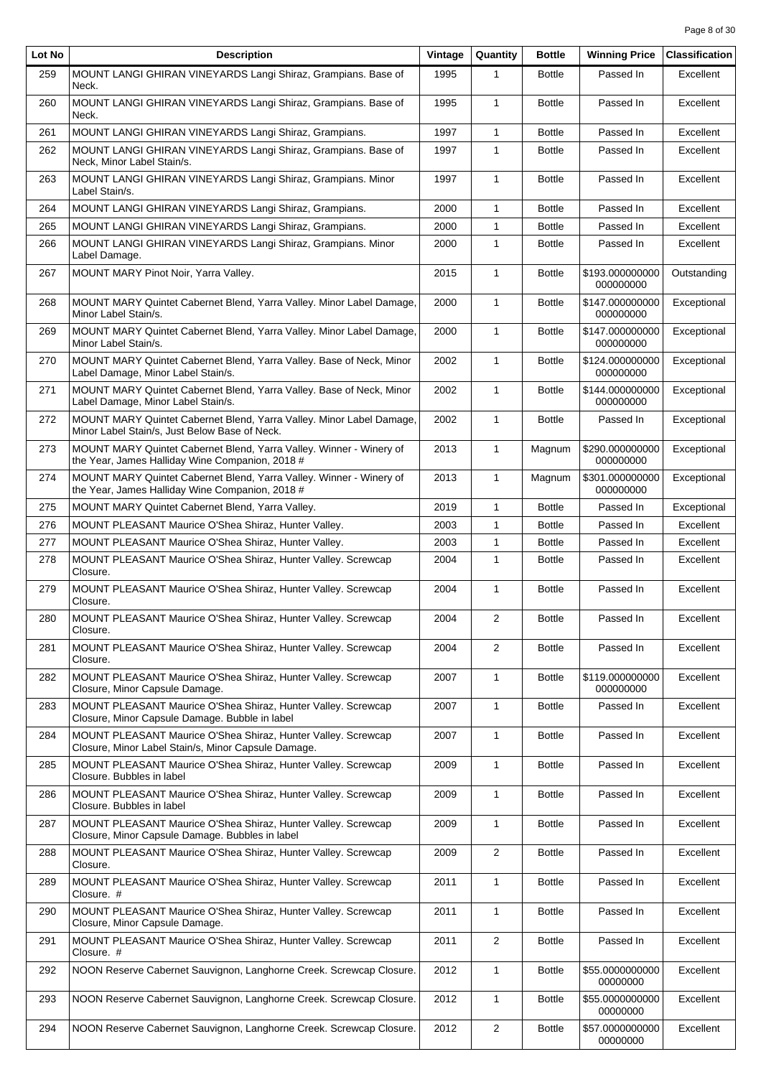| Lot No | <b>Description</b>                                                                                                     | Vintage | Quantity       | <b>Bottle</b> | <b>Winning Price</b>         | <b>Classification</b> |
|--------|------------------------------------------------------------------------------------------------------------------------|---------|----------------|---------------|------------------------------|-----------------------|
| 259    | MOUNT LANGI GHIRAN VINEYARDS Langi Shiraz, Grampians. Base of<br>Neck.                                                 | 1995    | 1              | <b>Bottle</b> | Passed In                    | Excellent             |
| 260    | MOUNT LANGI GHIRAN VINEYARDS Langi Shiraz, Grampians. Base of<br>Neck.                                                 | 1995    | $\mathbf{1}$   | <b>Bottle</b> | Passed In                    | Excellent             |
| 261    | MOUNT LANGI GHIRAN VINEYARDS Langi Shiraz, Grampians.                                                                  | 1997    | $\mathbf{1}$   | <b>Bottle</b> | Passed In                    | Excellent             |
| 262    | MOUNT LANGI GHIRAN VINEYARDS Langi Shiraz, Grampians. Base of<br>Neck, Minor Label Stain/s.                            | 1997    | $\mathbf{1}$   | <b>Bottle</b> | Passed In                    | Excellent             |
| 263    | MOUNT LANGI GHIRAN VINEYARDS Langi Shiraz, Grampians. Minor<br>Label Stain/s.                                          | 1997    | $\mathbf{1}$   | <b>Bottle</b> | Passed In                    | Excellent             |
| 264    | MOUNT LANGI GHIRAN VINEYARDS Langi Shiraz, Grampians.                                                                  | 2000    | $\mathbf{1}$   | <b>Bottle</b> | Passed In                    | Excellent             |
| 265    | MOUNT LANGI GHIRAN VINEYARDS Langi Shiraz, Grampians.                                                                  | 2000    | $\mathbf{1}$   | <b>Bottle</b> | Passed In                    | Excellent             |
| 266    | MOUNT LANGI GHIRAN VINEYARDS Langi Shiraz, Grampians. Minor<br>Label Damage.                                           | 2000    | $\mathbf{1}$   | <b>Bottle</b> | Passed In                    | Excellent             |
| 267    | MOUNT MARY Pinot Noir, Yarra Valley.                                                                                   | 2015    | 1              | <b>Bottle</b> | \$193.000000000<br>000000000 | Outstanding           |
| 268    | MOUNT MARY Quintet Cabernet Blend, Yarra Valley. Minor Label Damage,<br>Minor Label Stain/s.                           | 2000    | $\mathbf{1}$   | <b>Bottle</b> | \$147.000000000<br>000000000 | Exceptional           |
| 269    | MOUNT MARY Quintet Cabernet Blend, Yarra Valley. Minor Label Damage,<br>Minor Label Stain/s.                           | 2000    | $\mathbf{1}$   | <b>Bottle</b> | \$147.000000000<br>000000000 | Exceptional           |
| 270    | MOUNT MARY Quintet Cabernet Blend, Yarra Valley. Base of Neck, Minor<br>Label Damage, Minor Label Stain/s.             | 2002    | $\mathbf{1}$   | <b>Bottle</b> | \$124.000000000<br>000000000 | Exceptional           |
| 271    | MOUNT MARY Quintet Cabernet Blend, Yarra Valley. Base of Neck, Minor<br>Label Damage, Minor Label Stain/s.             | 2002    | $\mathbf{1}$   | <b>Bottle</b> | \$144.000000000<br>000000000 | Exceptional           |
| 272    | MOUNT MARY Quintet Cabernet Blend, Yarra Valley. Minor Label Damage,<br>Minor Label Stain/s, Just Below Base of Neck.  | 2002    | 1              | <b>Bottle</b> | Passed In                    | Exceptional           |
| 273    | MOUNT MARY Quintet Cabernet Blend, Yarra Valley. Winner - Winery of<br>the Year, James Halliday Wine Companion, 2018 # | 2013    | $\mathbf{1}$   | Magnum        | \$290.000000000<br>000000000 | Exceptional           |
| 274    | MOUNT MARY Quintet Cabernet Blend, Yarra Valley. Winner - Winery of<br>the Year, James Halliday Wine Companion, 2018 # | 2013    | $\mathbf{1}$   | Magnum        | \$301.000000000<br>000000000 | Exceptional           |
| 275    | MOUNT MARY Quintet Cabernet Blend, Yarra Valley.                                                                       | 2019    | $\mathbf{1}$   | <b>Bottle</b> | Passed In                    | Exceptional           |
| 276    | MOUNT PLEASANT Maurice O'Shea Shiraz, Hunter Valley.                                                                   | 2003    | 1              | <b>Bottle</b> | Passed In                    | Excellent             |
| 277    | MOUNT PLEASANT Maurice O'Shea Shiraz, Hunter Valley.                                                                   | 2003    | 1              | <b>Bottle</b> | Passed In                    | Excellent             |
| 278    | MOUNT PLEASANT Maurice O'Shea Shiraz, Hunter Valley. Screwcap<br>Closure.                                              | 2004    | $\mathbf{1}$   | <b>Bottle</b> | Passed In                    | Excellent             |
| 279    | MOUNT PLEASANT Maurice O'Shea Shiraz, Hunter Valley. Screwcap<br>Closure.                                              | 2004    | 1              | <b>Bottle</b> | Passed In                    | Excellent             |
| 280    | MOUNT PLEASANT Maurice O'Shea Shiraz, Hunter Valley. Screwcap<br>Closure.                                              | 2004    | 2              | <b>Bottle</b> | Passed In                    | Excellent             |
| 281    | MOUNT PLEASANT Maurice O'Shea Shiraz, Hunter Valley. Screwcap<br>Closure.                                              | 2004    | 2              | <b>Bottle</b> | Passed In                    | Excellent             |
| 282    | MOUNT PLEASANT Maurice O'Shea Shiraz, Hunter Valley. Screwcap<br>Closure, Minor Capsule Damage.                        | 2007    | $\mathbf{1}$   | <b>Bottle</b> | \$119.000000000<br>000000000 | Excellent             |
| 283    | MOUNT PLEASANT Maurice O'Shea Shiraz, Hunter Valley. Screwcap<br>Closure, Minor Capsule Damage. Bubble in label        | 2007    | $\mathbf{1}$   | <b>Bottle</b> | Passed In                    | Excellent             |
| 284    | MOUNT PLEASANT Maurice O'Shea Shiraz, Hunter Valley. Screwcap<br>Closure, Minor Label Stain/s, Minor Capsule Damage.   | 2007    | $\mathbf{1}$   | <b>Bottle</b> | Passed In                    | Excellent             |
| 285    | MOUNT PLEASANT Maurice O'Shea Shiraz, Hunter Valley. Screwcap<br>Closure. Bubbles in label                             | 2009    | 1              | <b>Bottle</b> | Passed In                    | Excellent             |
| 286    | MOUNT PLEASANT Maurice O'Shea Shiraz, Hunter Valley. Screwcap<br>Closure. Bubbles in label                             | 2009    | 1              | <b>Bottle</b> | Passed In                    | Excellent             |
| 287    | MOUNT PLEASANT Maurice O'Shea Shiraz, Hunter Valley. Screwcap<br>Closure, Minor Capsule Damage. Bubbles in label       | 2009    | $\mathbf{1}$   | <b>Bottle</b> | Passed In                    | Excellent             |
| 288    | MOUNT PLEASANT Maurice O'Shea Shiraz, Hunter Valley. Screwcap<br>Closure.                                              | 2009    | 2              | <b>Bottle</b> | Passed In                    | Excellent             |
| 289    | MOUNT PLEASANT Maurice O'Shea Shiraz, Hunter Valley. Screwcap<br>Closure. #                                            | 2011    | $\mathbf{1}$   | <b>Bottle</b> | Passed In                    | Excellent             |
| 290    | MOUNT PLEASANT Maurice O'Shea Shiraz, Hunter Valley. Screwcap<br>Closure, Minor Capsule Damage.                        | 2011    | 1              | <b>Bottle</b> | Passed In                    | Excellent             |
| 291    | MOUNT PLEASANT Maurice O'Shea Shiraz, Hunter Valley. Screwcap<br>Closure. #                                            | 2011    | $\overline{c}$ | <b>Bottle</b> | Passed In                    | Excellent             |
| 292    | NOON Reserve Cabernet Sauvignon, Langhorne Creek. Screwcap Closure.                                                    | 2012    | $\mathbf{1}$   | <b>Bottle</b> | \$55.0000000000<br>00000000  | Excellent             |
| 293    | NOON Reserve Cabernet Sauvignon, Langhorne Creek. Screwcap Closure.                                                    | 2012    | $\mathbf{1}$   | <b>Bottle</b> | \$55.0000000000<br>00000000  | Excellent             |
| 294    | NOON Reserve Cabernet Sauvignon, Langhorne Creek. Screwcap Closure.                                                    | 2012    | $\overline{2}$ | <b>Bottle</b> | \$57.0000000000<br>00000000  | Excellent             |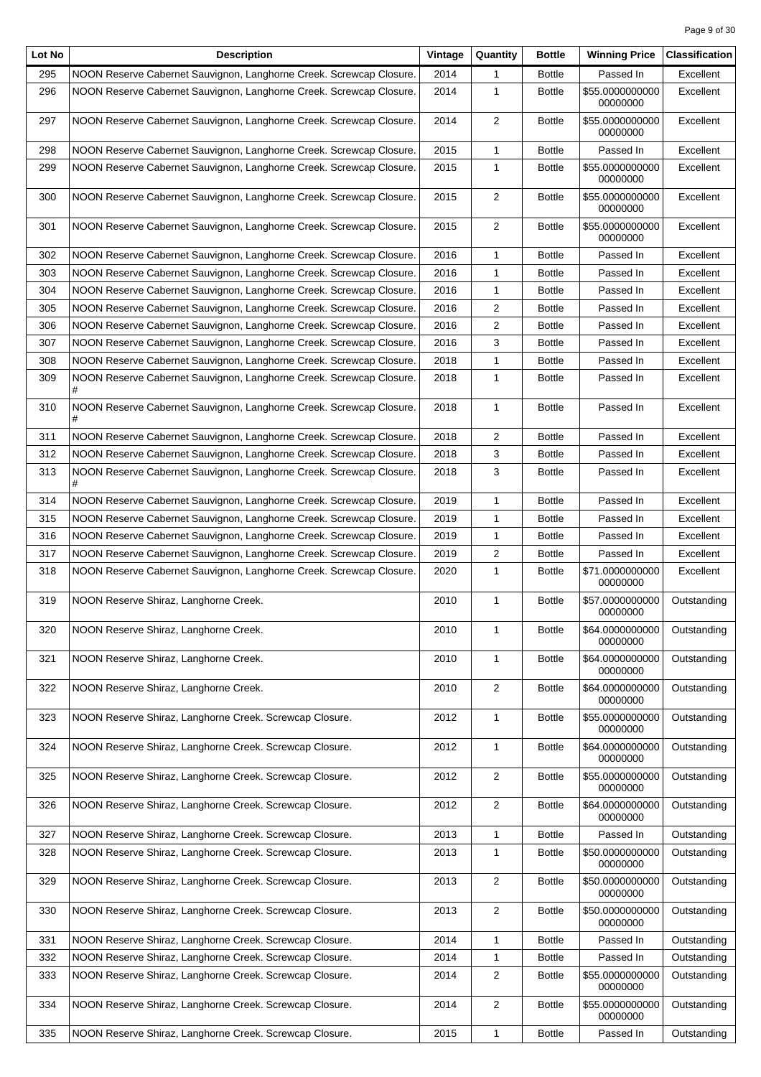| Lot No | <b>Description</b>                                                       | Vintage | Quantity       | <b>Bottle</b> | <b>Winning Price</b>        | <b>Classification</b> |
|--------|--------------------------------------------------------------------------|---------|----------------|---------------|-----------------------------|-----------------------|
| 295    | NOON Reserve Cabernet Sauvignon, Langhorne Creek. Screwcap Closure.      | 2014    | 1              | <b>Bottle</b> | Passed In                   | Excellent             |
| 296    | NOON Reserve Cabernet Sauvignon, Langhorne Creek. Screwcap Closure.      | 2014    | $\mathbf{1}$   | <b>Bottle</b> | \$55.0000000000<br>00000000 | Excellent             |
| 297    | NOON Reserve Cabernet Sauvignon, Langhorne Creek. Screwcap Closure.      | 2014    | $\overline{2}$ | <b>Bottle</b> | \$55.0000000000<br>00000000 | Excellent             |
| 298    | NOON Reserve Cabernet Sauvignon, Langhorne Creek. Screwcap Closure.      | 2015    | 1              | <b>Bottle</b> | Passed In                   | Excellent             |
| 299    | NOON Reserve Cabernet Sauvignon, Langhorne Creek. Screwcap Closure.      | 2015    | 1              | <b>Bottle</b> | \$55.0000000000<br>00000000 | Excellent             |
| 300    | NOON Reserve Cabernet Sauvignon, Langhorne Creek. Screwcap Closure.      | 2015    | 2              | <b>Bottle</b> | \$55.0000000000<br>00000000 | Excellent             |
| 301    | NOON Reserve Cabernet Sauvignon, Langhorne Creek. Screwcap Closure.      | 2015    | $\overline{2}$ | <b>Bottle</b> | \$55.0000000000<br>00000000 | Excellent             |
| 302    | NOON Reserve Cabernet Sauvignon, Langhorne Creek. Screwcap Closure.      | 2016    | 1              | <b>Bottle</b> | Passed In                   | Excellent             |
| 303    | NOON Reserve Cabernet Sauvignon, Langhorne Creek. Screwcap Closure.      | 2016    | 1              | <b>Bottle</b> | Passed In                   | Excellent             |
| 304    | NOON Reserve Cabernet Sauvignon, Langhorne Creek. Screwcap Closure.      | 2016    | $\mathbf{1}$   | <b>Bottle</b> | Passed In                   | Excellent             |
| 305    | NOON Reserve Cabernet Sauvignon, Langhorne Creek. Screwcap Closure.      | 2016    | 2              | <b>Bottle</b> | Passed In                   | Excellent             |
| 306    | NOON Reserve Cabernet Sauvignon, Langhorne Creek. Screwcap Closure.      | 2016    | 2              | <b>Bottle</b> | Passed In                   | Excellent             |
| 307    | NOON Reserve Cabernet Sauvignon, Langhorne Creek. Screwcap Closure.      | 2016    | 3              | <b>Bottle</b> | Passed In                   | Excellent             |
| 308    | NOON Reserve Cabernet Sauvignon, Langhorne Creek. Screwcap Closure.      | 2018    | 1              | <b>Bottle</b> | Passed In                   | Excellent             |
| 309    | NOON Reserve Cabernet Sauvignon, Langhorne Creek. Screwcap Closure.<br># | 2018    | 1              | <b>Bottle</b> | Passed In                   | Excellent             |
| 310    | NOON Reserve Cabernet Sauvignon, Langhorne Creek. Screwcap Closure.<br># | 2018    | $\mathbf{1}$   | <b>Bottle</b> | Passed In                   | Excellent             |
| 311    | NOON Reserve Cabernet Sauvignon, Langhorne Creek. Screwcap Closure.      | 2018    | 2              | <b>Bottle</b> | Passed In                   | Excellent             |
| 312    | NOON Reserve Cabernet Sauvignon, Langhorne Creek. Screwcap Closure.      | 2018    | 3              | <b>Bottle</b> | Passed In                   | Excellent             |
| 313    | NOON Reserve Cabernet Sauvignon, Langhorne Creek. Screwcap Closure.<br># | 2018    | 3              | <b>Bottle</b> | Passed In                   | Excellent             |
| 314    | NOON Reserve Cabernet Sauvignon, Langhorne Creek. Screwcap Closure.      | 2019    | 1              | <b>Bottle</b> | Passed In                   | Excellent             |
| 315    | NOON Reserve Cabernet Sauvignon, Langhorne Creek. Screwcap Closure.      | 2019    | 1              | <b>Bottle</b> | Passed In                   | Excellent             |
| 316    | NOON Reserve Cabernet Sauvignon, Langhorne Creek. Screwcap Closure.      | 2019    | 1              | <b>Bottle</b> | Passed In                   | Excellent             |
| 317    | NOON Reserve Cabernet Sauvignon, Langhorne Creek. Screwcap Closure.      | 2019    | 2              | <b>Bottle</b> | Passed In                   | Excellent             |
| 318    | NOON Reserve Cabernet Sauvignon, Langhorne Creek. Screwcap Closure.      | 2020    | 1              | <b>Bottle</b> | \$71.0000000000<br>00000000 | Excellent             |
| 319    | NOON Reserve Shiraz, Langhorne Creek.                                    | 2010    | 1              | <b>Bottle</b> | \$57.0000000000<br>00000000 | Outstanding           |
| 320    | NOON Reserve Shiraz, Langhorne Creek.                                    | 2010    | 1              | <b>Bottle</b> | \$64.0000000000<br>00000000 | Outstanding           |
| 321    | NOON Reserve Shiraz, Langhorne Creek.                                    | 2010    | 1              | <b>Bottle</b> | \$64.0000000000<br>00000000 | Outstanding           |
| 322    | NOON Reserve Shiraz, Langhorne Creek.                                    | 2010    | $\overline{c}$ | <b>Bottle</b> | \$64.0000000000<br>00000000 | Outstanding           |
| 323    | NOON Reserve Shiraz, Langhorne Creek. Screwcap Closure.                  | 2012    | 1              | <b>Bottle</b> | \$55.0000000000<br>00000000 | Outstanding           |
| 324    | NOON Reserve Shiraz, Langhorne Creek. Screwcap Closure.                  | 2012    | $\mathbf{1}$   | <b>Bottle</b> | \$64.0000000000<br>00000000 | Outstanding           |
| 325    | NOON Reserve Shiraz, Langhorne Creek. Screwcap Closure.                  | 2012    | 2              | <b>Bottle</b> | \$55.0000000000<br>00000000 | Outstanding           |
| 326    | NOON Reserve Shiraz, Langhorne Creek. Screwcap Closure.                  | 2012    | $\overline{c}$ | <b>Bottle</b> | \$64.0000000000<br>00000000 | Outstanding           |
| 327    | NOON Reserve Shiraz, Langhorne Creek. Screwcap Closure.                  | 2013    | 1              | <b>Bottle</b> | Passed In                   | Outstanding           |
| 328    | NOON Reserve Shiraz, Langhorne Creek. Screwcap Closure.                  | 2013    | 1              | <b>Bottle</b> | \$50.0000000000<br>00000000 | Outstanding           |
| 329    | NOON Reserve Shiraz, Langhorne Creek. Screwcap Closure.                  | 2013    | 2              | <b>Bottle</b> | \$50.0000000000<br>00000000 | Outstanding           |
| 330    | NOON Reserve Shiraz, Langhorne Creek. Screwcap Closure.                  | 2013    | $\overline{c}$ | <b>Bottle</b> | \$50.0000000000<br>00000000 | Outstanding           |
| 331    | NOON Reserve Shiraz, Langhorne Creek. Screwcap Closure.                  | 2014    | 1              | <b>Bottle</b> | Passed In                   | Outstanding           |
| 332    | NOON Reserve Shiraz, Langhorne Creek. Screwcap Closure.                  | 2014    | 1              | <b>Bottle</b> | Passed In                   | Outstanding           |
| 333    | NOON Reserve Shiraz, Langhorne Creek. Screwcap Closure.                  | 2014    | 2              | <b>Bottle</b> | \$55.0000000000<br>00000000 | Outstanding           |
| 334    | NOON Reserve Shiraz, Langhorne Creek. Screwcap Closure.                  | 2014    | 2              | <b>Bottle</b> | \$55.0000000000<br>00000000 | Outstanding           |
| 335    | NOON Reserve Shiraz, Langhorne Creek. Screwcap Closure.                  | 2015    | 1              | Bottle        | Passed In                   | Outstanding           |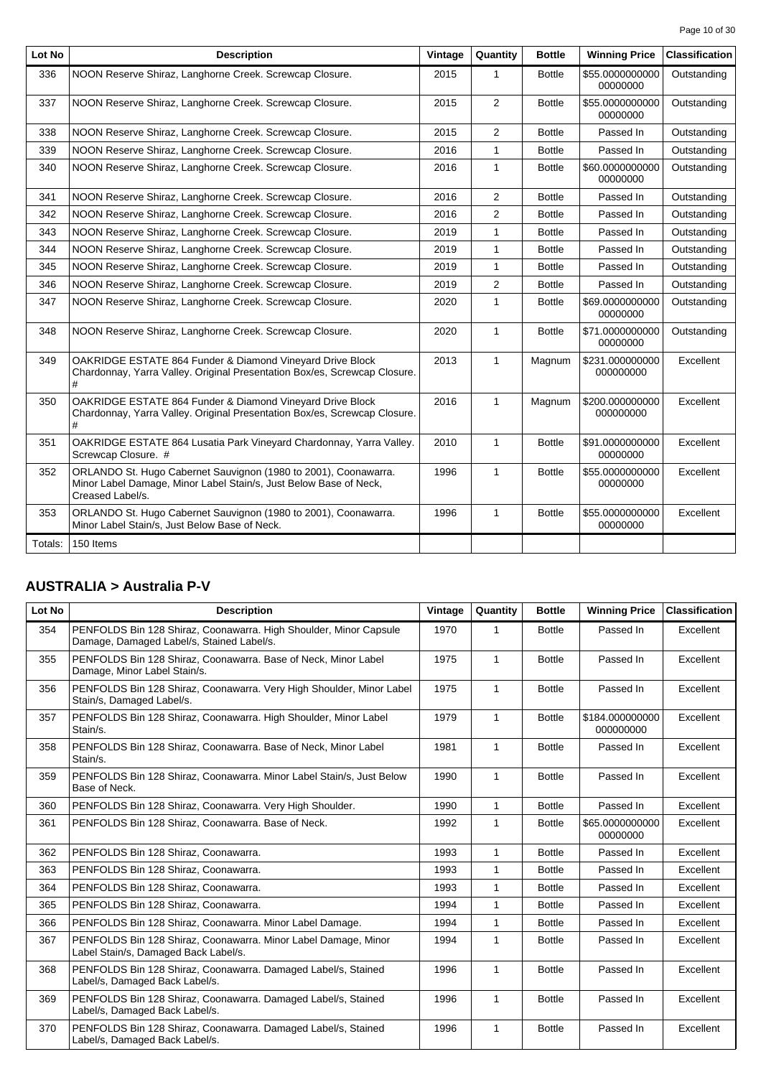Page 10 of 30

| 336<br>NOON Reserve Shiraz, Langhorne Creek. Screwcap Closure.<br>337<br>NOON Reserve Shiraz, Langhorne Creek. Screwcap Closure.<br>338<br>NOON Reserve Shiraz, Langhorne Creek. Screwcap Closure.<br>339<br>NOON Reserve Shiraz, Langhorne Creek. Screwcap Closure.<br>340<br>NOON Reserve Shiraz, Langhorne Creek. Screwcap Closure. | 2015<br>2015<br>2015<br>2016 | 1<br>$\overline{2}$<br>2 | <b>Bottle</b><br><b>Bottle</b><br><b>Bottle</b> | \$55,0000000000<br>00000000<br>\$55.0000000000<br>00000000 | Outstanding<br>Outstanding |
|----------------------------------------------------------------------------------------------------------------------------------------------------------------------------------------------------------------------------------------------------------------------------------------------------------------------------------------|------------------------------|--------------------------|-------------------------------------------------|------------------------------------------------------------|----------------------------|
|                                                                                                                                                                                                                                                                                                                                        |                              |                          |                                                 |                                                            |                            |
|                                                                                                                                                                                                                                                                                                                                        |                              |                          |                                                 |                                                            |                            |
|                                                                                                                                                                                                                                                                                                                                        |                              |                          |                                                 | Passed In                                                  | Outstanding                |
|                                                                                                                                                                                                                                                                                                                                        |                              | $\mathbf{1}$             | <b>Bottle</b>                                   | Passed In                                                  | Outstanding                |
|                                                                                                                                                                                                                                                                                                                                        | 2016                         | $\mathbf{1}$             | <b>Bottle</b>                                   | \$60,0000000000<br>00000000                                | Outstanding                |
| 341<br>NOON Reserve Shiraz, Langhorne Creek. Screwcap Closure.                                                                                                                                                                                                                                                                         | 2016                         | $\overline{2}$           | <b>Bottle</b>                                   | Passed In                                                  | Outstanding                |
| 342<br>NOON Reserve Shiraz, Langhorne Creek. Screwcap Closure.                                                                                                                                                                                                                                                                         | 2016                         | 2                        | <b>Bottle</b>                                   | Passed In                                                  | Outstanding                |
| 343<br>NOON Reserve Shiraz, Langhorne Creek. Screwcap Closure.                                                                                                                                                                                                                                                                         | 2019                         | 1                        | <b>Bottle</b>                                   | Passed In                                                  | Outstanding                |
| NOON Reserve Shiraz, Langhorne Creek. Screwcap Closure.<br>344                                                                                                                                                                                                                                                                         | 2019                         | $\mathbf{1}$             | <b>Bottle</b>                                   | Passed In                                                  | Outstanding                |
| 345<br>NOON Reserve Shiraz, Langhorne Creek. Screwcap Closure.                                                                                                                                                                                                                                                                         | 2019                         | $\overline{1}$           | <b>Bottle</b>                                   | Passed In                                                  | Outstanding                |
| NOON Reserve Shiraz, Langhorne Creek. Screwcap Closure.<br>346                                                                                                                                                                                                                                                                         | 2019                         | 2                        | <b>Bottle</b>                                   | Passed In                                                  | Outstanding                |
| 347<br>NOON Reserve Shiraz, Langhorne Creek. Screwcap Closure.                                                                                                                                                                                                                                                                         | 2020                         | $\mathbf{1}$             | <b>Bottle</b>                                   | \$69.0000000000<br>00000000                                | Outstanding                |
| 348<br>NOON Reserve Shiraz, Langhorne Creek. Screwcap Closure.                                                                                                                                                                                                                                                                         | 2020                         | $\mathbf{1}$             | <b>Bottle</b>                                   | \$71.0000000000<br>00000000                                | Outstanding                |
| OAKRIDGE ESTATE 864 Funder & Diamond Vineyard Drive Block<br>349<br>Chardonnay, Yarra Valley. Original Presentation Box/es, Screwcap Closure.<br>#                                                                                                                                                                                     | 2013                         | $\mathbf{1}$             | Magnum                                          | \$231.000000000<br>000000000                               | Excellent                  |
| OAKRIDGE ESTATE 864 Funder & Diamond Vineyard Drive Block<br>350<br>Chardonnay, Yarra Valley. Original Presentation Box/es, Screwcap Closure.<br>#                                                                                                                                                                                     | 2016                         | $\mathbf{1}$             | Magnum                                          | \$200.000000000<br>000000000                               | Excellent                  |
| OAKRIDGE ESTATE 864 Lusatia Park Vineyard Chardonnay, Yarra Valley.<br>351<br>Screwcap Closure. #                                                                                                                                                                                                                                      | 2010                         | $\mathbf{1}$             | <b>Bottle</b>                                   | \$91.0000000000<br>00000000                                | Excellent                  |
| 352<br>ORLANDO St. Hugo Cabernet Sauvignon (1980 to 2001), Coonawarra.<br>Minor Label Damage, Minor Label Stain/s, Just Below Base of Neck,<br>Creased Label/s.                                                                                                                                                                        | 1996                         | $\mathbf{1}$             | <b>Bottle</b>                                   | \$55.0000000000<br>00000000                                | Excellent                  |
| ORLANDO St. Hugo Cabernet Sauvignon (1980 to 2001), Coonawarra.<br>353<br>Minor Label Stain/s, Just Below Base of Neck.                                                                                                                                                                                                                | 1996                         | $\mathbf{1}$             | <b>Bottle</b>                                   | \$55.0000000000<br>00000000                                | Excellent                  |
| Totals:<br>150 Items                                                                                                                                                                                                                                                                                                                   |                              |                          |                                                 |                                                            |                            |

# **AUSTRALIA > Australia P-V**

| Lot No | <b>Description</b>                                                                                             | Vintage | Quantity     | <b>Bottle</b> | <b>Winning Price</b>         | <b>Classification</b> |
|--------|----------------------------------------------------------------------------------------------------------------|---------|--------------|---------------|------------------------------|-----------------------|
| 354    | PENFOLDS Bin 128 Shiraz, Coonawarra. High Shoulder, Minor Capsule<br>Damage, Damaged Label/s, Stained Label/s. | 1970    | 1            | <b>Bottle</b> | Passed In                    | Excellent             |
| 355    | PENFOLDS Bin 128 Shiraz, Coonawarra. Base of Neck, Minor Label<br>Damage. Minor Label Stain/s.                 | 1975    | $\mathbf{1}$ | <b>Bottle</b> | Passed In                    | Excellent             |
| 356    | PENFOLDS Bin 128 Shiraz, Coonawarra. Very High Shoulder, Minor Label<br>Stain/s, Damaged Label/s.              | 1975    | $\mathbf{1}$ | <b>Bottle</b> | Passed In                    | Excellent             |
| 357    | PENFOLDS Bin 128 Shiraz, Coonawarra. High Shoulder, Minor Label<br>Stain/s.                                    | 1979    | $\mathbf{1}$ | <b>Bottle</b> | \$184.000000000<br>000000000 | Excellent             |
| 358    | PENFOLDS Bin 128 Shiraz, Coonawarra. Base of Neck, Minor Label<br>Stain/s.                                     | 1981    | $\mathbf{1}$ | <b>Bottle</b> | Passed In                    | Excellent             |
| 359    | PENFOLDS Bin 128 Shiraz, Coonawarra. Minor Label Stain/s, Just Below<br>Base of Neck.                          | 1990    | $\mathbf{1}$ | <b>Bottle</b> | Passed In                    | Excellent             |
| 360    | PENFOLDS Bin 128 Shiraz, Coonawarra. Very High Shoulder.                                                       | 1990    | $\mathbf{1}$ | <b>Bottle</b> | Passed In                    | Excellent             |
| 361    | PENFOLDS Bin 128 Shiraz, Coonawarra. Base of Neck.                                                             | 1992    | $\mathbf{1}$ | <b>Bottle</b> | \$65.0000000000<br>00000000  | Excellent             |
| 362    | PENFOLDS Bin 128 Shiraz, Coonawarra.                                                                           | 1993    | $\mathbf{1}$ | <b>Bottle</b> | Passed In                    | Excellent             |
| 363    | PENFOLDS Bin 128 Shiraz, Coonawarra.                                                                           | 1993    | $\mathbf{1}$ | <b>Bottle</b> | Passed In                    | Excellent             |
| 364    | PENFOLDS Bin 128 Shiraz, Coonawarra.                                                                           | 1993    | $\mathbf{1}$ | <b>Bottle</b> | Passed In                    | Excellent             |
| 365    | PENFOLDS Bin 128 Shiraz, Coonawarra.                                                                           | 1994    | $\mathbf{1}$ | <b>Bottle</b> | Passed In                    | Excellent             |
| 366    | PENFOLDS Bin 128 Shiraz, Coonawarra. Minor Label Damage.                                                       | 1994    | $\mathbf{1}$ | <b>Bottle</b> | Passed In                    | Excellent             |
| 367    | PENFOLDS Bin 128 Shiraz, Coonawarra. Minor Label Damage, Minor<br>Label Stain/s, Damaged Back Label/s.         | 1994    | $\mathbf{1}$ | <b>Bottle</b> | Passed In                    | Excellent             |
| 368    | PENFOLDS Bin 128 Shiraz, Coonawarra. Damaged Label/s, Stained<br>Label/s, Damaged Back Label/s.                | 1996    | $\mathbf{1}$ | <b>Bottle</b> | Passed In                    | Excellent             |
| 369    | PENFOLDS Bin 128 Shiraz, Coonawarra. Damaged Label/s, Stained<br>Label/s, Damaged Back Label/s.                | 1996    | $\mathbf{1}$ | <b>Bottle</b> | Passed In                    | Excellent             |
| 370    | PENFOLDS Bin 128 Shiraz, Coonawarra. Damaged Label/s, Stained<br>Label/s, Damaged Back Label/s.                | 1996    | $\mathbf{1}$ | <b>Bottle</b> | Passed In                    | Excellent             |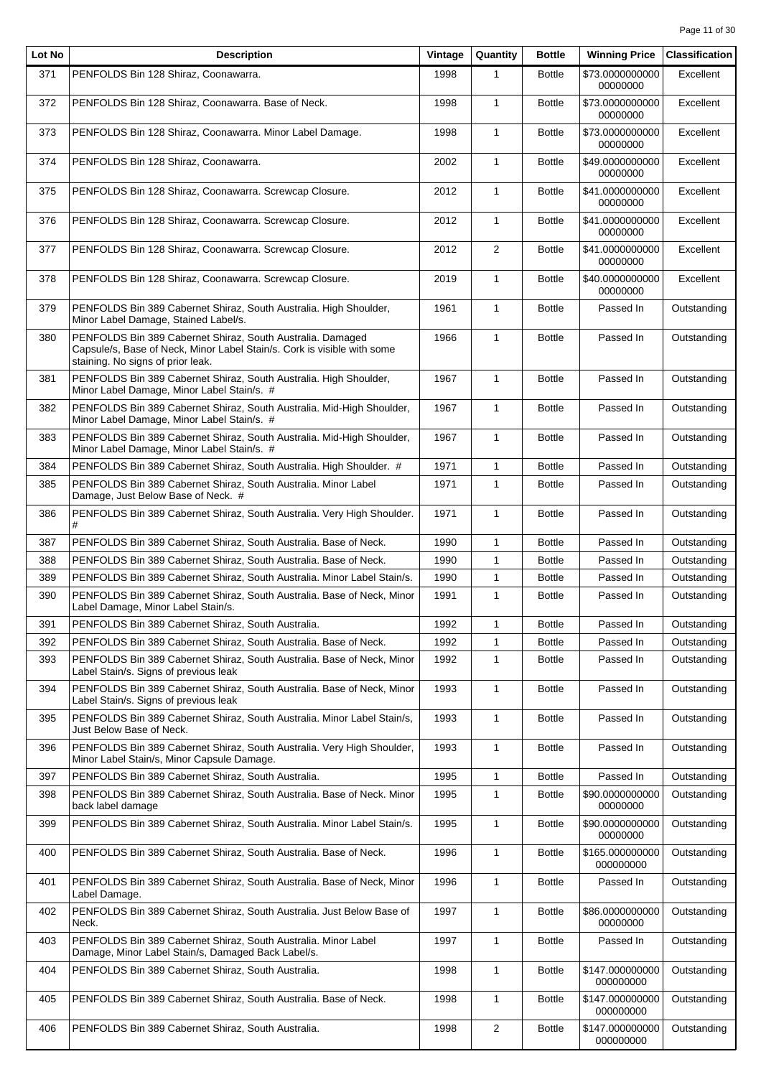| Lot No | <b>Description</b>                                                                                                                                                         | Vintage | Quantity       | <b>Bottle</b> | <b>Winning Price</b>         | <b>Classification</b> |
|--------|----------------------------------------------------------------------------------------------------------------------------------------------------------------------------|---------|----------------|---------------|------------------------------|-----------------------|
| 371    | PENFOLDS Bin 128 Shiraz, Coonawarra.                                                                                                                                       | 1998    |                | <b>Bottle</b> | \$73.0000000000<br>00000000  | Excellent             |
| 372    | PENFOLDS Bin 128 Shiraz, Coonawarra. Base of Neck.                                                                                                                         | 1998    | $\mathbf{1}$   | <b>Bottle</b> | \$73.0000000000<br>00000000  | Excellent             |
| 373    | PENFOLDS Bin 128 Shiraz, Coonawarra. Minor Label Damage.                                                                                                                   | 1998    | $\mathbf{1}$   | <b>Bottle</b> | \$73.0000000000<br>00000000  | Excellent             |
| 374    | PENFOLDS Bin 128 Shiraz, Coonawarra.                                                                                                                                       | 2002    | $\mathbf{1}$   | <b>Bottle</b> | \$49.0000000000<br>00000000  | Excellent             |
| 375    | PENFOLDS Bin 128 Shiraz, Coonawarra. Screwcap Closure.                                                                                                                     | 2012    | $\mathbf{1}$   | <b>Bottle</b> | \$41.0000000000<br>00000000  | Excellent             |
| 376    | PENFOLDS Bin 128 Shiraz, Coonawarra. Screwcap Closure.                                                                                                                     | 2012    | $\mathbf{1}$   | <b>Bottle</b> | \$41.0000000000<br>00000000  | Excellent             |
| 377    | PENFOLDS Bin 128 Shiraz, Coonawarra. Screwcap Closure.                                                                                                                     | 2012    | 2              | <b>Bottle</b> | \$41.0000000000<br>00000000  | Excellent             |
| 378    | PENFOLDS Bin 128 Shiraz, Coonawarra. Screwcap Closure.                                                                                                                     | 2019    | $\mathbf{1}$   | <b>Bottle</b> | \$40.0000000000<br>00000000  | Excellent             |
| 379    | PENFOLDS Bin 389 Cabernet Shiraz, South Australia. High Shoulder,<br>Minor Label Damage, Stained Label/s.                                                                  | 1961    | $\mathbf{1}$   | <b>Bottle</b> | Passed In                    | Outstanding           |
| 380    | PENFOLDS Bin 389 Cabernet Shiraz, South Australia. Damaged<br>Capsule/s, Base of Neck, Minor Label Stain/s. Cork is visible with some<br>staining. No signs of prior leak. | 1966    | $\mathbf{1}$   | <b>Bottle</b> | Passed In                    | Outstanding           |
| 381    | PENFOLDS Bin 389 Cabernet Shiraz, South Australia. High Shoulder,<br>Minor Label Damage, Minor Label Stain/s. #                                                            | 1967    | $\mathbf{1}$   | <b>Bottle</b> | Passed In                    | Outstanding           |
| 382    | PENFOLDS Bin 389 Cabernet Shiraz, South Australia. Mid-High Shoulder,<br>Minor Label Damage, Minor Label Stain/s. #                                                        | 1967    | $\mathbf{1}$   | <b>Bottle</b> | Passed In                    | Outstanding           |
| 383    | PENFOLDS Bin 389 Cabernet Shiraz, South Australia. Mid-High Shoulder,<br>Minor Label Damage, Minor Label Stain/s. #                                                        | 1967    | $\mathbf{1}$   | <b>Bottle</b> | Passed In                    | Outstanding           |
| 384    | PENFOLDS Bin 389 Cabernet Shiraz, South Australia. High Shoulder. #                                                                                                        | 1971    | $\mathbf{1}$   | <b>Bottle</b> | Passed In                    | Outstanding           |
| 385    | PENFOLDS Bin 389 Cabernet Shiraz, South Australia. Minor Label<br>Damage, Just Below Base of Neck. #                                                                       | 1971    | $\mathbf{1}$   | <b>Bottle</b> | Passed In                    | Outstanding           |
| 386    | PENFOLDS Bin 389 Cabernet Shiraz, South Australia. Very High Shoulder.<br>#                                                                                                | 1971    | $\mathbf{1}$   | <b>Bottle</b> | Passed In                    | Outstanding           |
| 387    | PENFOLDS Bin 389 Cabernet Shiraz, South Australia. Base of Neck.                                                                                                           | 1990    | $\mathbf{1}$   | <b>Bottle</b> | Passed In                    | Outstanding           |
| 388    | PENFOLDS Bin 389 Cabernet Shiraz, South Australia. Base of Neck.                                                                                                           | 1990    | $\mathbf{1}$   | <b>Bottle</b> | Passed In                    | Outstanding           |
| 389    | PENFOLDS Bin 389 Cabernet Shiraz, South Australia. Minor Label Stain/s.                                                                                                    | 1990    | $\mathbf{1}$   | <b>Bottle</b> | Passed In                    | Outstanding           |
| 390    | PENFOLDS Bin 389 Cabernet Shiraz, South Australia. Base of Neck, Minor<br>Label Damage, Minor Label Stain/s.                                                               | 1991    | $\mathbf{1}$   | <b>Bottle</b> | Passed In                    | Outstanding           |
| 391    | PENFOLDS Bin 389 Cabernet Shiraz, South Australia.                                                                                                                         | 1992    | $\mathbf{1}$   | <b>Bottle</b> | Passed In                    | Outstanding           |
| 392    | PENFOLDS Bin 389 Cabernet Shiraz, South Australia. Base of Neck.                                                                                                           | 1992    | 1              | <b>Bottle</b> | Passed In                    | Outstanding           |
| 393    | PENFOLDS Bin 389 Cabernet Shiraz, South Australia. Base of Neck, Minor<br>Label Stain/s. Signs of previous leak                                                            | 1992    | $\mathbf{1}$   | <b>Bottle</b> | Passed In                    | Outstanding           |
| 394    | PENFOLDS Bin 389 Cabernet Shiraz, South Australia. Base of Neck, Minor<br>Label Stain/s. Signs of previous leak                                                            | 1993    | $\mathbf{1}$   | <b>Bottle</b> | Passed In                    | Outstanding           |
| 395    | PENFOLDS Bin 389 Cabernet Shiraz, South Australia. Minor Label Stain/s,<br>Just Below Base of Neck.                                                                        | 1993    | $\mathbf{1}$   | <b>Bottle</b> | Passed In                    | Outstanding           |
| 396    | PENFOLDS Bin 389 Cabernet Shiraz, South Australia. Very High Shoulder,<br>Minor Label Stain/s, Minor Capsule Damage.                                                       | 1993    | $\mathbf{1}$   | <b>Bottle</b> | Passed In                    | Outstanding           |
| 397    | PENFOLDS Bin 389 Cabernet Shiraz, South Australia.                                                                                                                         | 1995    | $\mathbf{1}$   | <b>Bottle</b> | Passed In                    | Outstanding           |
| 398    | PENFOLDS Bin 389 Cabernet Shiraz, South Australia. Base of Neck. Minor<br>back label damage                                                                                | 1995    | $\mathbf{1}$   | <b>Bottle</b> | \$90.0000000000<br>00000000  | Outstanding           |
| 399    | PENFOLDS Bin 389 Cabernet Shiraz, South Australia. Minor Label Stain/s.                                                                                                    | 1995    | $\mathbf{1}$   | <b>Bottle</b> | \$90.0000000000<br>00000000  | Outstanding           |
| 400    | PENFOLDS Bin 389 Cabernet Shiraz, South Australia. Base of Neck.                                                                                                           | 1996    | $\mathbf{1}$   | <b>Bottle</b> | \$165.000000000<br>000000000 | Outstanding           |
| 401    | PENFOLDS Bin 389 Cabernet Shiraz, South Australia. Base of Neck, Minor<br>Label Damage.                                                                                    | 1996    | $\mathbf{1}$   | <b>Bottle</b> | Passed In                    | Outstanding           |
| 402    | PENFOLDS Bin 389 Cabernet Shiraz, South Australia. Just Below Base of<br>Neck.                                                                                             | 1997    | $\mathbf{1}$   | <b>Bottle</b> | \$86.0000000000<br>00000000  | Outstanding           |
| 403    | PENFOLDS Bin 389 Cabernet Shiraz, South Australia. Minor Label<br>Damage, Minor Label Stain/s, Damaged Back Label/s.                                                       | 1997    | $\mathbf{1}$   | <b>Bottle</b> | Passed In                    | Outstanding           |
| 404    | PENFOLDS Bin 389 Cabernet Shiraz, South Australia.                                                                                                                         | 1998    | $\mathbf{1}$   | <b>Bottle</b> | \$147.000000000<br>000000000 | Outstanding           |
| 405    | PENFOLDS Bin 389 Cabernet Shiraz, South Australia. Base of Neck.                                                                                                           | 1998    | $\mathbf{1}$   | <b>Bottle</b> | \$147.000000000<br>000000000 | Outstanding           |
| 406    | PENFOLDS Bin 389 Cabernet Shiraz, South Australia.                                                                                                                         | 1998    | $\overline{2}$ | <b>Bottle</b> | \$147.000000000<br>000000000 | Outstanding           |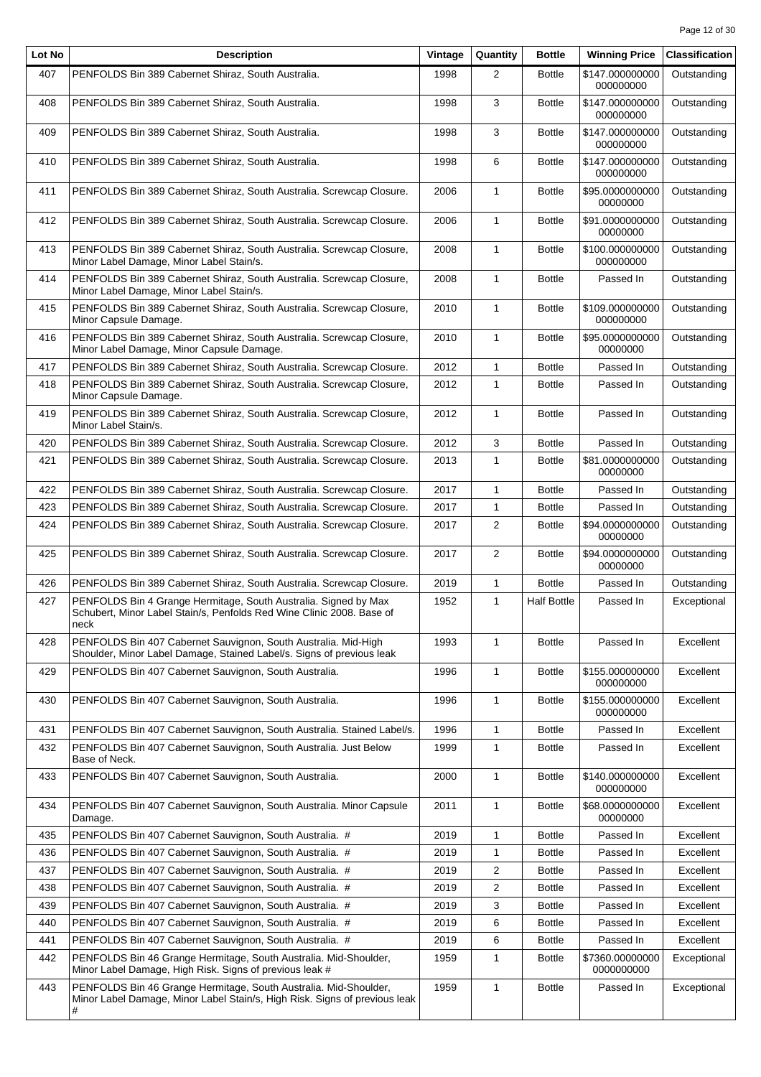| Lot No | <b>Description</b>                                                                                                                                  | Vintage | Quantity                | <b>Bottle</b>      | <b>Winning Price</b>          | <b>Classification</b> |
|--------|-----------------------------------------------------------------------------------------------------------------------------------------------------|---------|-------------------------|--------------------|-------------------------------|-----------------------|
| 407    | PENFOLDS Bin 389 Cabernet Shiraz, South Australia.                                                                                                  | 1998    | $\overline{2}$          | <b>Bottle</b>      | \$147.000000000<br>000000000  | Outstanding           |
| 408    | PENFOLDS Bin 389 Cabernet Shiraz, South Australia.                                                                                                  | 1998    | 3                       | <b>Bottle</b>      | \$147.000000000<br>000000000  | Outstanding           |
| 409    | PENFOLDS Bin 389 Cabernet Shiraz, South Australia.                                                                                                  | 1998    | 3                       | <b>Bottle</b>      | \$147.000000000<br>000000000  | Outstanding           |
| 410    | PENFOLDS Bin 389 Cabernet Shiraz, South Australia.                                                                                                  | 1998    | 6                       | <b>Bottle</b>      | \$147.000000000<br>000000000  | Outstanding           |
| 411    | PENFOLDS Bin 389 Cabernet Shiraz, South Australia. Screwcap Closure.                                                                                | 2006    | 1                       | <b>Bottle</b>      | \$95.0000000000<br>00000000   | Outstanding           |
| 412    | PENFOLDS Bin 389 Cabernet Shiraz, South Australia. Screwcap Closure.                                                                                | 2006    | $\mathbf{1}$            | <b>Bottle</b>      | \$91.0000000000<br>00000000   | Outstanding           |
| 413    | PENFOLDS Bin 389 Cabernet Shiraz, South Australia. Screwcap Closure,<br>Minor Label Damage, Minor Label Stain/s.                                    | 2008    | $\mathbf{1}$            | <b>Bottle</b>      | \$100.000000000<br>000000000  | Outstanding           |
| 414    | PENFOLDS Bin 389 Cabernet Shiraz, South Australia. Screwcap Closure,<br>Minor Label Damage, Minor Label Stain/s.                                    | 2008    | $\mathbf{1}$            | <b>Bottle</b>      | Passed In                     | Outstanding           |
| 415    | PENFOLDS Bin 389 Cabernet Shiraz, South Australia. Screwcap Closure,<br>Minor Capsule Damage.                                                       | 2010    | $\mathbf{1}$            | <b>Bottle</b>      | \$109.000000000<br>000000000  | Outstanding           |
| 416    | PENFOLDS Bin 389 Cabernet Shiraz, South Australia. Screwcap Closure,<br>Minor Label Damage, Minor Capsule Damage.                                   | 2010    | 1                       | <b>Bottle</b>      | \$95.0000000000<br>00000000   | Outstanding           |
| 417    | PENFOLDS Bin 389 Cabernet Shiraz, South Australia. Screwcap Closure.                                                                                | 2012    | 1                       | <b>Bottle</b>      | Passed In                     | Outstanding           |
| 418    | PENFOLDS Bin 389 Cabernet Shiraz, South Australia. Screwcap Closure,<br>Minor Capsule Damage.                                                       | 2012    | $\mathbf{1}$            | <b>Bottle</b>      | Passed In                     | Outstanding           |
| 419    | PENFOLDS Bin 389 Cabernet Shiraz, South Australia. Screwcap Closure,<br>Minor Label Stain/s.                                                        | 2012    | $\mathbf{1}$            | <b>Bottle</b>      | Passed In                     | Outstanding           |
| 420    | PENFOLDS Bin 389 Cabernet Shiraz, South Australia. Screwcap Closure.                                                                                | 2012    | 3                       | <b>Bottle</b>      | Passed In                     | Outstanding           |
| 421    | PENFOLDS Bin 389 Cabernet Shiraz, South Australia. Screwcap Closure.                                                                                | 2013    | $\mathbf{1}$            | <b>Bottle</b>      | \$81.0000000000<br>00000000   | Outstanding           |
| 422    | PENFOLDS Bin 389 Cabernet Shiraz, South Australia. Screwcap Closure.                                                                                | 2017    | $\mathbf{1}$            | <b>Bottle</b>      | Passed In                     | Outstanding           |
| 423    | PENFOLDS Bin 389 Cabernet Shiraz, South Australia. Screwcap Closure.                                                                                | 2017    | $\mathbf{1}$            | <b>Bottle</b>      | Passed In                     | Outstanding           |
| 424    | PENFOLDS Bin 389 Cabernet Shiraz, South Australia. Screwcap Closure.                                                                                | 2017    | $\overline{2}$          | <b>Bottle</b>      | \$94.0000000000<br>00000000   | Outstanding           |
| 425    | PENFOLDS Bin 389 Cabernet Shiraz, South Australia. Screwcap Closure.                                                                                | 2017    | $\overline{2}$          | <b>Bottle</b>      | \$94.0000000000<br>00000000   | Outstanding           |
| 426    | PENFOLDS Bin 389 Cabernet Shiraz, South Australia. Screwcap Closure.                                                                                | 2019    | 1                       | <b>Bottle</b>      | Passed In                     | Outstanding           |
| 427    | PENFOLDS Bin 4 Grange Hermitage, South Australia. Signed by Max<br>Schubert, Minor Label Stain/s, Penfolds Red Wine Clinic 2008. Base of<br>neck    | 1952    | $\mathbf{1}$            | <b>Half Bottle</b> | Passed In                     | Exceptional           |
| 428    | PENFOLDS Bin 407 Cabernet Sauvignon, South Australia. Mid-High<br>Shoulder, Minor Label Damage, Stained Label/s. Signs of previous leak             | 1993    | 1                       | <b>Bottle</b>      | Passed In                     | Excellent             |
| 429    | PENFOLDS Bin 407 Cabernet Sauvignon, South Australia.                                                                                               | 1996    | 1                       | <b>Bottle</b>      | \$155.000000000<br>000000000  | Excellent             |
| 430    | PENFOLDS Bin 407 Cabernet Sauvignon, South Australia.                                                                                               | 1996    | 1                       | <b>Bottle</b>      | \$155.000000000<br>000000000  | Excellent             |
| 431    | PENFOLDS Bin 407 Cabernet Sauvignon, South Australia. Stained Label/s.                                                                              | 1996    | 1                       | <b>Bottle</b>      | Passed In                     | Excellent             |
| 432    | PENFOLDS Bin 407 Cabernet Sauvignon, South Australia. Just Below<br>Base of Neck.                                                                   | 1999    | 1                       | <b>Bottle</b>      | Passed In                     | Excellent             |
| 433    | PENFOLDS Bin 407 Cabernet Sauvignon, South Australia.                                                                                               | 2000    | 1                       | <b>Bottle</b>      | \$140.000000000<br>000000000  | Excellent             |
| 434    | PENFOLDS Bin 407 Cabernet Sauvignon, South Australia. Minor Capsule<br>Damage.                                                                      | 2011    | 1                       | <b>Bottle</b>      | \$68.0000000000<br>00000000   | Excellent             |
| 435    | PENFOLDS Bin 407 Cabernet Sauvignon, South Australia. #                                                                                             | 2019    | 1                       | <b>Bottle</b>      | Passed In                     | Excellent             |
| 436    | PENFOLDS Bin 407 Cabernet Sauvignon, South Australia. #                                                                                             | 2019    | 1                       | <b>Bottle</b>      | Passed In                     | Excellent             |
| 437    | PENFOLDS Bin 407 Cabernet Sauvignon, South Australia. #                                                                                             | 2019    | 2                       | <b>Bottle</b>      | Passed In                     | Excellent             |
| 438    | PENFOLDS Bin 407 Cabernet Sauvignon, South Australia. #                                                                                             | 2019    | $\overline{\mathbf{c}}$ | <b>Bottle</b>      | Passed In                     | Excellent             |
| 439    | PENFOLDS Bin 407 Cabernet Sauvignon, South Australia. #                                                                                             | 2019    | 3                       | <b>Bottle</b>      | Passed In                     | Excellent             |
| 440    | PENFOLDS Bin 407 Cabernet Sauvignon, South Australia. #                                                                                             | 2019    | 6                       | <b>Bottle</b>      | Passed In                     | Excellent             |
| 441    | PENFOLDS Bin 407 Cabernet Sauvignon, South Australia. #                                                                                             | 2019    | 6                       | <b>Bottle</b>      | Passed In                     | Excellent             |
| 442    | PENFOLDS Bin 46 Grange Hermitage, South Australia. Mid-Shoulder,<br>Minor Label Damage, High Risk. Signs of previous leak #                         | 1959    | 1                       | <b>Bottle</b>      | \$7360.00000000<br>0000000000 | Exceptional           |
| 443    | PENFOLDS Bin 46 Grange Hermitage, South Australia. Mid-Shoulder,<br>Minor Label Damage, Minor Label Stain/s, High Risk. Signs of previous leak<br># | 1959    | 1                       | <b>Bottle</b>      | Passed In                     | Exceptional           |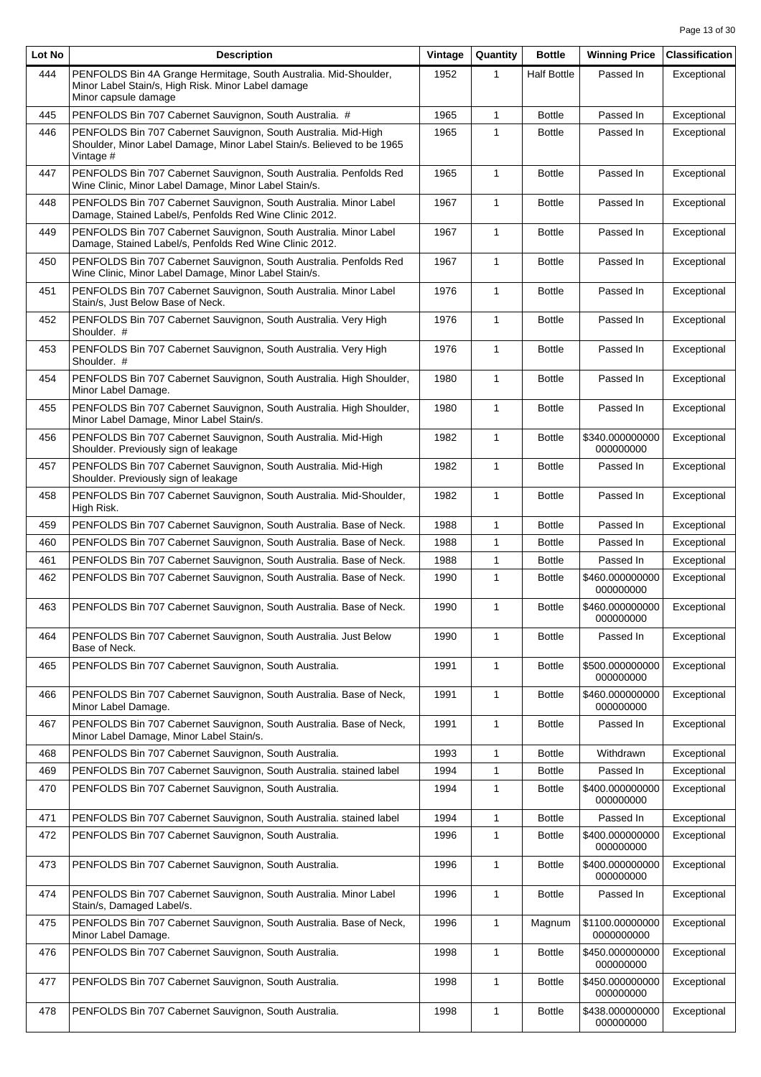| Lot No | <b>Description</b>                                                                                                                                    | Vintage | Quantity     | <b>Bottle</b>      | <b>Winning Price</b>          | <b>Classification</b> |
|--------|-------------------------------------------------------------------------------------------------------------------------------------------------------|---------|--------------|--------------------|-------------------------------|-----------------------|
| 444    | PENFOLDS Bin 4A Grange Hermitage, South Australia. Mid-Shoulder,<br>Minor Label Stain/s, High Risk. Minor Label damage<br>Minor capsule damage        | 1952    | 1            | <b>Half Bottle</b> | Passed In                     | Exceptional           |
| 445    | PENFOLDS Bin 707 Cabernet Sauvignon, South Australia. #                                                                                               | 1965    | 1            | <b>Bottle</b>      | Passed In                     | Exceptional           |
| 446    | PENFOLDS Bin 707 Cabernet Sauvignon, South Australia. Mid-High<br>Shoulder, Minor Label Damage, Minor Label Stain/s. Believed to be 1965<br>Vintage # | 1965    | $\mathbf{1}$ | <b>Bottle</b>      | Passed In                     | Exceptional           |
| 447    | PENFOLDS Bin 707 Cabernet Sauvignon, South Australia. Penfolds Red<br>Wine Clinic, Minor Label Damage, Minor Label Stain/s.                           | 1965    | $\mathbf{1}$ | <b>Bottle</b>      | Passed In                     | Exceptional           |
| 448    | PENFOLDS Bin 707 Cabernet Sauvignon, South Australia. Minor Label<br>Damage, Stained Label/s, Penfolds Red Wine Clinic 2012.                          | 1967    | $\mathbf{1}$ | <b>Bottle</b>      | Passed In                     | Exceptional           |
| 449    | PENFOLDS Bin 707 Cabernet Sauvignon, South Australia. Minor Label<br>Damage, Stained Label/s, Penfolds Red Wine Clinic 2012.                          | 1967    | $\mathbf{1}$ | <b>Bottle</b>      | Passed In                     | Exceptional           |
| 450    | PENFOLDS Bin 707 Cabernet Sauvignon, South Australia. Penfolds Red<br>Wine Clinic, Minor Label Damage, Minor Label Stain/s.                           | 1967    | $\mathbf{1}$ | <b>Bottle</b>      | Passed In                     | Exceptional           |
| 451    | PENFOLDS Bin 707 Cabernet Sauvignon, South Australia. Minor Label<br>Stain/s, Just Below Base of Neck.                                                | 1976    | $\mathbf{1}$ | <b>Bottle</b>      | Passed In                     | Exceptional           |
| 452    | PENFOLDS Bin 707 Cabernet Sauvignon, South Australia. Very High<br>Shoulder. #                                                                        | 1976    | 1            | <b>Bottle</b>      | Passed In                     | Exceptional           |
| 453    | PENFOLDS Bin 707 Cabernet Sauvignon, South Australia. Very High<br>Shoulder. #                                                                        | 1976    | $\mathbf{1}$ | <b>Bottle</b>      | Passed In                     | Exceptional           |
| 454    | PENFOLDS Bin 707 Cabernet Sauvignon, South Australia. High Shoulder,<br>Minor Label Damage.                                                           | 1980    | $\mathbf{1}$ | <b>Bottle</b>      | Passed In                     | Exceptional           |
| 455    | PENFOLDS Bin 707 Cabernet Sauvignon, South Australia. High Shoulder,<br>Minor Label Damage, Minor Label Stain/s.                                      | 1980    | $\mathbf{1}$ | <b>Bottle</b>      | Passed In                     | Exceptional           |
| 456    | PENFOLDS Bin 707 Cabernet Sauvignon, South Australia. Mid-High<br>Shoulder. Previously sign of leakage                                                | 1982    | $\mathbf{1}$ | <b>Bottle</b>      | \$340.000000000<br>000000000  | Exceptional           |
| 457    | PENFOLDS Bin 707 Cabernet Sauvignon, South Australia. Mid-High<br>Shoulder. Previously sign of leakage                                                | 1982    | 1            | <b>Bottle</b>      | Passed In                     | Exceptional           |
| 458    | PENFOLDS Bin 707 Cabernet Sauvignon, South Australia. Mid-Shoulder,<br>High Risk.                                                                     | 1982    | $\mathbf{1}$ | <b>Bottle</b>      | Passed In                     | Exceptional           |
| 459    | PENFOLDS Bin 707 Cabernet Sauvignon, South Australia. Base of Neck.                                                                                   | 1988    | $\mathbf{1}$ | <b>Bottle</b>      | Passed In                     | Exceptional           |
| 460    | PENFOLDS Bin 707 Cabernet Sauvignon, South Australia. Base of Neck.                                                                                   | 1988    | $\mathbf{1}$ | <b>Bottle</b>      | Passed In                     | Exceptional           |
| 461    | PENFOLDS Bin 707 Cabernet Sauvignon, South Australia. Base of Neck.                                                                                   | 1988    | 1            | <b>Bottle</b>      | Passed In                     | Exceptional           |
| 462    | PENFOLDS Bin 707 Cabernet Sauvignon, South Australia. Base of Neck.                                                                                   | 1990    | $\mathbf{1}$ | <b>Bottle</b>      | \$460.000000000<br>000000000  | Exceptional           |
| 463    | PENFOLDS Bin 707 Cabernet Sauvignon, South Australia. Base of Neck.                                                                                   | 1990    | $\mathbf{1}$ | <b>Bottle</b>      | \$460.000000000<br>000000000  | Exceptional           |
| 464    | PENFOLDS Bin 707 Cabernet Sauvignon, South Australia. Just Below<br>Base of Neck.                                                                     | 1990    | $\mathbf{1}$ | <b>Bottle</b>      | Passed In                     | Exceptional           |
| 465    | PENFOLDS Bin 707 Cabernet Sauvignon, South Australia.                                                                                                 | 1991    | 1            | <b>Bottle</b>      | \$500.000000000<br>000000000  | Exceptional           |
| 466    | PENFOLDS Bin 707 Cabernet Sauvignon, South Australia. Base of Neck,<br>Minor Label Damage.                                                            | 1991    | $\mathbf{1}$ | <b>Bottle</b>      | \$460.000000000<br>000000000  | Exceptional           |
| 467    | PENFOLDS Bin 707 Cabernet Sauvignon, South Australia. Base of Neck,<br>Minor Label Damage, Minor Label Stain/s.                                       | 1991    | $\mathbf{1}$ | <b>Bottle</b>      | Passed In                     | Exceptional           |
| 468    | PENFOLDS Bin 707 Cabernet Sauvignon, South Australia.                                                                                                 | 1993    | $\mathbf{1}$ | <b>Bottle</b>      | Withdrawn                     | Exceptional           |
| 469    | PENFOLDS Bin 707 Cabernet Sauvignon, South Australia. stained label                                                                                   | 1994    | $\mathbf{1}$ | <b>Bottle</b>      | Passed In                     | Exceptional           |
| 470    | PENFOLDS Bin 707 Cabernet Sauvignon, South Australia.                                                                                                 | 1994    | 1            | <b>Bottle</b>      | \$400.000000000<br>000000000  | Exceptional           |
| 471    | PENFOLDS Bin 707 Cabernet Sauvignon, South Australia. stained label                                                                                   | 1994    | $\mathbf{1}$ | <b>Bottle</b>      | Passed In                     | Exceptional           |
| 472    | PENFOLDS Bin 707 Cabernet Sauvignon, South Australia.                                                                                                 | 1996    | 1            | <b>Bottle</b>      | \$400.000000000<br>000000000  | Exceptional           |
| 473    | PENFOLDS Bin 707 Cabernet Sauvignon, South Australia.                                                                                                 | 1996    | 1            | <b>Bottle</b>      | \$400.000000000<br>000000000  | Exceptional           |
| 474    | PENFOLDS Bin 707 Cabernet Sauvignon, South Australia. Minor Label<br>Stain/s, Damaged Label/s.                                                        | 1996    | $\mathbf{1}$ | <b>Bottle</b>      | Passed In                     | Exceptional           |
| 475    | PENFOLDS Bin 707 Cabernet Sauvignon, South Australia. Base of Neck,<br>Minor Label Damage.                                                            | 1996    | $\mathbf{1}$ | Magnum             | \$1100.00000000<br>0000000000 | Exceptional           |
| 476    | PENFOLDS Bin 707 Cabernet Sauvignon, South Australia.                                                                                                 | 1998    | $\mathbf{1}$ | <b>Bottle</b>      | \$450.000000000<br>000000000  | Exceptional           |
| 477    | PENFOLDS Bin 707 Cabernet Sauvignon, South Australia.                                                                                                 | 1998    | $\mathbf{1}$ | <b>Bottle</b>      | \$450.000000000<br>000000000  | Exceptional           |
| 478    | PENFOLDS Bin 707 Cabernet Sauvignon, South Australia.                                                                                                 | 1998    | 1            | <b>Bottle</b>      | \$438.000000000<br>000000000  | Exceptional           |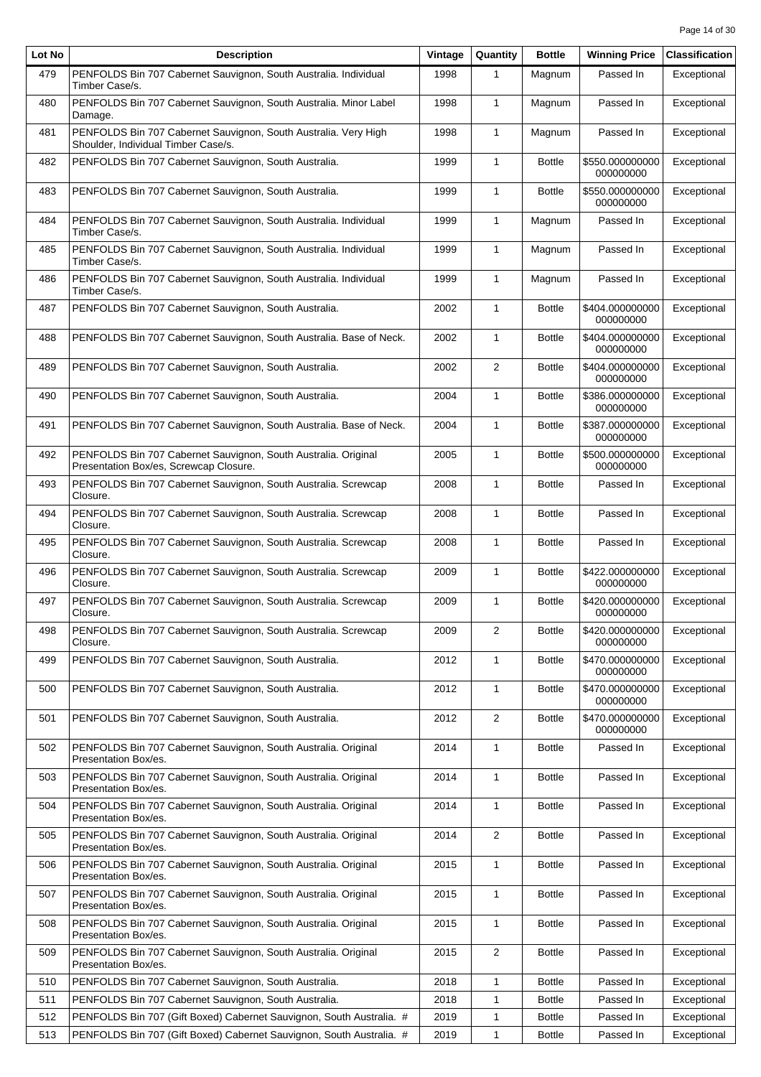| Lot No | <b>Description</b>                                                                                       | Vintage | Quantity       | <b>Bottle</b> | <b>Winning Price</b>         | <b>Classification</b> |
|--------|----------------------------------------------------------------------------------------------------------|---------|----------------|---------------|------------------------------|-----------------------|
| 479    | PENFOLDS Bin 707 Cabernet Sauvignon, South Australia. Individual<br>Timber Case/s.                       | 1998    | 1              | Magnum        | Passed In                    | Exceptional           |
| 480    | PENFOLDS Bin 707 Cabernet Sauvignon, South Australia. Minor Label<br>Damage.                             | 1998    | $\mathbf{1}$   | Magnum        | Passed In                    | Exceptional           |
| 481    | PENFOLDS Bin 707 Cabernet Sauvignon, South Australia. Very High<br>Shoulder, Individual Timber Case/s.   | 1998    | $\mathbf{1}$   | Magnum        | Passed In                    | Exceptional           |
| 482    | PENFOLDS Bin 707 Cabernet Sauvignon, South Australia.                                                    | 1999    | $\mathbf{1}$   | <b>Bottle</b> | \$550.000000000<br>000000000 | Exceptional           |
| 483    | PENFOLDS Bin 707 Cabernet Sauvignon, South Australia.                                                    | 1999    | $\mathbf{1}$   | <b>Bottle</b> | \$550.000000000<br>000000000 | Exceptional           |
| 484    | PENFOLDS Bin 707 Cabernet Sauvignon, South Australia. Individual<br>Timber Case/s.                       | 1999    | $\mathbf{1}$   | Magnum        | Passed In                    | Exceptional           |
| 485    | PENFOLDS Bin 707 Cabernet Sauvignon, South Australia. Individual<br>Timber Case/s.                       | 1999    | $\mathbf{1}$   | Magnum        | Passed In                    | Exceptional           |
| 486    | PENFOLDS Bin 707 Cabernet Sauvignon, South Australia. Individual<br>Timber Case/s.                       | 1999    | $\mathbf{1}$   | Magnum        | Passed In                    | Exceptional           |
| 487    | PENFOLDS Bin 707 Cabernet Sauvignon, South Australia.                                                    | 2002    | $\mathbf{1}$   | <b>Bottle</b> | \$404.000000000<br>000000000 | Exceptional           |
| 488    | PENFOLDS Bin 707 Cabernet Sauvignon, South Australia. Base of Neck.                                      | 2002    | $\mathbf{1}$   | <b>Bottle</b> | \$404.000000000<br>000000000 | Exceptional           |
| 489    | PENFOLDS Bin 707 Cabernet Sauvignon, South Australia.                                                    | 2002    | 2              | <b>Bottle</b> | \$404.000000000<br>000000000 | Exceptional           |
| 490    | PENFOLDS Bin 707 Cabernet Sauvignon, South Australia.                                                    | 2004    | $\mathbf{1}$   | <b>Bottle</b> | \$386.000000000<br>000000000 | Exceptional           |
| 491    | PENFOLDS Bin 707 Cabernet Sauvignon, South Australia. Base of Neck.                                      | 2004    | $\mathbf{1}$   | <b>Bottle</b> | \$387.000000000<br>000000000 | Exceptional           |
| 492    | PENFOLDS Bin 707 Cabernet Sauvignon, South Australia. Original<br>Presentation Box/es, Screwcap Closure. | 2005    | $\mathbf{1}$   | <b>Bottle</b> | \$500.000000000<br>000000000 | Exceptional           |
| 493    | PENFOLDS Bin 707 Cabernet Sauvignon, South Australia. Screwcap<br>Closure.                               | 2008    | $\mathbf{1}$   | <b>Bottle</b> | Passed In                    | Exceptional           |
| 494    | PENFOLDS Bin 707 Cabernet Sauvignon, South Australia. Screwcap<br>Closure.                               | 2008    | $\mathbf{1}$   | <b>Bottle</b> | Passed In                    | Exceptional           |
| 495    | PENFOLDS Bin 707 Cabernet Sauvignon, South Australia. Screwcap<br>Closure.                               | 2008    | $\mathbf{1}$   | <b>Bottle</b> | Passed In                    | Exceptional           |
| 496    | PENFOLDS Bin 707 Cabernet Sauvignon, South Australia. Screwcap<br>Closure.                               | 2009    | $\mathbf{1}$   | <b>Bottle</b> | \$422.000000000<br>000000000 | Exceptional           |
| 497    | PENFOLDS Bin 707 Cabernet Sauvignon, South Australia. Screwcap<br>Closure.                               | 2009    | $\mathbf{1}$   | <b>Bottle</b> | \$420.000000000<br>000000000 | Exceptional           |
| 498    | PENFOLDS Bin 707 Cabernet Sauvignon, South Australia. Screwcap<br>Closure.                               | 2009    | 2              | <b>Bottle</b> | \$420.000000000<br>000000000 | Exceptional           |
| 499    | PENFOLDS Bin 707 Cabernet Sauvignon, South Australia.                                                    | 2012    | $\mathbf{1}$   | <b>Bottle</b> | \$470.000000000<br>000000000 | Exceptional           |
| 500    | PENFOLDS Bin 707 Cabernet Sauvignon, South Australia.                                                    | 2012    | 1              | <b>Bottle</b> | \$470.000000000<br>000000000 | Exceptional           |
| 501    | PENFOLDS Bin 707 Cabernet Sauvignon, South Australia.                                                    | 2012    | 2              | <b>Bottle</b> | \$470.000000000<br>000000000 | Exceptional           |
| 502    | PENFOLDS Bin 707 Cabernet Sauvignon, South Australia. Original<br>Presentation Box/es.                   | 2014    | $\mathbf{1}$   | <b>Bottle</b> | Passed In                    | Exceptional           |
| 503    | PENFOLDS Bin 707 Cabernet Sauvignon, South Australia. Original<br>Presentation Box/es.                   | 2014    | $\mathbf{1}$   | <b>Bottle</b> | Passed In                    | Exceptional           |
| 504    | PENFOLDS Bin 707 Cabernet Sauvignon, South Australia. Original<br>Presentation Box/es.                   | 2014    | $\mathbf{1}$   | <b>Bottle</b> | Passed In                    | Exceptional           |
| 505    | PENFOLDS Bin 707 Cabernet Sauvignon, South Australia. Original<br>Presentation Box/es.                   | 2014    | $\overline{2}$ | <b>Bottle</b> | Passed In                    | Exceptional           |
| 506    | PENFOLDS Bin 707 Cabernet Sauvignon, South Australia. Original<br>Presentation Box/es.                   | 2015    | 1              | <b>Bottle</b> | Passed In                    | Exceptional           |
| 507    | PENFOLDS Bin 707 Cabernet Sauvignon, South Australia. Original<br>Presentation Box/es.                   | 2015    | $\mathbf{1}$   | <b>Bottle</b> | Passed In                    | Exceptional           |
| 508    | PENFOLDS Bin 707 Cabernet Sauvignon, South Australia. Original<br>Presentation Box/es.                   | 2015    | $\mathbf{1}$   | <b>Bottle</b> | Passed In                    | Exceptional           |
| 509    | PENFOLDS Bin 707 Cabernet Sauvignon, South Australia. Original<br>Presentation Box/es.                   | 2015    | 2              | <b>Bottle</b> | Passed In                    | Exceptional           |
| 510    | PENFOLDS Bin 707 Cabernet Sauvignon, South Australia.                                                    | 2018    | 1              | <b>Bottle</b> | Passed In                    | Exceptional           |
| 511    | PENFOLDS Bin 707 Cabernet Sauvignon, South Australia.                                                    | 2018    | 1              | <b>Bottle</b> | Passed In                    | Exceptional           |
| 512    | PENFOLDS Bin 707 (Gift Boxed) Cabernet Sauvignon, South Australia. #                                     | 2019    | 1              | <b>Bottle</b> | Passed In                    | Exceptional           |
| 513    | PENFOLDS Bin 707 (Gift Boxed) Cabernet Sauvignon, South Australia. #                                     | 2019    | $\mathbf{1}$   | <b>Bottle</b> | Passed In                    | Exceptional           |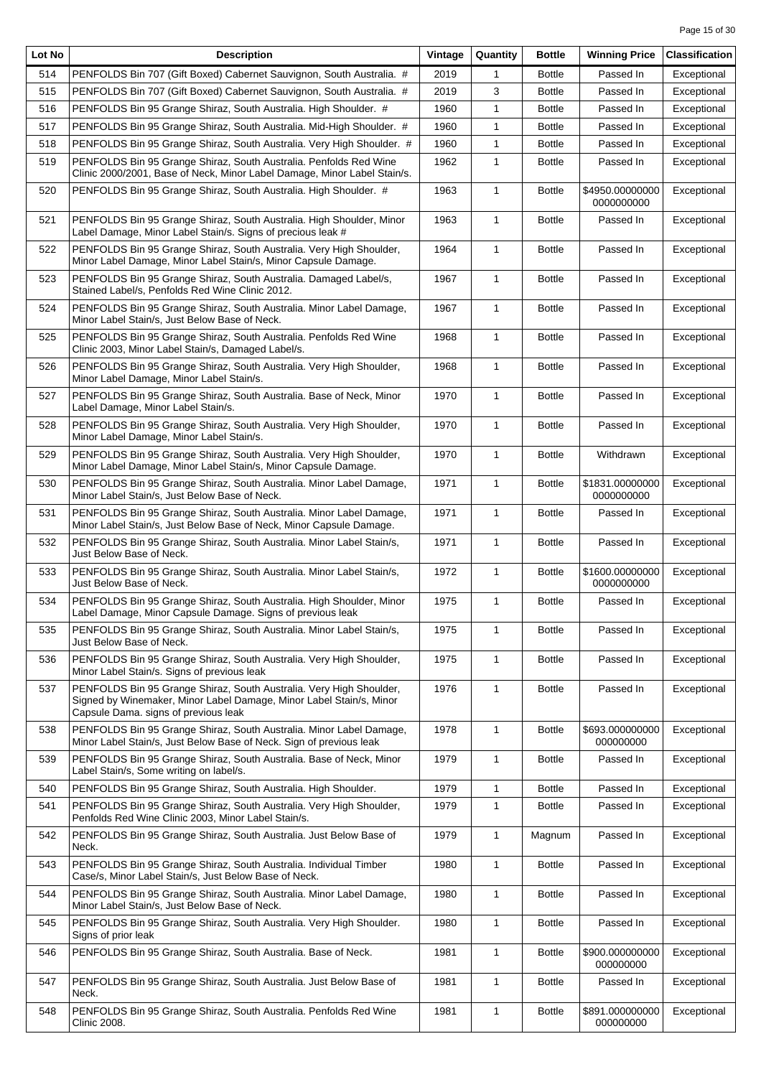| Lot No | <b>Description</b>                                                                                                                                                                 | Vintage | Quantity     | <b>Bottle</b> | <b>Winning Price</b>          | <b>Classification</b> |
|--------|------------------------------------------------------------------------------------------------------------------------------------------------------------------------------------|---------|--------------|---------------|-------------------------------|-----------------------|
| 514    | PENFOLDS Bin 707 (Gift Boxed) Cabernet Sauvignon, South Australia. #                                                                                                               | 2019    | 1            | <b>Bottle</b> | Passed In                     | Exceptional           |
| 515    | PENFOLDS Bin 707 (Gift Boxed) Cabernet Sauvignon, South Australia. #                                                                                                               | 2019    | 3            | <b>Bottle</b> | Passed In                     | Exceptional           |
| 516    | PENFOLDS Bin 95 Grange Shiraz, South Australia. High Shoulder. #                                                                                                                   | 1960    | 1            | <b>Bottle</b> | Passed In                     | Exceptional           |
| 517    | PENFOLDS Bin 95 Grange Shiraz, South Australia. Mid-High Shoulder. #                                                                                                               | 1960    | $\mathbf{1}$ | <b>Bottle</b> | Passed In                     | Exceptional           |
| 518    | PENFOLDS Bin 95 Grange Shiraz, South Australia. Very High Shoulder. #                                                                                                              | 1960    | 1            | <b>Bottle</b> | Passed In                     | Exceptional           |
| 519    | PENFOLDS Bin 95 Grange Shiraz, South Australia. Penfolds Red Wine                                                                                                                  | 1962    | $\mathbf{1}$ | <b>Bottle</b> | Passed In                     | Exceptional           |
|        | Clinic 2000/2001, Base of Neck, Minor Label Damage, Minor Label Stain/s.                                                                                                           |         |              |               |                               |                       |
| 520    | PENFOLDS Bin 95 Grange Shiraz, South Australia. High Shoulder. #                                                                                                                   | 1963    | 1            | <b>Bottle</b> | \$4950.00000000<br>0000000000 | Exceptional           |
| 521    | PENFOLDS Bin 95 Grange Shiraz, South Australia. High Shoulder, Minor<br>Label Damage, Minor Label Stain/s. Signs of precious leak #                                                | 1963    | 1            | <b>Bottle</b> | Passed In                     | Exceptional           |
| 522    | PENFOLDS Bin 95 Grange Shiraz, South Australia. Very High Shoulder,<br>Minor Label Damage, Minor Label Stain/s, Minor Capsule Damage.                                              | 1964    | 1            | <b>Bottle</b> | Passed In                     | Exceptional           |
| 523    | PENFOLDS Bin 95 Grange Shiraz, South Australia. Damaged Label/s,<br>Stained Label/s, Penfolds Red Wine Clinic 2012.                                                                | 1967    | $\mathbf{1}$ | <b>Bottle</b> | Passed In                     | Exceptional           |
| 524    | PENFOLDS Bin 95 Grange Shiraz, South Australia. Minor Label Damage,<br>Minor Label Stain/s, Just Below Base of Neck.                                                               | 1967    | $\mathbf{1}$ | <b>Bottle</b> | Passed In                     | Exceptional           |
| 525    | PENFOLDS Bin 95 Grange Shiraz, South Australia. Penfolds Red Wine<br>Clinic 2003, Minor Label Stain/s, Damaged Label/s.                                                            | 1968    | $\mathbf{1}$ | <b>Bottle</b> | Passed In                     | Exceptional           |
| 526    | PENFOLDS Bin 95 Grange Shiraz, South Australia. Very High Shoulder,<br>Minor Label Damage, Minor Label Stain/s.                                                                    | 1968    | 1            | <b>Bottle</b> | Passed In                     | Exceptional           |
| 527    | PENFOLDS Bin 95 Grange Shiraz, South Australia. Base of Neck, Minor<br>Label Damage, Minor Label Stain/s.                                                                          | 1970    | 1            | <b>Bottle</b> | Passed In                     | Exceptional           |
| 528    | PENFOLDS Bin 95 Grange Shiraz, South Australia. Very High Shoulder,<br>Minor Label Damage, Minor Label Stain/s.                                                                    | 1970    | $\mathbf{1}$ | <b>Bottle</b> | Passed In                     | Exceptional           |
| 529    | PENFOLDS Bin 95 Grange Shiraz, South Australia. Very High Shoulder,<br>Minor Label Damage, Minor Label Stain/s, Minor Capsule Damage.                                              | 1970    | $\mathbf{1}$ | <b>Bottle</b> | Withdrawn                     | Exceptional           |
| 530    | PENFOLDS Bin 95 Grange Shiraz, South Australia. Minor Label Damage,<br>Minor Label Stain/s, Just Below Base of Neck.                                                               | 1971    | $\mathbf{1}$ | <b>Bottle</b> | \$1831.00000000<br>0000000000 | Exceptional           |
| 531    | PENFOLDS Bin 95 Grange Shiraz, South Australia. Minor Label Damage,<br>Minor Label Stain/s, Just Below Base of Neck, Minor Capsule Damage.                                         | 1971    | $\mathbf{1}$ | <b>Bottle</b> | Passed In                     | Exceptional           |
| 532    | PENFOLDS Bin 95 Grange Shiraz, South Australia. Minor Label Stain/s,<br>Just Below Base of Neck.                                                                                   | 1971    | 1            | <b>Bottle</b> | Passed In                     | Exceptional           |
| 533    | PENFOLDS Bin 95 Grange Shiraz, South Australia. Minor Label Stain/s,<br>Just Below Base of Neck.                                                                                   | 1972    | 1            | <b>Bottle</b> | \$1600.00000000<br>0000000000 | Exceptional           |
| 534    | PENFOLDS Bin 95 Grange Shiraz, South Australia. High Shoulder, Minor<br>Label Damage, Minor Capsule Damage. Signs of previous leak                                                 | 1975    | $\mathbf{1}$ | <b>Bottle</b> | Passed In                     | Exceptional           |
| 535    | PENFOLDS Bin 95 Grange Shiraz, South Australia. Minor Label Stain/s,<br>Just Below Base of Neck.                                                                                   | 1975    | $\mathbf{1}$ | <b>Bottle</b> | Passed In                     | Exceptional           |
| 536    | PENFOLDS Bin 95 Grange Shiraz, South Australia. Very High Shoulder,<br>Minor Label Stain/s. Signs of previous leak                                                                 | 1975    | 1            | <b>Bottle</b> | Passed In                     | Exceptional           |
| 537    | PENFOLDS Bin 95 Grange Shiraz, South Australia. Very High Shoulder,<br>Signed by Winemaker, Minor Label Damage, Minor Label Stain/s, Minor<br>Capsule Dama. signs of previous leak | 1976    | 1            | <b>Bottle</b> | Passed In                     | Exceptional           |
| 538    | PENFOLDS Bin 95 Grange Shiraz, South Australia. Minor Label Damage,<br>Minor Label Stain/s, Just Below Base of Neck. Sign of previous leak                                         | 1978    | $\mathbf{1}$ | <b>Bottle</b> | \$693.000000000<br>000000000  | Exceptional           |
| 539    | PENFOLDS Bin 95 Grange Shiraz, South Australia. Base of Neck, Minor<br>Label Stain/s, Some writing on label/s.                                                                     | 1979    | 1            | <b>Bottle</b> | Passed In                     | Exceptional           |
| 540    | PENFOLDS Bin 95 Grange Shiraz, South Australia. High Shoulder.                                                                                                                     | 1979    | 1            | <b>Bottle</b> | Passed In                     | Exceptional           |
| 541    | PENFOLDS Bin 95 Grange Shiraz, South Australia. Very High Shoulder,<br>Penfolds Red Wine Clinic 2003, Minor Label Stain/s.                                                         | 1979    | $\mathbf{1}$ | <b>Bottle</b> | Passed In                     | Exceptional           |
| 542    | PENFOLDS Bin 95 Grange Shiraz, South Australia. Just Below Base of<br>Neck.                                                                                                        | 1979    | 1            | Magnum        | Passed In                     | Exceptional           |
| 543    | PENFOLDS Bin 95 Grange Shiraz, South Australia. Individual Timber<br>Case/s, Minor Label Stain/s, Just Below Base of Neck.                                                         | 1980    | 1            | <b>Bottle</b> | Passed In                     | Exceptional           |
| 544    | PENFOLDS Bin 95 Grange Shiraz, South Australia. Minor Label Damage,<br>Minor Label Stain/s, Just Below Base of Neck.                                                               | 1980    | 1            | <b>Bottle</b> | Passed In                     | Exceptional           |
| 545    | PENFOLDS Bin 95 Grange Shiraz, South Australia. Very High Shoulder.<br>Signs of prior leak                                                                                         | 1980    | $\mathbf{1}$ | <b>Bottle</b> | Passed In                     | Exceptional           |
| 546    | PENFOLDS Bin 95 Grange Shiraz, South Australia. Base of Neck.                                                                                                                      | 1981    | 1            | <b>Bottle</b> | \$900.000000000<br>000000000  | Exceptional           |
| 547    | PENFOLDS Bin 95 Grange Shiraz, South Australia. Just Below Base of<br>Neck.                                                                                                        | 1981    | 1            | <b>Bottle</b> | Passed In                     | Exceptional           |
| 548    | PENFOLDS Bin 95 Grange Shiraz, South Australia. Penfolds Red Wine<br><b>Clinic 2008.</b>                                                                                           | 1981    | 1            | <b>Bottle</b> | \$891.000000000<br>000000000  | Exceptional           |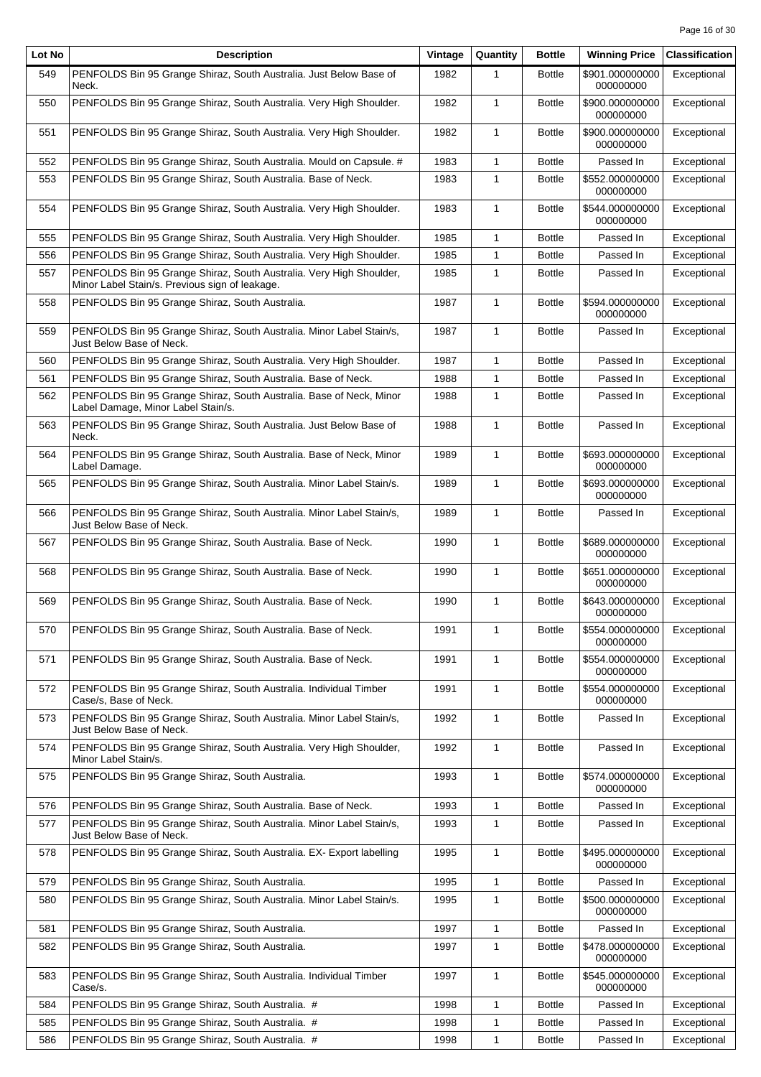| Lot No | <b>Description</b>                                                                                                    | Vintage | Quantity     | <b>Bottle</b> | <b>Winning Price</b>         | <b>Classification</b> |
|--------|-----------------------------------------------------------------------------------------------------------------------|---------|--------------|---------------|------------------------------|-----------------------|
| 549    | PENFOLDS Bin 95 Grange Shiraz, South Australia. Just Below Base of<br>Neck.                                           | 1982    | 1            | <b>Bottle</b> | \$901.000000000<br>000000000 | Exceptional           |
| 550    | PENFOLDS Bin 95 Grange Shiraz, South Australia. Very High Shoulder.                                                   | 1982    | $\mathbf{1}$ | <b>Bottle</b> | \$900.000000000<br>000000000 | Exceptional           |
| 551    | PENFOLDS Bin 95 Grange Shiraz, South Australia. Very High Shoulder.                                                   | 1982    | $\mathbf{1}$ | <b>Bottle</b> | \$900.000000000<br>000000000 | Exceptional           |
| 552    | PENFOLDS Bin 95 Grange Shiraz, South Australia. Mould on Capsule. #                                                   | 1983    | 1            | <b>Bottle</b> | Passed In                    | Exceptional           |
| 553    | PENFOLDS Bin 95 Grange Shiraz, South Australia. Base of Neck.                                                         | 1983    | $\mathbf{1}$ | <b>Bottle</b> | \$552.000000000<br>000000000 | Exceptional           |
| 554    | PENFOLDS Bin 95 Grange Shiraz, South Australia. Very High Shoulder.                                                   | 1983    | $\mathbf{1}$ | <b>Bottle</b> | \$544.000000000<br>000000000 | Exceptional           |
| 555    | PENFOLDS Bin 95 Grange Shiraz, South Australia. Very High Shoulder.                                                   | 1985    | 1            | <b>Bottle</b> | Passed In                    | Exceptional           |
| 556    | PENFOLDS Bin 95 Grange Shiraz, South Australia. Very High Shoulder.                                                   | 1985    | 1            | <b>Bottle</b> | Passed In                    | Exceptional           |
| 557    | PENFOLDS Bin 95 Grange Shiraz, South Australia. Very High Shoulder,<br>Minor Label Stain/s. Previous sign of leakage. | 1985    | $\mathbf{1}$ | <b>Bottle</b> | Passed In                    | Exceptional           |
| 558    | PENFOLDS Bin 95 Grange Shiraz, South Australia.                                                                       | 1987    | $\mathbf{1}$ | <b>Bottle</b> | \$594.000000000<br>000000000 | Exceptional           |
| 559    | PENFOLDS Bin 95 Grange Shiraz, South Australia. Minor Label Stain/s,<br>Just Below Base of Neck.                      | 1987    | $\mathbf{1}$ | <b>Bottle</b> | Passed In                    | Exceptional           |
| 560    | PENFOLDS Bin 95 Grange Shiraz, South Australia. Very High Shoulder.                                                   | 1987    | 1            | <b>Bottle</b> | Passed In                    | Exceptional           |
| 561    | PENFOLDS Bin 95 Grange Shiraz, South Australia. Base of Neck.                                                         | 1988    | $\mathbf{1}$ | <b>Bottle</b> | Passed In                    | Exceptional           |
| 562    | PENFOLDS Bin 95 Grange Shiraz, South Australia. Base of Neck, Minor<br>Label Damage, Minor Label Stain/s.             | 1988    | $\mathbf{1}$ | <b>Bottle</b> | Passed In                    | Exceptional           |
| 563    | PENFOLDS Bin 95 Grange Shiraz, South Australia. Just Below Base of<br>Neck.                                           | 1988    | $\mathbf{1}$ | <b>Bottle</b> | Passed In                    | Exceptional           |
| 564    | PENFOLDS Bin 95 Grange Shiraz, South Australia. Base of Neck, Minor<br>Label Damage.                                  | 1989    | $\mathbf{1}$ | <b>Bottle</b> | \$693.000000000<br>000000000 | Exceptional           |
| 565    | PENFOLDS Bin 95 Grange Shiraz, South Australia. Minor Label Stain/s.                                                  | 1989    | $\mathbf{1}$ | <b>Bottle</b> | \$693.000000000<br>000000000 | Exceptional           |
| 566    | PENFOLDS Bin 95 Grange Shiraz, South Australia. Minor Label Stain/s,<br>Just Below Base of Neck.                      | 1989    | $\mathbf{1}$ | <b>Bottle</b> | Passed In                    | Exceptional           |
| 567    | PENFOLDS Bin 95 Grange Shiraz, South Australia. Base of Neck.                                                         | 1990    | $\mathbf{1}$ | <b>Bottle</b> | \$689.000000000<br>000000000 | Exceptional           |
| 568    | PENFOLDS Bin 95 Grange Shiraz, South Australia. Base of Neck.                                                         | 1990    | $\mathbf{1}$ | <b>Bottle</b> | \$651.000000000<br>000000000 | Exceptional           |
| 569    | PENFOLDS Bin 95 Grange Shiraz, South Australia. Base of Neck.                                                         | 1990    | $\mathbf{1}$ | <b>Bottle</b> | \$643.000000000<br>000000000 | Exceptional           |
| 570    | PENFOLDS Bin 95 Grange Shiraz, South Australia. Base of Neck.                                                         | 1991    | $\mathbf{1}$ | <b>Bottle</b> | \$554.000000000<br>000000000 | Exceptional           |
| 571    | PENFOLDS Bin 95 Grange Shiraz, South Australia. Base of Neck.                                                         | 1991    | 1            | <b>Bottle</b> | \$554.000000000<br>000000000 | Exceptional           |
| 572    | PENFOLDS Bin 95 Grange Shiraz, South Australia. Individual Timber<br>Case/s, Base of Neck.                            | 1991    | $\mathbf{1}$ | <b>Bottle</b> | \$554.000000000<br>000000000 | Exceptional           |
| 573    | PENFOLDS Bin 95 Grange Shiraz, South Australia. Minor Label Stain/s,<br>Just Below Base of Neck.                      | 1992    | $\mathbf{1}$ | <b>Bottle</b> | Passed In                    | Exceptional           |
| 574    | PENFOLDS Bin 95 Grange Shiraz, South Australia. Very High Shoulder,<br>Minor Label Stain/s.                           | 1992    | $\mathbf{1}$ | <b>Bottle</b> | Passed In                    | Exceptional           |
| 575    | PENFOLDS Bin 95 Grange Shiraz, South Australia.                                                                       | 1993    | $\mathbf{1}$ | <b>Bottle</b> | \$574.000000000<br>000000000 | Exceptional           |
| 576    | PENFOLDS Bin 95 Grange Shiraz, South Australia. Base of Neck.                                                         | 1993    | 1            | <b>Bottle</b> | Passed In                    | Exceptional           |
| 577    | PENFOLDS Bin 95 Grange Shiraz, South Australia. Minor Label Stain/s,<br>Just Below Base of Neck.                      | 1993    | $\mathbf{1}$ | <b>Bottle</b> | Passed In                    | Exceptional           |
| 578    | PENFOLDS Bin 95 Grange Shiraz, South Australia. EX- Export labelling                                                  | 1995    | $\mathbf{1}$ | <b>Bottle</b> | \$495.000000000<br>000000000 | Exceptional           |
| 579    | PENFOLDS Bin 95 Grange Shiraz, South Australia.                                                                       | 1995    | 1            | <b>Bottle</b> | Passed In                    | Exceptional           |
| 580    | PENFOLDS Bin 95 Grange Shiraz, South Australia. Minor Label Stain/s.                                                  | 1995    | $\mathbf{1}$ | <b>Bottle</b> | \$500.000000000<br>000000000 | Exceptional           |
| 581    | PENFOLDS Bin 95 Grange Shiraz, South Australia.                                                                       | 1997    | 1            | <b>Bottle</b> | Passed In                    | Exceptional           |
| 582    | PENFOLDS Bin 95 Grange Shiraz, South Australia.                                                                       | 1997    | $\mathbf{1}$ | <b>Bottle</b> | \$478.000000000<br>000000000 | Exceptional           |
| 583    | PENFOLDS Bin 95 Grange Shiraz, South Australia. Individual Timber<br>Case/s.                                          | 1997    | 1            | <b>Bottle</b> | \$545.000000000<br>000000000 | Exceptional           |
| 584    | PENFOLDS Bin 95 Grange Shiraz, South Australia. #                                                                     | 1998    | 1            | <b>Bottle</b> | Passed In                    | Exceptional           |
| 585    | PENFOLDS Bin 95 Grange Shiraz, South Australia. #                                                                     | 1998    | 1            | <b>Bottle</b> | Passed In                    | Exceptional           |
| 586    | PENFOLDS Bin 95 Grange Shiraz, South Australia. #                                                                     | 1998    | $\mathbf{1}$ | <b>Bottle</b> | Passed In                    | Exceptional           |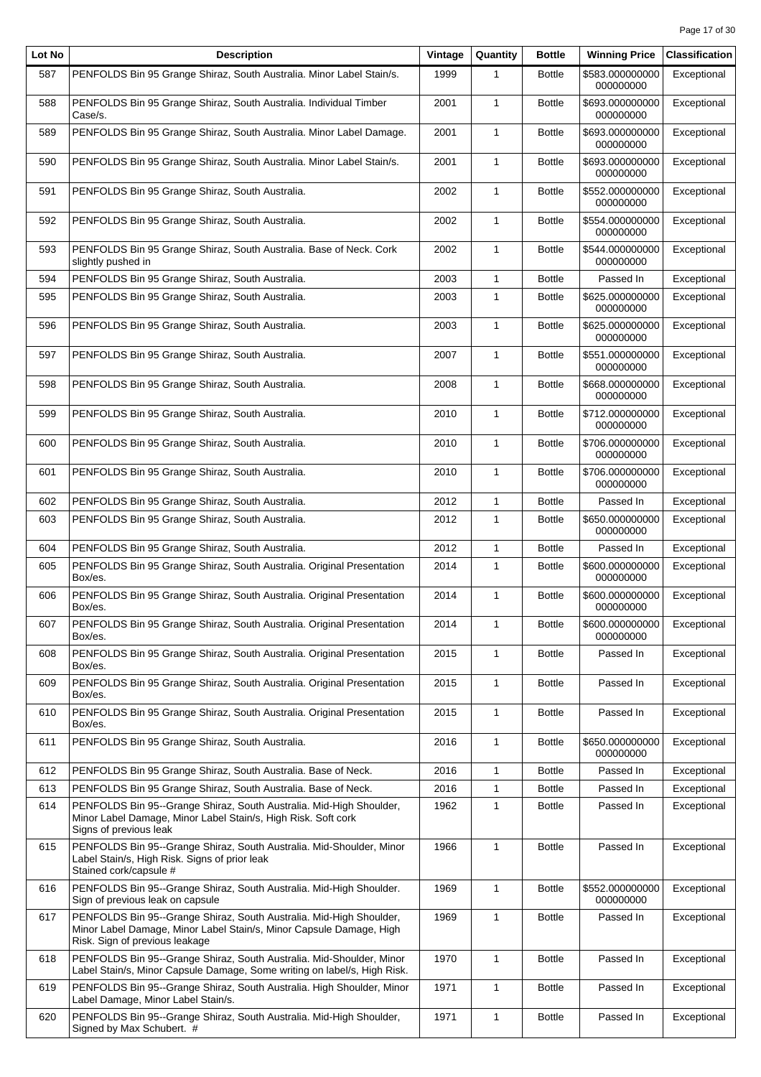| Lot No | <b>Description</b>                                                                                                                                                           | Vintage | Quantity     | <b>Bottle</b> | <b>Winning Price</b>           | <b>Classification</b> |
|--------|------------------------------------------------------------------------------------------------------------------------------------------------------------------------------|---------|--------------|---------------|--------------------------------|-----------------------|
| 587    | PENFOLDS Bin 95 Grange Shiraz, South Australia. Minor Label Stain/s.                                                                                                         | 1999    | 1            | <b>Bottle</b> | \$583.000000000<br>000000000   | Exceptional           |
| 588    | PENFOLDS Bin 95 Grange Shiraz, South Australia. Individual Timber<br>Case/s.                                                                                                 | 2001    | $\mathbf{1}$ | <b>Bottle</b> | \$693.000000000<br>000000000   | Exceptional           |
| 589    | PENFOLDS Bin 95 Grange Shiraz, South Australia. Minor Label Damage.                                                                                                          | 2001    | $\mathbf{1}$ | <b>Bottle</b> | \$693.000000000<br>000000000   | Exceptional           |
| 590    | PENFOLDS Bin 95 Grange Shiraz, South Australia. Minor Label Stain/s.                                                                                                         | 2001    | $\mathbf{1}$ | <b>Bottle</b> | \$693.000000000<br>000000000   | Exceptional           |
| 591    | PENFOLDS Bin 95 Grange Shiraz, South Australia.                                                                                                                              | 2002    | 1            | <b>Bottle</b> | \$552.000000000<br>000000000   | Exceptional           |
| 592    | PENFOLDS Bin 95 Grange Shiraz, South Australia.                                                                                                                              | 2002    | $\mathbf{1}$ | <b>Bottle</b> | \$554.000000000<br>000000000   | Exceptional           |
| 593    | PENFOLDS Bin 95 Grange Shiraz, South Australia. Base of Neck. Cork<br>slightly pushed in                                                                                     | 2002    | $\mathbf{1}$ | <b>Bottle</b> | \$544.000000000<br>000000000   | Exceptional           |
| 594    | PENFOLDS Bin 95 Grange Shiraz, South Australia.                                                                                                                              | 2003    | $\mathbf{1}$ | <b>Bottle</b> | Passed In                      | Exceptional           |
| 595    | PENFOLDS Bin 95 Grange Shiraz, South Australia.                                                                                                                              | 2003    | $\mathbf{1}$ | <b>Bottle</b> | \$625.000000000<br>000000000   | Exceptional           |
| 596    | PENFOLDS Bin 95 Grange Shiraz, South Australia.                                                                                                                              | 2003    | $\mathbf{1}$ | <b>Bottle</b> | \$625.000000000<br>000000000   | Exceptional           |
| 597    | PENFOLDS Bin 95 Grange Shiraz, South Australia.                                                                                                                              | 2007    | $\mathbf{1}$ | <b>Bottle</b> | \$551.000000000<br>000000000   | Exceptional           |
| 598    | PENFOLDS Bin 95 Grange Shiraz, South Australia.                                                                                                                              | 2008    | $\mathbf{1}$ | <b>Bottle</b> | \$668.000000000<br>000000000   | Exceptional           |
| 599    | PENFOLDS Bin 95 Grange Shiraz, South Australia.                                                                                                                              | 2010    | 1            | <b>Bottle</b> | \$712.000000000<br>000000000   | Exceptional           |
| 600    | PENFOLDS Bin 95 Grange Shiraz, South Australia.                                                                                                                              | 2010    | $\mathbf{1}$ | <b>Bottle</b> | \$706.000000000<br>000000000   | Exceptional           |
| 601    | PENFOLDS Bin 95 Grange Shiraz, South Australia.                                                                                                                              | 2010    | $\mathbf{1}$ | <b>Bottle</b> | \$706.000000000<br>000000000   | Exceptional           |
| 602    | PENFOLDS Bin 95 Grange Shiraz, South Australia.                                                                                                                              | 2012    | $\mathbf{1}$ | <b>Bottle</b> | Passed In                      | Exceptional           |
| 603    | PENFOLDS Bin 95 Grange Shiraz, South Australia.                                                                                                                              | 2012    | $\mathbf{1}$ | <b>Bottle</b> | \$650.000000000<br>000000000   | Exceptional           |
| 604    | PENFOLDS Bin 95 Grange Shiraz, South Australia.                                                                                                                              | 2012    | $\mathbf{1}$ | <b>Bottle</b> | Passed In                      | Exceptional           |
| 605    | PENFOLDS Bin 95 Grange Shiraz, South Australia. Original Presentation<br>Box/es.                                                                                             | 2014    | $\mathbf{1}$ | <b>Bottle</b> | \$600.000000000<br>000000000   | Exceptional           |
| 606    | PENFOLDS Bin 95 Grange Shiraz, South Australia. Original Presentation<br>Box/es.                                                                                             | 2014    | $\mathbf{1}$ | <b>Bottle</b> | \$600.000000000<br>000000000   | Exceptional           |
| 607    | PENFOLDS Bin 95 Grange Shiraz, South Australia. Original Presentation<br>Box/es.                                                                                             | 2014    | 1            | <b>Bottle</b> | \$600.000000000  <br>000000000 | Exceptional           |
| 608    | PENFOLDS Bin 95 Grange Shiraz, South Australia. Original Presentation<br>Box/es.                                                                                             | 2015    | $\mathbf{1}$ | <b>Bottle</b> | Passed In                      | Exceptional           |
| 609    | PENFOLDS Bin 95 Grange Shiraz, South Australia. Original Presentation<br>Box/es.                                                                                             | 2015    | 1            | <b>Bottle</b> | Passed In                      | Exceptional           |
| 610    | PENFOLDS Bin 95 Grange Shiraz, South Australia. Original Presentation<br>Box/es.                                                                                             | 2015    | 1            | <b>Bottle</b> | Passed In                      | Exceptional           |
| 611    | PENFOLDS Bin 95 Grange Shiraz, South Australia.                                                                                                                              | 2016    | $\mathbf{1}$ | <b>Bottle</b> | \$650.000000000<br>000000000   | Exceptional           |
| 612    | PENFOLDS Bin 95 Grange Shiraz, South Australia. Base of Neck.                                                                                                                | 2016    | $\mathbf{1}$ | <b>Bottle</b> | Passed In                      | Exceptional           |
| 613    | PENFOLDS Bin 95 Grange Shiraz, South Australia. Base of Neck.                                                                                                                | 2016    | 1            | <b>Bottle</b> | Passed In                      | Exceptional           |
| 614    | PENFOLDS Bin 95--Grange Shiraz, South Australia. Mid-High Shoulder,<br>Minor Label Damage, Minor Label Stain/s, High Risk. Soft cork<br>Signs of previous leak               | 1962    | 1            | <b>Bottle</b> | Passed In                      | Exceptional           |
| 615    | PENFOLDS Bin 95--Grange Shiraz, South Australia. Mid-Shoulder, Minor<br>Label Stain/s, High Risk. Signs of prior leak<br>Stained cork/capsule #                              | 1966    | $\mathbf{1}$ | <b>Bottle</b> | Passed In                      | Exceptional           |
| 616    | PENFOLDS Bin 95--Grange Shiraz, South Australia. Mid-High Shoulder.<br>Sign of previous leak on capsule                                                                      | 1969    | $\mathbf{1}$ | <b>Bottle</b> | \$552.000000000<br>000000000   | Exceptional           |
| 617    | PENFOLDS Bin 95--Grange Shiraz, South Australia. Mid-High Shoulder,<br>Minor Label Damage, Minor Label Stain/s, Minor Capsule Damage, High<br>Risk. Sign of previous leakage | 1969    | $\mathbf{1}$ | <b>Bottle</b> | Passed In                      | Exceptional           |
| 618    | PENFOLDS Bin 95--Grange Shiraz, South Australia. Mid-Shoulder, Minor<br>Label Stain/s, Minor Capsule Damage, Some writing on label/s, High Risk.                             | 1970    | 1            | <b>Bottle</b> | Passed In                      | Exceptional           |
| 619    | PENFOLDS Bin 95--Grange Shiraz, South Australia. High Shoulder, Minor<br>Label Damage, Minor Label Stain/s.                                                                  | 1971    | $\mathbf{1}$ | <b>Bottle</b> | Passed In                      | Exceptional           |
| 620    | PENFOLDS Bin 95--Grange Shiraz, South Australia. Mid-High Shoulder,<br>Signed by Max Schubert. #                                                                             | 1971    | $\mathbf{1}$ | <b>Bottle</b> | Passed In                      | Exceptional           |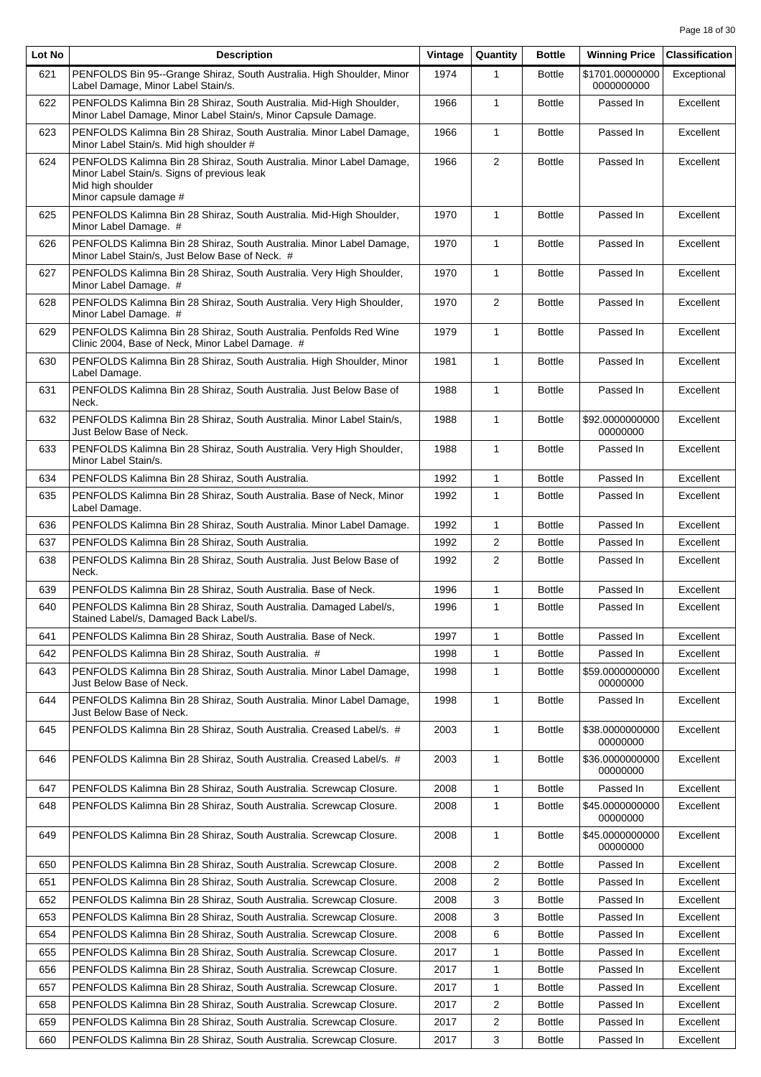| Lot No | <b>Description</b>                                                                                                                                                 | Vintage | Quantity                | <b>Bottle</b> | <b>Winning Price</b>          | <b>Classification</b> |
|--------|--------------------------------------------------------------------------------------------------------------------------------------------------------------------|---------|-------------------------|---------------|-------------------------------|-----------------------|
| 621    | PENFOLDS Bin 95--Grange Shiraz, South Australia. High Shoulder, Minor<br>Label Damage, Minor Label Stain/s.                                                        | 1974    | 1                       | <b>Bottle</b> | \$1701.00000000<br>0000000000 | Exceptional           |
| 622    | PENFOLDS Kalimna Bin 28 Shiraz, South Australia. Mid-High Shoulder,<br>Minor Label Damage, Minor Label Stain/s, Minor Capsule Damage.                              | 1966    | $\mathbf{1}$            | <b>Bottle</b> | Passed In                     | Excellent             |
| 623    | PENFOLDS Kalimna Bin 28 Shiraz, South Australia. Minor Label Damage,<br>Minor Label Stain/s. Mid high shoulder #                                                   | 1966    | $\mathbf{1}$            | <b>Bottle</b> | Passed In                     | Excellent             |
| 624    | PENFOLDS Kalimna Bin 28 Shiraz, South Australia. Minor Label Damage,<br>Minor Label Stain/s. Signs of previous leak<br>Mid high shoulder<br>Minor capsule damage # | 1966    | 2                       | <b>Bottle</b> | Passed In                     | Excellent             |
| 625    | PENFOLDS Kalimna Bin 28 Shiraz, South Australia. Mid-High Shoulder,<br>Minor Label Damage. #                                                                       | 1970    | $\mathbf{1}$            | <b>Bottle</b> | Passed In                     | Excellent             |
| 626    | PENFOLDS Kalimna Bin 28 Shiraz, South Australia. Minor Label Damage,<br>Minor Label Stain/s, Just Below Base of Neck. #                                            | 1970    | $\mathbf{1}$            | <b>Bottle</b> | Passed In                     | Excellent             |
| 627    | PENFOLDS Kalimna Bin 28 Shiraz, South Australia. Very High Shoulder,<br>Minor Label Damage. #                                                                      | 1970    | $\mathbf{1}$            | <b>Bottle</b> | Passed In                     | Excellent             |
| 628    | PENFOLDS Kalimna Bin 28 Shiraz, South Australia. Very High Shoulder,<br>Minor Label Damage. #                                                                      | 1970    | 2                       | <b>Bottle</b> | Passed In                     | Excellent             |
| 629    | PENFOLDS Kalimna Bin 28 Shiraz, South Australia. Penfolds Red Wine<br>Clinic 2004, Base of Neck, Minor Label Damage. #                                             | 1979    | $\mathbf{1}$            | <b>Bottle</b> | Passed In                     | Excellent             |
| 630    | PENFOLDS Kalimna Bin 28 Shiraz, South Australia. High Shoulder, Minor<br>Label Damage.                                                                             | 1981    | $\mathbf{1}$            | <b>Bottle</b> | Passed In                     | Excellent             |
| 631    | PENFOLDS Kalimna Bin 28 Shiraz, South Australia. Just Below Base of<br>Neck.                                                                                       | 1988    | $\mathbf{1}$            | <b>Bottle</b> | Passed In                     | Excellent             |
| 632    | PENFOLDS Kalimna Bin 28 Shiraz, South Australia. Minor Label Stain/s,<br>Just Below Base of Neck.                                                                  | 1988    | $\mathbf{1}$            | <b>Bottle</b> | \$92.0000000000<br>00000000   | Excellent             |
| 633    | PENFOLDS Kalimna Bin 28 Shiraz, South Australia. Very High Shoulder,<br>Minor Label Stain/s.                                                                       | 1988    | $\mathbf{1}$            | <b>Bottle</b> | Passed In                     | Excellent             |
| 634    | PENFOLDS Kalimna Bin 28 Shiraz, South Australia.                                                                                                                   | 1992    | $\mathbf{1}$            | <b>Bottle</b> | Passed In                     | Excellent             |
| 635    | PENFOLDS Kalimna Bin 28 Shiraz, South Australia. Base of Neck, Minor<br>Label Damage.                                                                              | 1992    | $\mathbf{1}$            | <b>Bottle</b> | Passed In                     | Excellent             |
| 636    | PENFOLDS Kalimna Bin 28 Shiraz, South Australia. Minor Label Damage.                                                                                               | 1992    | $\mathbf{1}$            | <b>Bottle</b> | Passed In                     | Excellent             |
| 637    | PENFOLDS Kalimna Bin 28 Shiraz, South Australia.                                                                                                                   | 1992    | 2                       | <b>Bottle</b> | Passed In                     | Excellent             |
| 638    | PENFOLDS Kalimna Bin 28 Shiraz, South Australia. Just Below Base of<br>Neck.                                                                                       | 1992    | $\overline{2}$          | <b>Bottle</b> | Passed In                     | Excellent             |
| 639    | PENFOLDS Kalimna Bin 28 Shiraz, South Australia. Base of Neck.                                                                                                     | 1996    | $\mathbf{1}$            | <b>Bottle</b> | Passed In                     | Excellent             |
| 640    | PENFOLDS Kalimna Bin 28 Shiraz, South Australia. Damaged Label/s,<br>Stained Label/s, Damaged Back Label/s.                                                        | 1996    | $\mathbf{1}$            | <b>Bottle</b> | Passed In                     | Excellent             |
| 641    | PENFOLDS Kalimna Bin 28 Shiraz, South Australia. Base of Neck.                                                                                                     | 1997    | 1                       | <b>Bottle</b> | Passed In                     | Excellent             |
| 642    | PENFOLDS Kalimna Bin 28 Shiraz, South Australia. #                                                                                                                 | 1998    | $\mathbf{1}$            | <b>Bottle</b> | Passed In                     | Excellent             |
| 643    | PENFOLDS Kalimna Bin 28 Shiraz, South Australia. Minor Label Damage,<br>Just Below Base of Neck.                                                                   | 1998    | 1                       | <b>Bottle</b> | \$59.0000000000<br>00000000   | Excellent             |
| 644    | PENFOLDS Kalimna Bin 28 Shiraz, South Australia. Minor Label Damage,<br>Just Below Base of Neck.                                                                   | 1998    | $\mathbf{1}$            | <b>Bottle</b> | Passed In                     | Excellent             |
| 645    | PENFOLDS Kalimna Bin 28 Shiraz, South Australia. Creased Label/s. #                                                                                                | 2003    | 1                       | <b>Bottle</b> | \$38.0000000000<br>00000000   | Excellent             |
| 646    | PENFOLDS Kalimna Bin 28 Shiraz, South Australia. Creased Label/s. #                                                                                                | 2003    | 1                       | <b>Bottle</b> | \$36.0000000000<br>00000000   | Excellent             |
| 647    | PENFOLDS Kalimna Bin 28 Shiraz, South Australia. Screwcap Closure.                                                                                                 | 2008    | $\mathbf{1}$            | <b>Bottle</b> | Passed In                     | Excellent             |
| 648    | PENFOLDS Kalimna Bin 28 Shiraz, South Australia. Screwcap Closure.                                                                                                 | 2008    | 1                       | <b>Bottle</b> | \$45.0000000000<br>00000000   | Excellent             |
| 649    | PENFOLDS Kalimna Bin 28 Shiraz, South Australia. Screwcap Closure.                                                                                                 | 2008    | 1                       | <b>Bottle</b> | \$45.0000000000<br>00000000   | Excellent             |
| 650    | PENFOLDS Kalimna Bin 28 Shiraz, South Australia. Screwcap Closure.                                                                                                 | 2008    | $\overline{2}$          | <b>Bottle</b> | Passed In                     | Excellent             |
| 651    | PENFOLDS Kalimna Bin 28 Shiraz, South Australia. Screwcap Closure.                                                                                                 | 2008    | 2                       | <b>Bottle</b> | Passed In                     | Excellent             |
| 652    | PENFOLDS Kalimna Bin 28 Shiraz, South Australia. Screwcap Closure.                                                                                                 | 2008    | 3                       | <b>Bottle</b> | Passed In                     | Excellent             |
| 653    | PENFOLDS Kalimna Bin 28 Shiraz, South Australia. Screwcap Closure.                                                                                                 | 2008    | 3                       | <b>Bottle</b> | Passed In                     | Excellent             |
| 654    | PENFOLDS Kalimna Bin 28 Shiraz, South Australia. Screwcap Closure.                                                                                                 | 2008    | 6                       | <b>Bottle</b> | Passed In                     | Excellent             |
| 655    | PENFOLDS Kalimna Bin 28 Shiraz, South Australia. Screwcap Closure.                                                                                                 | 2017    | 1                       | <b>Bottle</b> | Passed In                     | Excellent             |
| 656    | PENFOLDS Kalimna Bin 28 Shiraz, South Australia. Screwcap Closure.                                                                                                 | 2017    | 1                       | <b>Bottle</b> | Passed In                     | Excellent             |
| 657    | PENFOLDS Kalimna Bin 28 Shiraz, South Australia. Screwcap Closure.                                                                                                 | 2017    | 1                       | <b>Bottle</b> | Passed In                     | Excellent             |
| 658    | PENFOLDS Kalimna Bin 28 Shiraz, South Australia. Screwcap Closure.                                                                                                 | 2017    | 2                       | <b>Bottle</b> | Passed In                     | Excellent             |
| 659    | PENFOLDS Kalimna Bin 28 Shiraz, South Australia. Screwcap Closure.                                                                                                 | 2017    | $\overline{\mathbf{c}}$ | <b>Bottle</b> | Passed In                     | Excellent             |
| 660    | PENFOLDS Kalimna Bin 28 Shiraz, South Australia. Screwcap Closure.                                                                                                 | 2017    | 3                       | <b>Bottle</b> | Passed In                     | Excellent             |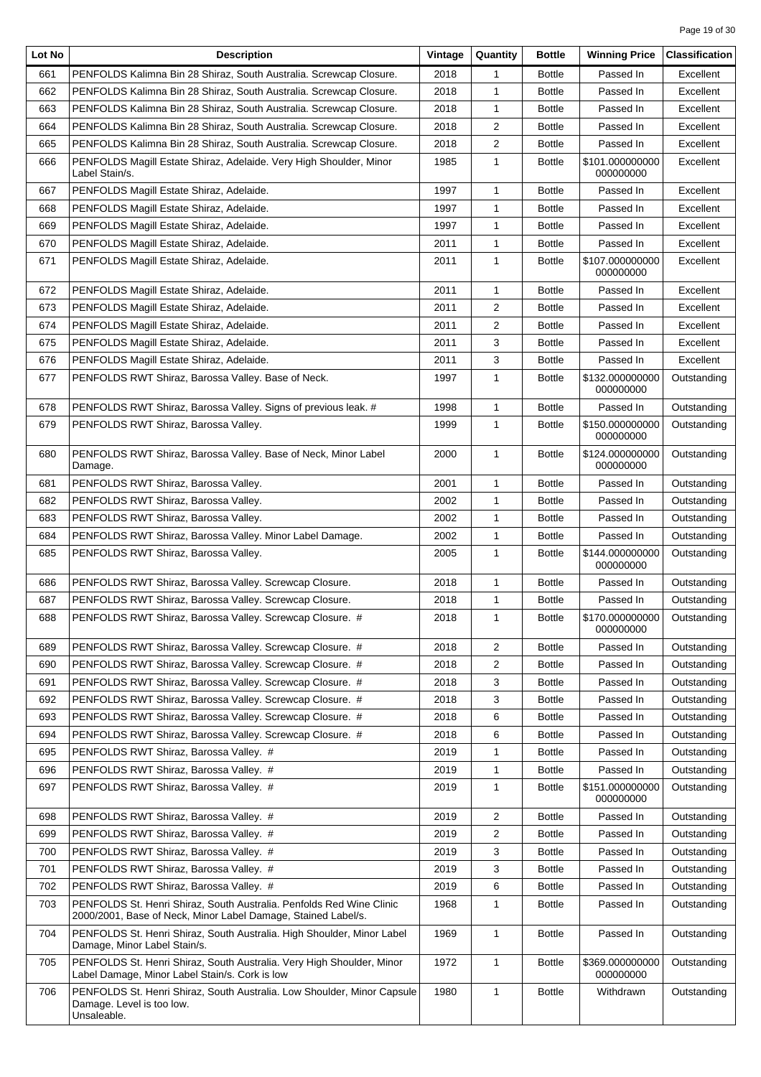| Lot No | <b>Description</b>                                                                                                                    | Vintage | Quantity       | <b>Bottle</b> | <b>Winning Price</b>         | <b>Classification</b> |
|--------|---------------------------------------------------------------------------------------------------------------------------------------|---------|----------------|---------------|------------------------------|-----------------------|
| 661    | PENFOLDS Kalimna Bin 28 Shiraz, South Australia. Screwcap Closure.                                                                    | 2018    | 1              | <b>Bottle</b> | Passed In                    | Excellent             |
| 662    | PENFOLDS Kalimna Bin 28 Shiraz, South Australia. Screwcap Closure.                                                                    | 2018    | 1              | <b>Bottle</b> | Passed In                    | Excellent             |
| 663    | PENFOLDS Kalimna Bin 28 Shiraz, South Australia. Screwcap Closure.                                                                    | 2018    | 1              | <b>Bottle</b> | Passed In                    | Excellent             |
| 664    | PENFOLDS Kalimna Bin 28 Shiraz, South Australia. Screwcap Closure.                                                                    | 2018    | 2              | <b>Bottle</b> | Passed In                    | Excellent             |
| 665    | PENFOLDS Kalimna Bin 28 Shiraz, South Australia. Screwcap Closure.                                                                    | 2018    | 2              | <b>Bottle</b> | Passed In                    | Excellent             |
| 666    | PENFOLDS Magill Estate Shiraz, Adelaide. Very High Shoulder, Minor<br>Label Stain/s.                                                  | 1985    | 1              | <b>Bottle</b> | \$101.000000000<br>000000000 | Excellent             |
| 667    | PENFOLDS Magill Estate Shiraz, Adelaide.                                                                                              | 1997    | 1              | <b>Bottle</b> | Passed In                    | Excellent             |
| 668    | PENFOLDS Magill Estate Shiraz, Adelaide.                                                                                              | 1997    | 1              | <b>Bottle</b> | Passed In                    | Excellent             |
| 669    | PENFOLDS Magill Estate Shiraz, Adelaide.                                                                                              | 1997    | 1              | <b>Bottle</b> | Passed In                    | Excellent             |
| 670    | PENFOLDS Magill Estate Shiraz, Adelaide.                                                                                              | 2011    | 1              | <b>Bottle</b> | Passed In                    | Excellent             |
| 671    | PENFOLDS Magill Estate Shiraz, Adelaide.                                                                                              | 2011    | $\mathbf{1}$   | <b>Bottle</b> | \$107.000000000<br>000000000 | Excellent             |
| 672    | PENFOLDS Magill Estate Shiraz, Adelaide.                                                                                              | 2011    | 1              | <b>Bottle</b> | Passed In                    | Excellent             |
| 673    | PENFOLDS Magill Estate Shiraz, Adelaide.                                                                                              | 2011    | $\overline{2}$ | <b>Bottle</b> | Passed In                    | Excellent             |
| 674    | PENFOLDS Magill Estate Shiraz, Adelaide.                                                                                              | 2011    | 2              | <b>Bottle</b> | Passed In                    | Excellent             |
| 675    | PENFOLDS Magill Estate Shiraz, Adelaide.                                                                                              | 2011    | 3              | <b>Bottle</b> | Passed In                    | Excellent             |
| 676    | PENFOLDS Magill Estate Shiraz, Adelaide.                                                                                              | 2011    | 3              | <b>Bottle</b> | Passed In                    | Excellent             |
| 677    | PENFOLDS RWT Shiraz, Barossa Valley. Base of Neck.                                                                                    | 1997    | $\mathbf{1}$   | <b>Bottle</b> | \$132.000000000<br>000000000 | Outstanding           |
| 678    | PENFOLDS RWT Shiraz, Barossa Valley. Signs of previous leak. #                                                                        | 1998    | 1              | <b>Bottle</b> | Passed In                    | Outstanding           |
| 679    | PENFOLDS RWT Shiraz, Barossa Valley.                                                                                                  | 1999    | $\mathbf{1}$   | <b>Bottle</b> | \$150.000000000<br>000000000 | Outstanding           |
| 680    | PENFOLDS RWT Shiraz, Barossa Valley. Base of Neck, Minor Label<br>Damage.                                                             | 2000    | $\mathbf{1}$   | <b>Bottle</b> | \$124.000000000<br>000000000 | Outstanding           |
| 681    | PENFOLDS RWT Shiraz, Barossa Valley.                                                                                                  | 2001    | 1              | <b>Bottle</b> | Passed In                    | Outstanding           |
| 682    | PENFOLDS RWT Shiraz, Barossa Valley.                                                                                                  | 2002    | 1              | <b>Bottle</b> | Passed In                    | Outstanding           |
| 683    | PENFOLDS RWT Shiraz, Barossa Valley.                                                                                                  | 2002    | 1              | <b>Bottle</b> | Passed In                    | Outstanding           |
| 684    | PENFOLDS RWT Shiraz, Barossa Valley. Minor Label Damage.                                                                              | 2002    | 1              | <b>Bottle</b> | Passed In                    | Outstanding           |
| 685    | PENFOLDS RWT Shiraz, Barossa Valley.                                                                                                  | 2005    | $\mathbf{1}$   | <b>Bottle</b> | \$144.000000000<br>000000000 | Outstanding           |
| 686    | PENFOLDS RWT Shiraz, Barossa Valley. Screwcap Closure.                                                                                | 2018    | 1              | <b>Bottle</b> | Passed In                    | Outstanding           |
| 687    | PENFOLDS RWT Shiraz, Barossa Valley. Screwcap Closure.                                                                                | 2018    | 1              | <b>Bottle</b> | Passed In                    | Outstanding           |
| 688    | PENFOLDS RWT Shiraz, Barossa Valley. Screwcap Closure. #                                                                              | 2018    | 1              | <b>Bottle</b> | \$170.000000000<br>000000000 | Outstanding           |
| 689    | PENFOLDS RWT Shiraz, Barossa Valley. Screwcap Closure. #                                                                              | 2018    | $\overline{2}$ | <b>Bottle</b> | Passed In                    | Outstanding           |
| 690    | PENFOLDS RWT Shiraz, Barossa Valley. Screwcap Closure. #                                                                              | 2018    | $\overline{2}$ | <b>Bottle</b> | Passed In                    | Outstanding           |
| 691    | PENFOLDS RWT Shiraz, Barossa Valley. Screwcap Closure. #                                                                              | 2018    | 3              | <b>Bottle</b> | Passed In                    | Outstanding           |
| 692    | PENFOLDS RWT Shiraz, Barossa Valley. Screwcap Closure. #                                                                              | 2018    | 3              | <b>Bottle</b> | Passed In                    | Outstanding           |
| 693    | PENFOLDS RWT Shiraz, Barossa Valley. Screwcap Closure. #                                                                              | 2018    | 6              | <b>Bottle</b> | Passed In                    | Outstanding           |
| 694    | PENFOLDS RWT Shiraz, Barossa Valley. Screwcap Closure. #                                                                              | 2018    | 6              | <b>Bottle</b> | Passed In                    | Outstanding           |
| 695    | PENFOLDS RWT Shiraz, Barossa Valley. #                                                                                                | 2019    | 1              | <b>Bottle</b> | Passed In                    | Outstanding           |
| 696    | PENFOLDS RWT Shiraz, Barossa Valley. #                                                                                                | 2019    | 1              | <b>Bottle</b> | Passed In                    | Outstanding           |
| 697    | PENFOLDS RWT Shiraz, Barossa Valley. #                                                                                                | 2019    | 1              | <b>Bottle</b> | \$151.000000000<br>000000000 | Outstanding           |
| 698    | PENFOLDS RWT Shiraz, Barossa Valley. #                                                                                                | 2019    | $\overline{2}$ | <b>Bottle</b> | Passed In                    | Outstanding           |
| 699    | PENFOLDS RWT Shiraz, Barossa Valley. #                                                                                                | 2019    | $\overline{2}$ | <b>Bottle</b> | Passed In                    | Outstanding           |
| 700    | PENFOLDS RWT Shiraz, Barossa Valley. #                                                                                                | 2019    | 3              | <b>Bottle</b> | Passed In                    | Outstanding           |
| 701    | PENFOLDS RWT Shiraz, Barossa Valley. #                                                                                                | 2019    | 3              | <b>Bottle</b> | Passed In                    | Outstanding           |
| 702    | PENFOLDS RWT Shiraz, Barossa Valley. #                                                                                                | 2019    | 6              | <b>Bottle</b> | Passed In                    | Outstanding           |
| 703    | PENFOLDS St. Henri Shiraz, South Australia. Penfolds Red Wine Clinic<br>2000/2001, Base of Neck, Minor Label Damage, Stained Label/s. | 1968    | 1              | <b>Bottle</b> | Passed In                    | Outstanding           |
| 704    | PENFOLDS St. Henri Shiraz, South Australia. High Shoulder, Minor Label<br>Damage, Minor Label Stain/s.                                | 1969    | 1              | <b>Bottle</b> | Passed In                    | Outstanding           |
| 705    | PENFOLDS St. Henri Shiraz, South Australia. Very High Shoulder, Minor<br>Label Damage, Minor Label Stain/s. Cork is low               | 1972    | $\mathbf{1}$   | <b>Bottle</b> | \$369.000000000<br>000000000 | Outstanding           |
| 706    | PENFOLDS St. Henri Shiraz, South Australia. Low Shoulder, Minor Capsule<br>Damage. Level is too low.<br>Unsaleable.                   | 1980    | $\mathbf{1}$   | <b>Bottle</b> | Withdrawn                    | Outstanding           |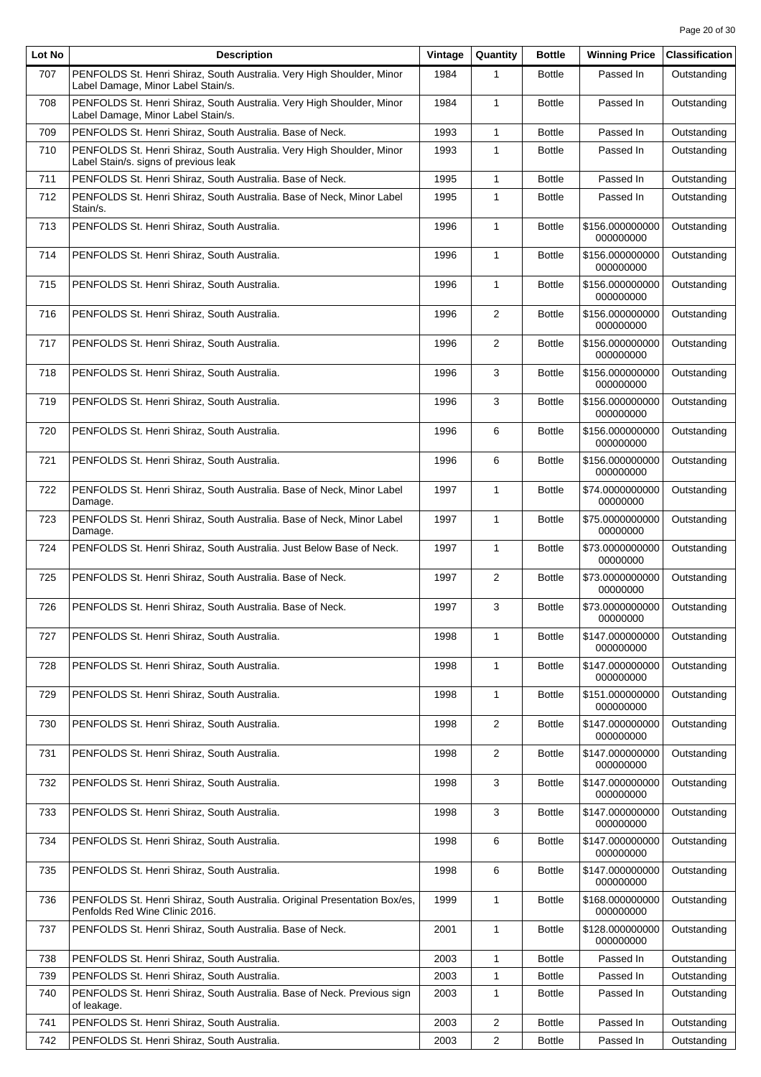| Lot No | <b>Description</b>                                                                                             | Vintage | Quantity       | <b>Bottle</b> | <b>Winning Price</b>         | <b>Classification</b> |
|--------|----------------------------------------------------------------------------------------------------------------|---------|----------------|---------------|------------------------------|-----------------------|
| 707    | PENFOLDS St. Henri Shiraz, South Australia. Very High Shoulder, Minor<br>Label Damage, Minor Label Stain/s.    | 1984    | 1              | <b>Bottle</b> | Passed In                    | Outstanding           |
| 708    | PENFOLDS St. Henri Shiraz, South Australia. Very High Shoulder, Minor<br>Label Damage, Minor Label Stain/s.    | 1984    | $\mathbf{1}$   | <b>Bottle</b> | Passed In                    | Outstanding           |
| 709    | PENFOLDS St. Henri Shiraz, South Australia, Base of Neck.                                                      | 1993    | $\mathbf{1}$   | <b>Bottle</b> | Passed In                    | Outstanding           |
| 710    | PENFOLDS St. Henri Shiraz, South Australia. Very High Shoulder, Minor<br>Label Stain/s. signs of previous leak | 1993    | $\mathbf{1}$   | <b>Bottle</b> | Passed In                    | Outstanding           |
| 711    | PENFOLDS St. Henri Shiraz, South Australia. Base of Neck.                                                      | 1995    | $\mathbf{1}$   | <b>Bottle</b> | Passed In                    | Outstanding           |
| 712    | PENFOLDS St. Henri Shiraz, South Australia. Base of Neck, Minor Label<br>Stain/s.                              | 1995    | 1              | <b>Bottle</b> | Passed In                    | Outstanding           |
| 713    | PENFOLDS St. Henri Shiraz, South Australia.                                                                    | 1996    | $\mathbf{1}$   | <b>Bottle</b> | \$156.000000000<br>000000000 | Outstanding           |
| 714    | PENFOLDS St. Henri Shiraz, South Australia.                                                                    | 1996    | $\mathbf{1}$   | <b>Bottle</b> | \$156.000000000<br>000000000 | Outstanding           |
| 715    | PENFOLDS St. Henri Shiraz, South Australia.                                                                    | 1996    | $\mathbf{1}$   | <b>Bottle</b> | \$156.000000000<br>000000000 | Outstanding           |
| 716    | PENFOLDS St. Henri Shiraz, South Australia.                                                                    | 1996    | $\overline{2}$ | <b>Bottle</b> | \$156.000000000<br>000000000 | Outstanding           |
| 717    | PENFOLDS St. Henri Shiraz, South Australia.                                                                    | 1996    | 2              | <b>Bottle</b> | \$156.000000000<br>000000000 | Outstanding           |
| 718    | PENFOLDS St. Henri Shiraz, South Australia.                                                                    | 1996    | 3              | <b>Bottle</b> | \$156.000000000<br>000000000 | Outstanding           |
| 719    | PENFOLDS St. Henri Shiraz, South Australia.                                                                    | 1996    | 3              | <b>Bottle</b> | \$156.000000000<br>000000000 | Outstanding           |
| 720    | PENFOLDS St. Henri Shiraz, South Australia.                                                                    | 1996    | 6              | <b>Bottle</b> | \$156.000000000<br>000000000 | Outstanding           |
| 721    | PENFOLDS St. Henri Shiraz, South Australia.                                                                    | 1996    | 6              | <b>Bottle</b> | \$156.000000000<br>000000000 | Outstanding           |
| 722    | PENFOLDS St. Henri Shiraz, South Australia. Base of Neck, Minor Label<br>Damage.                               | 1997    | 1              | <b>Bottle</b> | \$74.0000000000<br>00000000  | Outstanding           |
| 723    | PENFOLDS St. Henri Shiraz, South Australia. Base of Neck, Minor Label<br>Damage.                               | 1997    | 1              | <b>Bottle</b> | \$75.0000000000<br>00000000  | Outstanding           |
| 724    | PENFOLDS St. Henri Shiraz, South Australia. Just Below Base of Neck.                                           | 1997    | $\mathbf{1}$   | <b>Bottle</b> | \$73.0000000000<br>00000000  | Outstanding           |
| 725    | PENFOLDS St. Henri Shiraz, South Australia. Base of Neck.                                                      | 1997    | 2              | <b>Bottle</b> | \$73.0000000000<br>00000000  | Outstanding           |
| 726    | PENFOLDS St. Henri Shiraz, South Australia. Base of Neck.                                                      | 1997    | 3              | <b>Bottle</b> | \$73.0000000000<br>00000000  | Outstanding           |
| 727    | PENFOLDS St. Henri Shiraz, South Australia.                                                                    | 1998    | 1              | <b>Bottle</b> | \$147.000000000<br>000000000 | Outstanding           |
| 728    | PENFOLDS St. Henri Shiraz, South Australia.                                                                    | 1998    | 1              | <b>Bottle</b> | \$147.000000000<br>000000000 | Outstanding           |
| 729    | PENFOLDS St. Henri Shiraz, South Australia.                                                                    | 1998    | 1              | <b>Bottle</b> | \$151.000000000<br>000000000 | Outstanding           |
| 730    | PENFOLDS St. Henri Shiraz, South Australia.                                                                    | 1998    | $\overline{2}$ | <b>Bottle</b> | \$147.000000000<br>000000000 | Outstanding           |
| 731    | PENFOLDS St. Henri Shiraz, South Australia.                                                                    | 1998    | $\overline{2}$ | <b>Bottle</b> | \$147.000000000<br>000000000 | Outstanding           |
| 732    | PENFOLDS St. Henri Shiraz, South Australia.                                                                    | 1998    | 3              | <b>Bottle</b> | \$147.000000000<br>000000000 | Outstanding           |
| 733    | PENFOLDS St. Henri Shiraz, South Australia.                                                                    | 1998    | 3              | <b>Bottle</b> | \$147.000000000<br>000000000 | Outstanding           |
| 734    | PENFOLDS St. Henri Shiraz, South Australia.                                                                    | 1998    | 6              | <b>Bottle</b> | \$147.000000000<br>000000000 | Outstanding           |
| 735    | PENFOLDS St. Henri Shiraz, South Australia.                                                                    | 1998    | 6              | <b>Bottle</b> | \$147.000000000<br>000000000 | Outstanding           |
| 736    | PENFOLDS St. Henri Shiraz, South Australia. Original Presentation Box/es,<br>Penfolds Red Wine Clinic 2016.    | 1999    | $\mathbf{1}$   | <b>Bottle</b> | \$168.000000000<br>000000000 | Outstanding           |
| 737    | PENFOLDS St. Henri Shiraz, South Australia. Base of Neck.                                                      | 2001    | 1              | <b>Bottle</b> | \$128.000000000<br>000000000 | Outstanding           |
| 738    | PENFOLDS St. Henri Shiraz, South Australia.                                                                    | 2003    | 1              | <b>Bottle</b> | Passed In                    | Outstanding           |
| 739    | PENFOLDS St. Henri Shiraz, South Australia.                                                                    | 2003    | 1              | <b>Bottle</b> | Passed In                    | Outstanding           |
| 740    | PENFOLDS St. Henri Shiraz, South Australia. Base of Neck. Previous sign<br>of leakage.                         | 2003    | 1              | <b>Bottle</b> | Passed In                    | Outstanding           |
| 741    | PENFOLDS St. Henri Shiraz, South Australia.                                                                    | 2003    | $\overline{c}$ | <b>Bottle</b> | Passed In                    | Outstanding           |
| 742    | PENFOLDS St. Henri Shiraz, South Australia.                                                                    | 2003    | $\overline{2}$ | <b>Bottle</b> | Passed In                    | Outstanding           |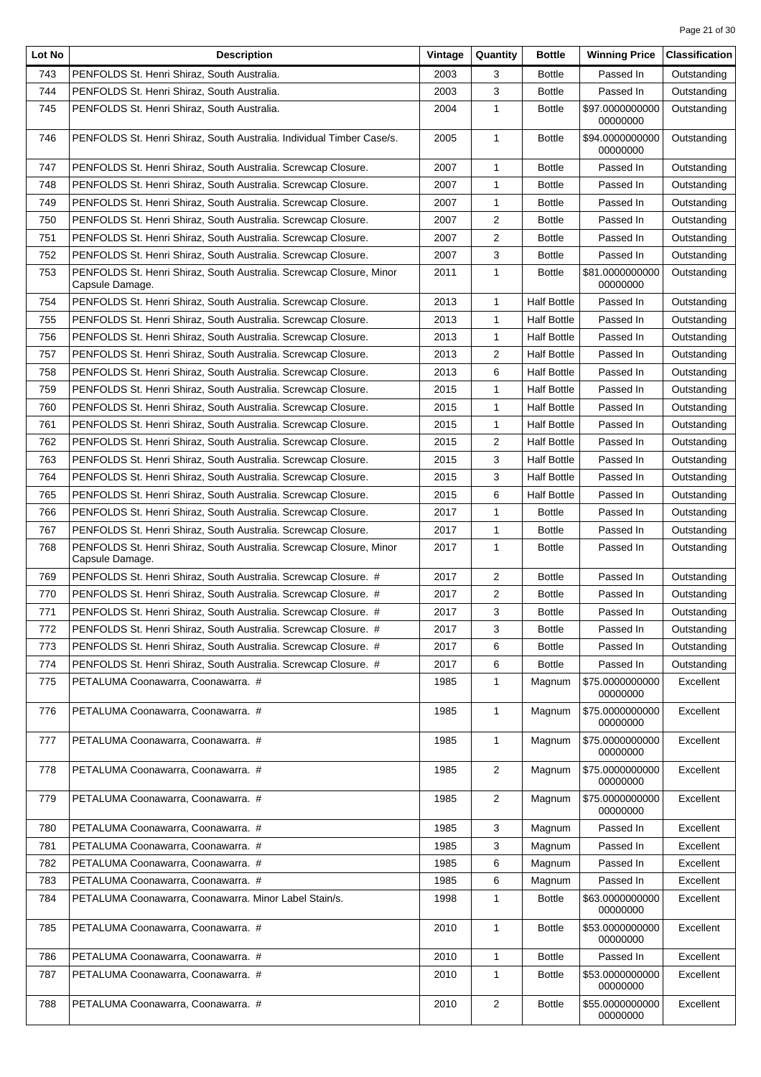| Lot No | <b>Description</b>                                                                     | Vintage | Quantity       | <b>Bottle</b>      | <b>Winning Price</b>        | <b>Classification</b> |
|--------|----------------------------------------------------------------------------------------|---------|----------------|--------------------|-----------------------------|-----------------------|
| 743    | PENFOLDS St. Henri Shiraz, South Australia.                                            | 2003    | 3              | <b>Bottle</b>      | Passed In                   | Outstanding           |
| 744    | PENFOLDS St. Henri Shiraz, South Australia.                                            | 2003    | 3              | <b>Bottle</b>      | Passed In                   | Outstanding           |
| 745    | PENFOLDS St. Henri Shiraz, South Australia.                                            | 2004    | 1              | <b>Bottle</b>      | \$97.0000000000<br>00000000 | Outstanding           |
| 746    | PENFOLDS St. Henri Shiraz, South Australia. Individual Timber Case/s.                  | 2005    | 1              | <b>Bottle</b>      | \$94.0000000000<br>00000000 | Outstanding           |
| 747    | PENFOLDS St. Henri Shiraz, South Australia. Screwcap Closure.                          | 2007    | 1              | <b>Bottle</b>      | Passed In                   | Outstanding           |
| 748    | PENFOLDS St. Henri Shiraz, South Australia. Screwcap Closure.                          | 2007    | 1              | <b>Bottle</b>      | Passed In                   | Outstanding           |
| 749    | PENFOLDS St. Henri Shiraz, South Australia. Screwcap Closure.                          | 2007    | 1              | <b>Bottle</b>      | Passed In                   | Outstanding           |
| 750    | PENFOLDS St. Henri Shiraz, South Australia. Screwcap Closure.                          | 2007    | $\overline{c}$ | <b>Bottle</b>      | Passed In                   | Outstanding           |
| 751    | PENFOLDS St. Henri Shiraz, South Australia. Screwcap Closure.                          | 2007    | 2              | <b>Bottle</b>      | Passed In                   | Outstanding           |
| 752    | PENFOLDS St. Henri Shiraz, South Australia. Screwcap Closure.                          | 2007    | 3              | <b>Bottle</b>      | Passed In                   | Outstanding           |
| 753    | PENFOLDS St. Henri Shiraz, South Australia. Screwcap Closure, Minor<br>Capsule Damage. | 2011    | 1              | <b>Bottle</b>      | \$81.0000000000<br>00000000 | Outstanding           |
| 754    | PENFOLDS St. Henri Shiraz, South Australia. Screwcap Closure.                          | 2013    | $\mathbf{1}$   | <b>Half Bottle</b> | Passed In                   | Outstanding           |
| 755    | PENFOLDS St. Henri Shiraz, South Australia. Screwcap Closure.                          | 2013    | 1              | <b>Half Bottle</b> | Passed In                   | Outstanding           |
| 756    | PENFOLDS St. Henri Shiraz, South Australia. Screwcap Closure.                          | 2013    | 1              | <b>Half Bottle</b> | Passed In                   | Outstanding           |
| 757    | PENFOLDS St. Henri Shiraz, South Australia. Screwcap Closure.                          | 2013    | 2              | <b>Half Bottle</b> | Passed In                   | Outstanding           |
| 758    | PENFOLDS St. Henri Shiraz, South Australia. Screwcap Closure.                          | 2013    | 6              | <b>Half Bottle</b> | Passed In                   | Outstanding           |
| 759    | PENFOLDS St. Henri Shiraz, South Australia. Screwcap Closure.                          | 2015    | 1              | <b>Half Bottle</b> | Passed In                   | Outstanding           |
| 760    | PENFOLDS St. Henri Shiraz. South Australia. Screwcap Closure.                          | 2015    | 1              | <b>Half Bottle</b> | Passed In                   | Outstanding           |
| 761    | PENFOLDS St. Henri Shiraz, South Australia. Screwcap Closure.                          | 2015    | $\mathbf{1}$   | <b>Half Bottle</b> | Passed In                   | Outstanding           |
| 762    | PENFOLDS St. Henri Shiraz, South Australia. Screwcap Closure.                          | 2015    | 2              | <b>Half Bottle</b> | Passed In                   | Outstanding           |
| 763    | PENFOLDS St. Henri Shiraz, South Australia. Screwcap Closure.                          | 2015    | 3              | <b>Half Bottle</b> | Passed In                   | Outstanding           |
| 764    | PENFOLDS St. Henri Shiraz, South Australia. Screwcap Closure.                          | 2015    | 3              | <b>Half Bottle</b> | Passed In                   | Outstanding           |
| 765    | PENFOLDS St. Henri Shiraz, South Australia. Screwcap Closure.                          | 2015    | 6              | <b>Half Bottle</b> | Passed In                   | Outstanding           |
| 766    | PENFOLDS St. Henri Shiraz, South Australia. Screwcap Closure.                          | 2017    | 1              | <b>Bottle</b>      | Passed In                   | Outstanding           |
| 767    | PENFOLDS St. Henri Shiraz, South Australia. Screwcap Closure.                          | 2017    | 1              | <b>Bottle</b>      | Passed In                   | Outstanding           |
| 768    | PENFOLDS St. Henri Shiraz, South Australia. Screwcap Closure, Minor<br>Capsule Damage. | 2017    | $\mathbf{1}$   | <b>Bottle</b>      | Passed In                   | Outstanding           |
| 769    | PENFOLDS St. Henri Shiraz, South Australia. Screwcap Closure. #                        | 2017    | $\overline{2}$ | <b>Bottle</b>      | Passed In                   | Outstanding           |
| 770    | PENFOLDS St. Henri Shiraz, South Australia. Screwcap Closure. #                        | 2017    | $\overline{c}$ | <b>Bottle</b>      | Passed In                   | Outstanding           |
| 771    | PENFOLDS St. Henri Shiraz, South Australia. Screwcap Closure. #                        | 2017    | 3              | <b>Bottle</b>      | Passed In                   | Outstanding           |
| 772    | PENFOLDS St. Henri Shiraz, South Australia. Screwcap Closure. #                        | 2017    | 3              | <b>Bottle</b>      | Passed In                   | Outstanding           |
| 773    | PENFOLDS St. Henri Shiraz, South Australia. Screwcap Closure. #                        | 2017    | 6              | <b>Bottle</b>      | Passed In                   | Outstanding           |
| 774    | PENFOLDS St. Henri Shiraz, South Australia. Screwcap Closure. #                        | 2017    | 6              | <b>Bottle</b>      | Passed In                   | Outstanding           |
| 775    | PETALUMA Coonawarra, Coonawarra. #                                                     | 1985    | 1              | Magnum             | \$75.0000000000<br>00000000 | Excellent             |
| 776    | PETALUMA Coonawarra, Coonawarra. #                                                     | 1985    | 1              | Magnum             | \$75.0000000000<br>00000000 | Excellent             |
| 777    | PETALUMA Coonawarra, Coonawarra. #                                                     | 1985    | $\mathbf{1}$   | Magnum             | \$75.0000000000<br>00000000 | Excellent             |
| 778    | PETALUMA Coonawarra, Coonawarra. #                                                     | 1985    | 2              | Magnum             | \$75.0000000000<br>00000000 | Excellent             |
| 779    | PETALUMA Coonawarra, Coonawarra. #                                                     | 1985    | 2              | Magnum             | \$75.0000000000<br>00000000 | Excellent             |
| 780    | PETALUMA Coonawarra, Coonawarra. #                                                     | 1985    | 3              | Magnum             | Passed In                   | Excellent             |
| 781    | PETALUMA Coonawarra, Coonawarra. #                                                     | 1985    | 3              | Magnum             | Passed In                   | Excellent             |
| 782    | PETALUMA Coonawarra, Coonawarra. #                                                     | 1985    | 6              | Magnum             | Passed In                   | Excellent             |
| 783    | PETALUMA Coonawarra, Coonawarra. #                                                     | 1985    | 6              | Magnum             | Passed In                   | Excellent             |
| 784    | PETALUMA Coonawarra, Coonawarra. Minor Label Stain/s.                                  | 1998    | 1              | <b>Bottle</b>      | \$63.0000000000<br>00000000 | Excellent             |
| 785    | PETALUMA Coonawarra, Coonawarra. #                                                     | 2010    | 1              | <b>Bottle</b>      | \$53.0000000000<br>00000000 | Excellent             |
| 786    | PETALUMA Coonawarra, Coonawarra. #                                                     | 2010    | 1              | <b>Bottle</b>      | Passed In                   | Excellent             |
| 787    | PETALUMA Coonawarra, Coonawarra. #                                                     | 2010    | 1              | <b>Bottle</b>      | \$53.0000000000<br>00000000 | Excellent             |
| 788    | PETALUMA Coonawarra, Coonawarra. #                                                     | 2010    | $\overline{2}$ | <b>Bottle</b>      | \$55.0000000000<br>00000000 | Excellent             |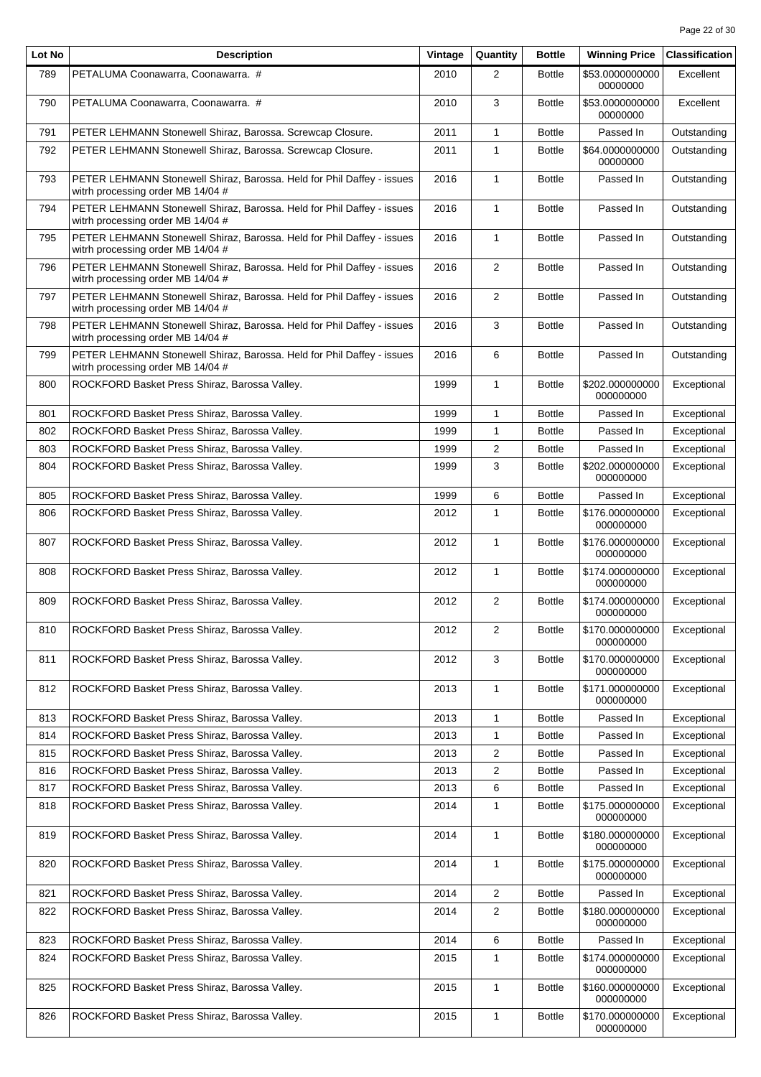| Lot No | <b>Description</b>                                                                                          | Vintage | Quantity                | <b>Bottle</b> | <b>Winning Price</b>         | <b>Classification</b> |
|--------|-------------------------------------------------------------------------------------------------------------|---------|-------------------------|---------------|------------------------------|-----------------------|
| 789    | PETALUMA Coonawarra, Coonawarra. #                                                                          | 2010    | $\overline{2}$          | <b>Bottle</b> | \$53.0000000000<br>00000000  | Excellent             |
| 790    | PETALUMA Coonawarra, Coonawarra. #                                                                          | 2010    | 3                       | <b>Bottle</b> | \$53.0000000000<br>00000000  | Excellent             |
| 791    | PETER LEHMANN Stonewell Shiraz, Barossa. Screwcap Closure.                                                  | 2011    | $\mathbf{1}$            | <b>Bottle</b> | Passed In                    | Outstanding           |
| 792    | PETER LEHMANN Stonewell Shiraz, Barossa. Screwcap Closure.                                                  | 2011    | 1                       | <b>Bottle</b> | \$64.0000000000<br>00000000  | Outstanding           |
| 793    | PETER LEHMANN Stonewell Shiraz, Barossa. Held for Phil Daffey - issues<br>witrh processing order MB 14/04 # | 2016    | $\mathbf{1}$            | <b>Bottle</b> | Passed In                    | Outstanding           |
| 794    | PETER LEHMANN Stonewell Shiraz, Barossa. Held for Phil Daffey - issues<br>witrh processing order MB 14/04 # | 2016    | $\mathbf{1}$            | <b>Bottle</b> | Passed In                    | Outstanding           |
| 795    | PETER LEHMANN Stonewell Shiraz, Barossa. Held for Phil Daffey - issues<br>witrh processing order MB 14/04 # | 2016    | $\mathbf{1}$            | <b>Bottle</b> | Passed In                    | Outstanding           |
| 796    | PETER LEHMANN Stonewell Shiraz, Barossa. Held for Phil Daffey - issues<br>witrh processing order MB 14/04 # | 2016    | $\overline{2}$          | <b>Bottle</b> | Passed In                    | Outstanding           |
| 797    | PETER LEHMANN Stonewell Shiraz, Barossa. Held for Phil Daffey - issues<br>witrh processing order MB 14/04 # | 2016    | $\overline{2}$          | <b>Bottle</b> | Passed In                    | Outstanding           |
| 798    | PETER LEHMANN Stonewell Shiraz, Barossa. Held for Phil Daffey - issues<br>witrh processing order MB 14/04 # | 2016    | 3                       | <b>Bottle</b> | Passed In                    | Outstanding           |
| 799    | PETER LEHMANN Stonewell Shiraz, Barossa. Held for Phil Daffey - issues<br>witrh processing order MB 14/04 # | 2016    | 6                       | <b>Bottle</b> | Passed In                    | Outstanding           |
| 800    | ROCKFORD Basket Press Shiraz, Barossa Valley.                                                               | 1999    | $\mathbf{1}$            | <b>Bottle</b> | \$202.000000000<br>000000000 | Exceptional           |
| 801    | ROCKFORD Basket Press Shiraz, Barossa Valley.                                                               | 1999    | $\mathbf{1}$            | <b>Bottle</b> | Passed In                    | Exceptional           |
| 802    | ROCKFORD Basket Press Shiraz, Barossa Valley.                                                               | 1999    | $\mathbf{1}$            | <b>Bottle</b> | Passed In                    | Exceptional           |
| 803    | ROCKFORD Basket Press Shiraz, Barossa Valley.                                                               | 1999    | 2                       | <b>Bottle</b> | Passed In                    | Exceptional           |
| 804    | ROCKFORD Basket Press Shiraz, Barossa Valley.                                                               | 1999    | 3                       | <b>Bottle</b> | \$202.000000000<br>000000000 | Exceptional           |
| 805    | ROCKFORD Basket Press Shiraz, Barossa Valley.                                                               | 1999    | 6                       | <b>Bottle</b> | Passed In                    | Exceptional           |
| 806    | ROCKFORD Basket Press Shiraz, Barossa Valley.                                                               | 2012    | $\mathbf{1}$            | <b>Bottle</b> | \$176.000000000<br>000000000 | Exceptional           |
| 807    | ROCKFORD Basket Press Shiraz, Barossa Valley.                                                               | 2012    | 1                       | <b>Bottle</b> | \$176.000000000<br>000000000 | Exceptional           |
| 808    | ROCKFORD Basket Press Shiraz, Barossa Valley.                                                               | 2012    | $\mathbf{1}$            | <b>Bottle</b> | \$174.000000000<br>000000000 | Exceptional           |
| 809    | ROCKFORD Basket Press Shiraz, Barossa Valley.                                                               | 2012    | 2                       | <b>Bottle</b> | \$174.000000000<br>000000000 | Exceptional           |
| 810    | ROCKFORD Basket Press Shiraz, Barossa Valley.                                                               | 2012    | $\overline{2}$          | <b>Bottle</b> | \$170.000000000<br>000000000 | Exceptional           |
| 811    | ROCKFORD Basket Press Shiraz, Barossa Valley.                                                               | 2012    | 3                       | <b>Bottle</b> | \$170.000000000<br>000000000 | Exceptional           |
| 812    | ROCKFORD Basket Press Shiraz, Barossa Valley.                                                               | 2013    | 1                       | <b>Bottle</b> | \$171.000000000<br>000000000 | Exceptional           |
| 813    | ROCKFORD Basket Press Shiraz, Barossa Valley.                                                               | 2013    | 1                       | <b>Bottle</b> | Passed In                    | Exceptional           |
| 814    | ROCKFORD Basket Press Shiraz, Barossa Valley.                                                               | 2013    | 1                       | <b>Bottle</b> | Passed In                    | Exceptional           |
| 815    | ROCKFORD Basket Press Shiraz, Barossa Valley.                                                               | 2013    | $\overline{\mathbf{c}}$ | <b>Bottle</b> | Passed In                    | Exceptional           |
| 816    | ROCKFORD Basket Press Shiraz, Barossa Valley.                                                               | 2013    | $\overline{c}$          | <b>Bottle</b> | Passed In                    | Exceptional           |
| 817    | ROCKFORD Basket Press Shiraz, Barossa Valley.                                                               | 2013    | 6                       | <b>Bottle</b> | Passed In                    | Exceptional           |
| 818    | ROCKFORD Basket Press Shiraz, Barossa Valley.                                                               | 2014    | $\mathbf{1}$            | <b>Bottle</b> | \$175.000000000<br>000000000 | Exceptional           |
| 819    | ROCKFORD Basket Press Shiraz, Barossa Valley.                                                               | 2014    | $\mathbf{1}$            | <b>Bottle</b> | \$180.000000000<br>000000000 | Exceptional           |
| 820    | ROCKFORD Basket Press Shiraz, Barossa Valley.                                                               | 2014    | 1                       | <b>Bottle</b> | \$175.000000000<br>000000000 | Exceptional           |
| 821    | ROCKFORD Basket Press Shiraz, Barossa Valley.                                                               | 2014    | $\overline{2}$          | <b>Bottle</b> | Passed In                    | Exceptional           |
| 822    | ROCKFORD Basket Press Shiraz, Barossa Valley.                                                               | 2014    | $\overline{2}$          | <b>Bottle</b> | \$180.000000000<br>000000000 | Exceptional           |
| 823    | ROCKFORD Basket Press Shiraz, Barossa Valley.                                                               | 2014    | 6                       | <b>Bottle</b> | Passed In                    | Exceptional           |
| 824    | ROCKFORD Basket Press Shiraz, Barossa Valley.                                                               | 2015    | 1                       | <b>Bottle</b> | \$174.000000000<br>000000000 | Exceptional           |
| 825    | ROCKFORD Basket Press Shiraz, Barossa Valley.                                                               | 2015    | $\mathbf{1}$            | <b>Bottle</b> | \$160.000000000<br>000000000 | Exceptional           |
| 826    | ROCKFORD Basket Press Shiraz, Barossa Valley.                                                               | 2015    | $\mathbf{1}$            | <b>Bottle</b> | \$170.000000000<br>000000000 | Exceptional           |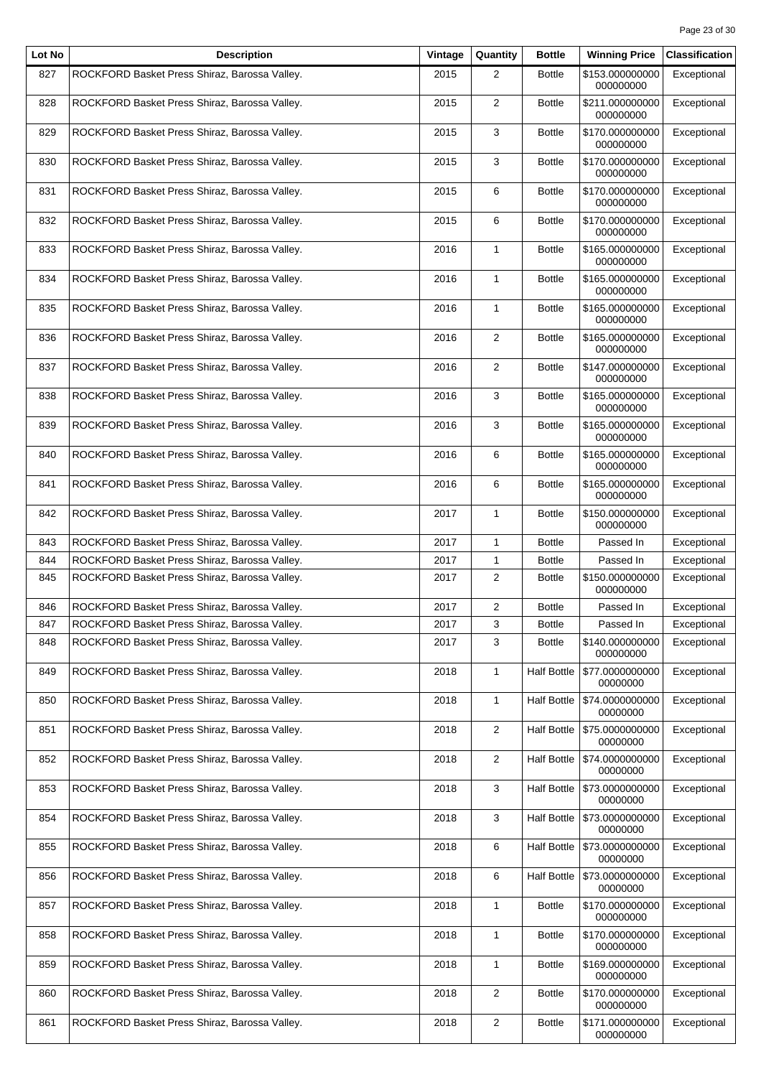| Lot No | <b>Description</b>                            | Vintage | Quantity       | <b>Bottle</b>      | <b>Winning Price</b>         | <b>Classification</b> |
|--------|-----------------------------------------------|---------|----------------|--------------------|------------------------------|-----------------------|
| 827    | ROCKFORD Basket Press Shiraz, Barossa Valley. | 2015    | 2              | <b>Bottle</b>      | \$153.000000000<br>000000000 | Exceptional           |
| 828    | ROCKFORD Basket Press Shiraz, Barossa Valley. | 2015    | $\overline{2}$ | <b>Bottle</b>      | \$211.000000000<br>000000000 | Exceptional           |
| 829    | ROCKFORD Basket Press Shiraz, Barossa Valley. | 2015    | 3              | <b>Bottle</b>      | \$170.000000000<br>000000000 | Exceptional           |
| 830    | ROCKFORD Basket Press Shiraz, Barossa Valley. | 2015    | 3              | <b>Bottle</b>      | \$170.000000000<br>000000000 | Exceptional           |
| 831    | ROCKFORD Basket Press Shiraz, Barossa Valley. | 2015    | 6              | <b>Bottle</b>      | \$170.000000000<br>000000000 | Exceptional           |
| 832    | ROCKFORD Basket Press Shiraz, Barossa Valley. | 2015    | 6              | <b>Bottle</b>      | \$170.000000000<br>000000000 | Exceptional           |
| 833    | ROCKFORD Basket Press Shiraz, Barossa Valley. | 2016    | 1              | <b>Bottle</b>      | \$165.000000000<br>000000000 | Exceptional           |
| 834    | ROCKFORD Basket Press Shiraz, Barossa Valley. | 2016    | $\mathbf{1}$   | <b>Bottle</b>      | \$165.000000000<br>000000000 | Exceptional           |
| 835    | ROCKFORD Basket Press Shiraz, Barossa Valley. | 2016    | 1              | <b>Bottle</b>      | \$165.000000000<br>000000000 | Exceptional           |
| 836    | ROCKFORD Basket Press Shiraz, Barossa Valley. | 2016    | $\overline{2}$ | <b>Bottle</b>      | \$165.000000000<br>000000000 | Exceptional           |
| 837    | ROCKFORD Basket Press Shiraz, Barossa Valley. | 2016    | $\overline{2}$ | <b>Bottle</b>      | \$147.000000000<br>000000000 | Exceptional           |
| 838    | ROCKFORD Basket Press Shiraz, Barossa Valley. | 2016    | 3              | <b>Bottle</b>      | \$165.000000000<br>000000000 | Exceptional           |
| 839    | ROCKFORD Basket Press Shiraz, Barossa Valley. | 2016    | 3              | <b>Bottle</b>      | \$165.000000000<br>000000000 | Exceptional           |
| 840    | ROCKFORD Basket Press Shiraz, Barossa Valley. | 2016    | 6              | <b>Bottle</b>      | \$165.000000000<br>000000000 | Exceptional           |
| 841    | ROCKFORD Basket Press Shiraz, Barossa Valley. | 2016    | 6              | <b>Bottle</b>      | \$165.000000000<br>000000000 | Exceptional           |
| 842    | ROCKFORD Basket Press Shiraz, Barossa Valley. | 2017    | 1              | <b>Bottle</b>      | \$150.000000000<br>000000000 | Exceptional           |
| 843    | ROCKFORD Basket Press Shiraz, Barossa Valley. | 2017    | 1              | <b>Bottle</b>      | Passed In                    | Exceptional           |
| 844    | ROCKFORD Basket Press Shiraz, Barossa Valley. | 2017    | 1              | <b>Bottle</b>      | Passed In                    | Exceptional           |
| 845    | ROCKFORD Basket Press Shiraz, Barossa Valley. | 2017    | 2              | <b>Bottle</b>      | \$150.000000000<br>000000000 | Exceptional           |
| 846    | ROCKFORD Basket Press Shiraz, Barossa Valley. | 2017    | 2              | <b>Bottle</b>      | Passed In                    | Exceptional           |
| 847    | ROCKFORD Basket Press Shiraz, Barossa Valley. | 2017    | 3              | <b>Bottle</b>      | Passed In                    | Exceptional           |
| 848    | ROCKFORD Basket Press Shiraz, Barossa Valley. | 2017    | 3              | <b>Bottle</b>      | \$140.000000000<br>000000000 | Exceptional           |
| 849    | ROCKFORD Basket Press Shiraz, Barossa Valley. | 2018    | $\mathbf{1}$   | <b>Half Bottle</b> | \$77.0000000000<br>00000000  | Exceptional           |
| 850    | ROCKFORD Basket Press Shiraz, Barossa Valley. | 2018    | $\mathbf{1}$   | <b>Half Bottle</b> | \$74.0000000000<br>00000000  | Exceptional           |
| 851    | ROCKFORD Basket Press Shiraz, Barossa Valley. | 2018    | $\overline{2}$ | <b>Half Bottle</b> | \$75.0000000000<br>00000000  | Exceptional           |
| 852    | ROCKFORD Basket Press Shiraz, Barossa Valley. | 2018    | $\overline{2}$ | <b>Half Bottle</b> | \$74.0000000000<br>00000000  | Exceptional           |
| 853    | ROCKFORD Basket Press Shiraz, Barossa Valley. | 2018    | 3              | <b>Half Bottle</b> | \$73.0000000000<br>00000000  | Exceptional           |
| 854    | ROCKFORD Basket Press Shiraz, Barossa Valley. | 2018    | 3              | <b>Half Bottle</b> | \$73.0000000000<br>00000000  | Exceptional           |
| 855    | ROCKFORD Basket Press Shiraz, Barossa Valley. | 2018    | 6              | <b>Half Bottle</b> | \$73.0000000000<br>00000000  | Exceptional           |
| 856    | ROCKFORD Basket Press Shiraz, Barossa Valley. | 2018    | 6              | <b>Half Bottle</b> | \$73.0000000000<br>00000000  | Exceptional           |
| 857    | ROCKFORD Basket Press Shiraz, Barossa Valley. | 2018    | 1              | <b>Bottle</b>      | \$170.000000000<br>000000000 | Exceptional           |
| 858    | ROCKFORD Basket Press Shiraz, Barossa Valley. | 2018    | 1              | <b>Bottle</b>      | \$170.000000000<br>000000000 | Exceptional           |
| 859    | ROCKFORD Basket Press Shiraz, Barossa Valley. | 2018    | 1              | <b>Bottle</b>      | \$169.000000000<br>000000000 | Exceptional           |
| 860    | ROCKFORD Basket Press Shiraz, Barossa Valley. | 2018    | $\overline{c}$ | <b>Bottle</b>      | \$170.000000000<br>000000000 | Exceptional           |
| 861    | ROCKFORD Basket Press Shiraz, Barossa Valley. | 2018    | 2              | <b>Bottle</b>      | \$171.000000000<br>000000000 | Exceptional           |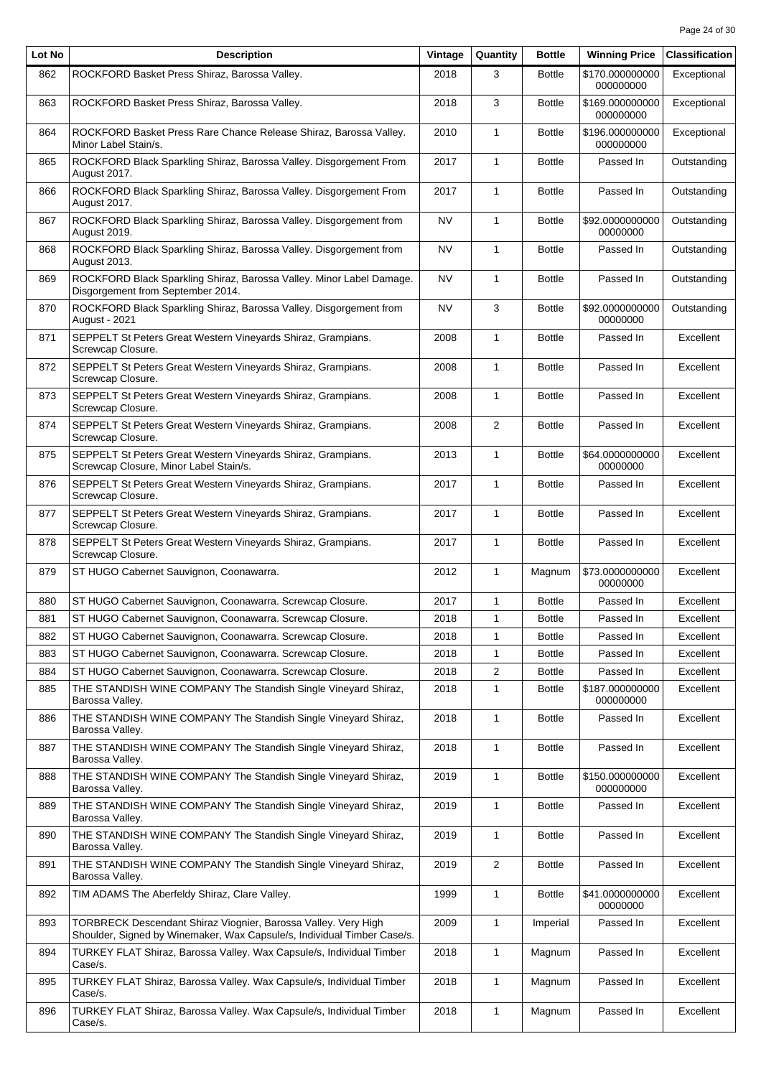| Lot No | <b>Description</b>                                                                                                                        | Vintage | Quantity       | <b>Bottle</b> | <b>Winning Price</b>         | <b>Classification</b> |
|--------|-------------------------------------------------------------------------------------------------------------------------------------------|---------|----------------|---------------|------------------------------|-----------------------|
| 862    | ROCKFORD Basket Press Shiraz, Barossa Valley.                                                                                             | 2018    | 3              | <b>Bottle</b> | \$170.000000000<br>000000000 | Exceptional           |
| 863    | ROCKFORD Basket Press Shiraz, Barossa Valley.                                                                                             | 2018    | 3              | <b>Bottle</b> | \$169.000000000<br>000000000 | Exceptional           |
| 864    | ROCKFORD Basket Press Rare Chance Release Shiraz, Barossa Valley.<br>Minor Label Stain/s.                                                 | 2010    | $\mathbf{1}$   | <b>Bottle</b> | \$196.000000000<br>000000000 | Exceptional           |
| 865    | ROCKFORD Black Sparkling Shiraz, Barossa Valley. Disgorgement From<br>August 2017.                                                        | 2017    | $\mathbf{1}$   | <b>Bottle</b> | Passed In                    | Outstanding           |
| 866    | ROCKFORD Black Sparkling Shiraz, Barossa Valley. Disgorgement From<br>August 2017.                                                        | 2017    | 1              | <b>Bottle</b> | Passed In                    | Outstanding           |
| 867    | ROCKFORD Black Sparkling Shiraz, Barossa Valley. Disgorgement from<br>August 2019.                                                        | NV      | $\mathbf{1}$   | <b>Bottle</b> | \$92.0000000000<br>00000000  | Outstanding           |
| 868    | ROCKFORD Black Sparkling Shiraz, Barossa Valley. Disgorgement from<br>August 2013.                                                        | NV      | $\mathbf{1}$   | <b>Bottle</b> | Passed In                    | Outstanding           |
| 869    | ROCKFORD Black Sparkling Shiraz, Barossa Valley. Minor Label Damage.<br>Disgorgement from September 2014.                                 | NV      | $\mathbf{1}$   | <b>Bottle</b> | Passed In                    | Outstanding           |
| 870    | ROCKFORD Black Sparkling Shiraz, Barossa Valley. Disgorgement from<br>August - 2021                                                       | NV      | 3              | <b>Bottle</b> | \$92.0000000000<br>00000000  | Outstanding           |
| 871    | SEPPELT St Peters Great Western Vineyards Shiraz, Grampians.<br>Screwcap Closure.                                                         | 2008    | $\mathbf{1}$   | <b>Bottle</b> | Passed In                    | Excellent             |
| 872    | SEPPELT St Peters Great Western Vineyards Shiraz, Grampians.<br>Screwcap Closure.                                                         | 2008    | $\mathbf{1}$   | <b>Bottle</b> | Passed In                    | Excellent             |
| 873    | SEPPELT St Peters Great Western Vineyards Shiraz, Grampians.<br>Screwcap Closure.                                                         | 2008    | $\mathbf{1}$   | <b>Bottle</b> | Passed In                    | Excellent             |
| 874    | SEPPELT St Peters Great Western Vineyards Shiraz, Grampians.<br>Screwcap Closure.                                                         | 2008    | 2              | <b>Bottle</b> | Passed In                    | Excellent             |
| 875    | SEPPELT St Peters Great Western Vineyards Shiraz, Grampians.<br>Screwcap Closure, Minor Label Stain/s.                                    | 2013    | $\mathbf{1}$   | <b>Bottle</b> | \$64.0000000000<br>00000000  | Excellent             |
| 876    | SEPPELT St Peters Great Western Vineyards Shiraz, Grampians.<br>Screwcap Closure.                                                         | 2017    | $\mathbf{1}$   | <b>Bottle</b> | Passed In                    | Excellent             |
| 877    | SEPPELT St Peters Great Western Vineyards Shiraz, Grampians.<br>Screwcap Closure.                                                         | 2017    | 1              | <b>Bottle</b> | Passed In                    | Excellent             |
| 878    | SEPPELT St Peters Great Western Vineyards Shiraz, Grampians.<br>Screwcap Closure.                                                         | 2017    | $\mathbf{1}$   | <b>Bottle</b> | Passed In                    | Excellent             |
| 879    | ST HUGO Cabernet Sauvignon, Coonawarra.                                                                                                   | 2012    | $\mathbf{1}$   | Magnum        | \$73.0000000000<br>00000000  | Excellent             |
| 880    | ST HUGO Cabernet Sauvignon, Coonawarra. Screwcap Closure.                                                                                 | 2017    | $\mathbf{1}$   | <b>Bottle</b> | Passed In                    | Excellent             |
| 881    | ST HUGO Cabernet Sauvignon, Coonawarra. Screwcap Closure.                                                                                 | 2018    | $\mathbf{1}$   | <b>Bottle</b> | Passed In                    | Excellent             |
| 882    | ST HUGO Cabernet Sauvignon, Coonawarra. Screwcap Closure.                                                                                 | 2018    | $\mathbf{1}$   | <b>Bottle</b> | Passed In                    | Excellent             |
| 883    | ST HUGO Cabernet Sauvignon, Coonawarra. Screwcap Closure.                                                                                 | 2018    | 1              | <b>Bottle</b> | Passed In                    | Excellent             |
| 884    | ST HUGO Cabernet Sauvignon, Coonawarra. Screwcap Closure.                                                                                 | 2018    | $\overline{2}$ | <b>Bottle</b> | Passed In                    | Excellent             |
| 885    | THE STANDISH WINE COMPANY The Standish Single Vineyard Shiraz,<br>Barossa Valley.                                                         | 2018    | 1              | <b>Bottle</b> | \$187.000000000<br>000000000 | Excellent             |
| 886    | THE STANDISH WINE COMPANY The Standish Single Vineyard Shiraz,<br>Barossa Valley.                                                         | 2018    | $\mathbf{1}$   | <b>Bottle</b> | Passed In                    | Excellent             |
| 887    | THE STANDISH WINE COMPANY The Standish Single Vineyard Shiraz,<br>Barossa Valley.                                                         | 2018    | $\mathbf{1}$   | <b>Bottle</b> | Passed In                    | Excellent             |
| 888    | THE STANDISH WINE COMPANY The Standish Single Vineyard Shiraz,<br>Barossa Valley.                                                         | 2019    | 1              | <b>Bottle</b> | \$150.000000000<br>000000000 | Excellent             |
| 889    | THE STANDISH WINE COMPANY The Standish Single Vineyard Shiraz,<br>Barossa Valley.                                                         | 2019    | 1              | <b>Bottle</b> | Passed In                    | Excellent             |
| 890    | THE STANDISH WINE COMPANY The Standish Single Vineyard Shiraz,<br>Barossa Valley.                                                         | 2019    | 1              | <b>Bottle</b> | Passed In                    | Excellent             |
| 891    | THE STANDISH WINE COMPANY The Standish Single Vineyard Shiraz,<br>Barossa Valley.                                                         | 2019    | 2              | <b>Bottle</b> | Passed In                    | Excellent             |
| 892    | TIM ADAMS The Aberfeldy Shiraz, Clare Valley.                                                                                             | 1999    | $\mathbf{1}$   | <b>Bottle</b> | \$41.0000000000<br>00000000  | Excellent             |
| 893    | TORBRECK Descendant Shiraz Viognier, Barossa Valley. Very High<br>Shoulder, Signed by Winemaker, Wax Capsule/s, Individual Timber Case/s. | 2009    | $\mathbf{1}$   | Imperial      | Passed In                    | Excellent             |
| 894    | TURKEY FLAT Shiraz, Barossa Valley. Wax Capsule/s, Individual Timber<br>Case/s.                                                           | 2018    | $\mathbf{1}$   | Magnum        | Passed In                    | Excellent             |
| 895    | TURKEY FLAT Shiraz, Barossa Valley. Wax Capsule/s, Individual Timber<br>Case/s.                                                           | 2018    | 1              | Magnum        | Passed In                    | Excellent             |
| 896    | TURKEY FLAT Shiraz, Barossa Valley. Wax Capsule/s, Individual Timber<br>Case/s.                                                           | 2018    | $\mathbf{1}$   | Magnum        | Passed In                    | Excellent             |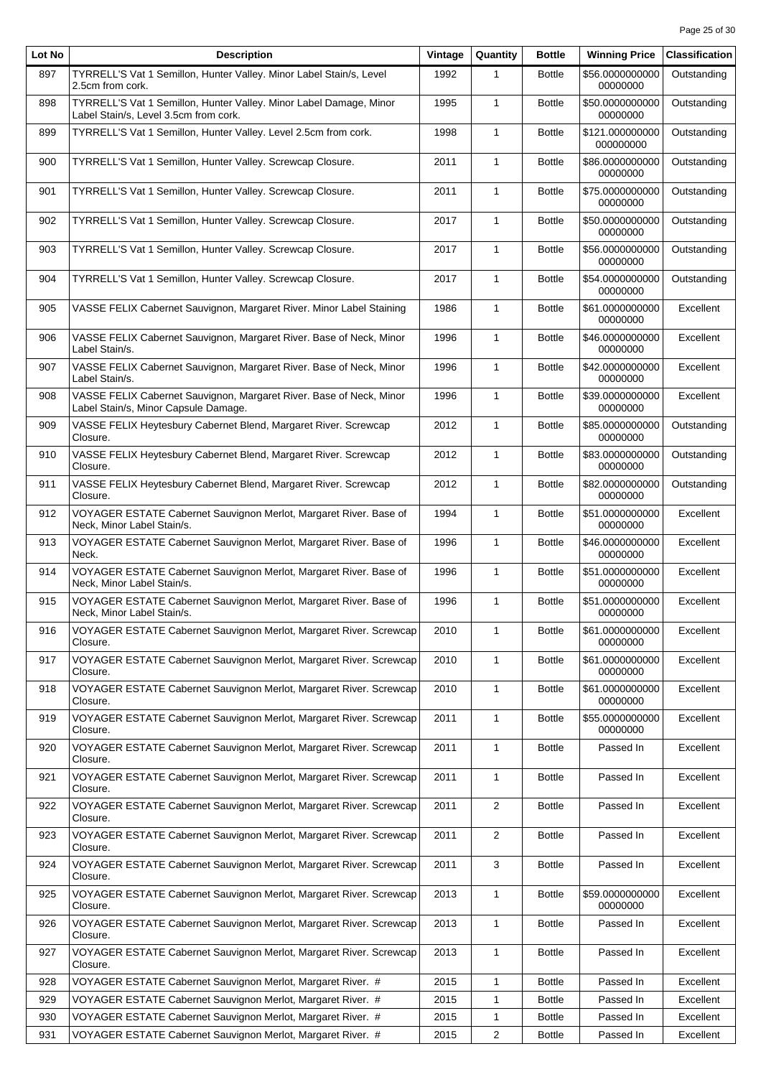| Lot No | <b>Description</b>                                                                                          | Vintage | Quantity                | <b>Bottle</b> | <b>Winning Price</b>         | <b>Classification</b> |
|--------|-------------------------------------------------------------------------------------------------------------|---------|-------------------------|---------------|------------------------------|-----------------------|
| 897    | TYRRELL'S Vat 1 Semillon, Hunter Valley. Minor Label Stain/s, Level<br>2.5cm from cork.                     | 1992    | 1                       | <b>Bottle</b> | \$56.0000000000<br>00000000  | Outstanding           |
| 898    | TYRRELL'S Vat 1 Semillon, Hunter Valley. Minor Label Damage, Minor<br>Label Stain/s, Level 3.5cm from cork. | 1995    | $\mathbf{1}$            | <b>Bottle</b> | \$50.0000000000<br>00000000  | Outstanding           |
| 899    | TYRRELL'S Vat 1 Semillon, Hunter Valley. Level 2.5cm from cork.                                             | 1998    | $\mathbf{1}$            | <b>Bottle</b> | \$121.000000000<br>000000000 | Outstanding           |
| 900    | TYRRELL'S Vat 1 Semillon, Hunter Valley. Screwcap Closure.                                                  | 2011    | $\mathbf{1}$            | <b>Bottle</b> | \$86.0000000000<br>00000000  | Outstanding           |
| 901    | TYRRELL'S Vat 1 Semillon, Hunter Valley. Screwcap Closure.                                                  | 2011    | 1                       | <b>Bottle</b> | \$75.0000000000<br>00000000  | Outstanding           |
| 902    | TYRRELL'S Vat 1 Semillon, Hunter Valley. Screwcap Closure.                                                  | 2017    | 1                       | <b>Bottle</b> | \$50.0000000000<br>00000000  | Outstanding           |
| 903    | TYRRELL'S Vat 1 Semillon, Hunter Valley. Screwcap Closure.                                                  | 2017    | 1                       | <b>Bottle</b> | \$56.0000000000<br>00000000  | Outstanding           |
| 904    | TYRRELL'S Vat 1 Semillon, Hunter Valley. Screwcap Closure.                                                  | 2017    | $\mathbf{1}$            | <b>Bottle</b> | \$54.0000000000<br>00000000  | Outstanding           |
| 905    | VASSE FELIX Cabernet Sauvignon, Margaret River. Minor Label Staining                                        | 1986    | $\mathbf{1}$            | <b>Bottle</b> | \$61.0000000000<br>00000000  | Excellent             |
| 906    | VASSE FELIX Cabernet Sauvignon, Margaret River. Base of Neck, Minor<br>Label Stain/s.                       | 1996    | $\mathbf{1}$            | <b>Bottle</b> | \$46.0000000000<br>00000000  | Excellent             |
| 907    | VASSE FELIX Cabernet Sauvignon, Margaret River. Base of Neck, Minor<br>Label Stain/s.                       | 1996    | $\mathbf{1}$            | <b>Bottle</b> | \$42.0000000000<br>00000000  | Excellent             |
| 908    | VASSE FELIX Cabernet Sauvignon, Margaret River. Base of Neck, Minor<br>Label Stain/s, Minor Capsule Damage. | 1996    | 1                       | <b>Bottle</b> | \$39.0000000000<br>00000000  | Excellent             |
| 909    | VASSE FELIX Heytesbury Cabernet Blend, Margaret River. Screwcap<br>Closure.                                 | 2012    | $\mathbf{1}$            | <b>Bottle</b> | \$85.0000000000<br>00000000  | Outstanding           |
| 910    | VASSE FELIX Heytesbury Cabernet Blend, Margaret River. Screwcap<br>Closure.                                 | 2012    | $\mathbf{1}$            | <b>Bottle</b> | \$83.0000000000<br>00000000  | Outstanding           |
| 911    | VASSE FELIX Heytesbury Cabernet Blend, Margaret River. Screwcap<br>Closure.                                 | 2012    | $\mathbf{1}$            | <b>Bottle</b> | \$82.0000000000<br>00000000  | Outstanding           |
| 912    | VOYAGER ESTATE Cabernet Sauvignon Merlot, Margaret River. Base of<br>Neck, Minor Label Stain/s.             | 1994    | $\mathbf{1}$            | <b>Bottle</b> | \$51.0000000000<br>00000000  | Excellent             |
| 913    | VOYAGER ESTATE Cabernet Sauvignon Merlot, Margaret River. Base of<br>Neck.                                  | 1996    | 1                       | <b>Bottle</b> | \$46.0000000000<br>00000000  | Excellent             |
| 914    | VOYAGER ESTATE Cabernet Sauvignon Merlot, Margaret River. Base of<br>Neck, Minor Label Stain/s.             | 1996    | 1                       | <b>Bottle</b> | \$51.0000000000<br>00000000  | Excellent             |
| 915    | VOYAGER ESTATE Cabernet Sauvignon Merlot, Margaret River. Base of<br>Neck, Minor Label Stain/s.             | 1996    | $\mathbf{1}$            | <b>Bottle</b> | \$51.0000000000<br>00000000  | Excellent             |
| 916    | VOYAGER ESTATE Cabernet Sauvignon Merlot, Margaret River. Screwcap<br>Closure.                              | 2010    | 1                       | <b>Bottle</b> | \$61.0000000000<br>00000000  | Excellent             |
| 917    | VOYAGER ESTATE Cabernet Sauvignon Merlot, Margaret River. Screwcap<br>Closure.                              | 2010    | $\mathbf{1}$            | <b>Bottle</b> | \$61.0000000000<br>00000000  | Excellent             |
| 918    | VOYAGER ESTATE Cabernet Sauvignon Merlot, Margaret River. Screwcap<br>Closure.                              | 2010    | 1                       | <b>Bottle</b> | \$61.0000000000<br>00000000  | Excellent             |
| 919    | VOYAGER ESTATE Cabernet Sauvignon Merlot, Margaret River. Screwcap<br>Closure.                              | 2011    | 1                       | <b>Bottle</b> | \$55.0000000000<br>00000000  | Excellent             |
| 920    | VOYAGER ESTATE Cabernet Sauvignon Merlot, Margaret River. Screwcap<br>Closure.                              | 2011    | 1                       | <b>Bottle</b> | Passed In                    | Excellent             |
| 921    | VOYAGER ESTATE Cabernet Sauvignon Merlot, Margaret River. Screwcap<br>Closure.                              | 2011    | 1                       | <b>Bottle</b> | Passed In                    | Excellent             |
| 922    | VOYAGER ESTATE Cabernet Sauvignon Merlot, Margaret River. Screwcap<br>Closure.                              | 2011    | 2                       | <b>Bottle</b> | Passed In                    | Excellent             |
| 923    | VOYAGER ESTATE Cabernet Sauvignon Merlot, Margaret River. Screwcap<br>Closure.                              | 2011    | 2                       | <b>Bottle</b> | Passed In                    | Excellent             |
| 924    | VOYAGER ESTATE Cabernet Sauvignon Merlot, Margaret River. Screwcap<br>Closure.                              | 2011    | 3                       | <b>Bottle</b> | Passed In                    | Excellent             |
| 925    | VOYAGER ESTATE Cabernet Sauvignon Merlot, Margaret River. Screwcap<br>Closure.                              | 2013    | 1                       | <b>Bottle</b> | \$59.0000000000<br>00000000  | Excellent             |
| 926    | VOYAGER ESTATE Cabernet Sauvignon Merlot, Margaret River. Screwcap<br>Closure.                              | 2013    | $\mathbf{1}$            | <b>Bottle</b> | Passed In                    | Excellent             |
| 927    | VOYAGER ESTATE Cabernet Sauvignon Merlot, Margaret River. Screwcap<br>Closure.                              | 2013    | 1                       | <b>Bottle</b> | Passed In                    | Excellent             |
| 928    | VOYAGER ESTATE Cabernet Sauvignon Merlot, Margaret River. #                                                 | 2015    | 1                       | <b>Bottle</b> | Passed In                    | Excellent             |
| 929    | VOYAGER ESTATE Cabernet Sauvignon Merlot, Margaret River. #                                                 | 2015    | 1                       | <b>Bottle</b> | Passed In                    | Excellent             |
| 930    | VOYAGER ESTATE Cabernet Sauvignon Merlot, Margaret River. #                                                 | 2015    | 1                       | <b>Bottle</b> | Passed In                    | Excellent             |
| 931    | VOYAGER ESTATE Cabernet Sauvignon Merlot, Margaret River. #                                                 | 2015    | $\overline{\mathbf{c}}$ | <b>Bottle</b> | Passed In                    | Excellent             |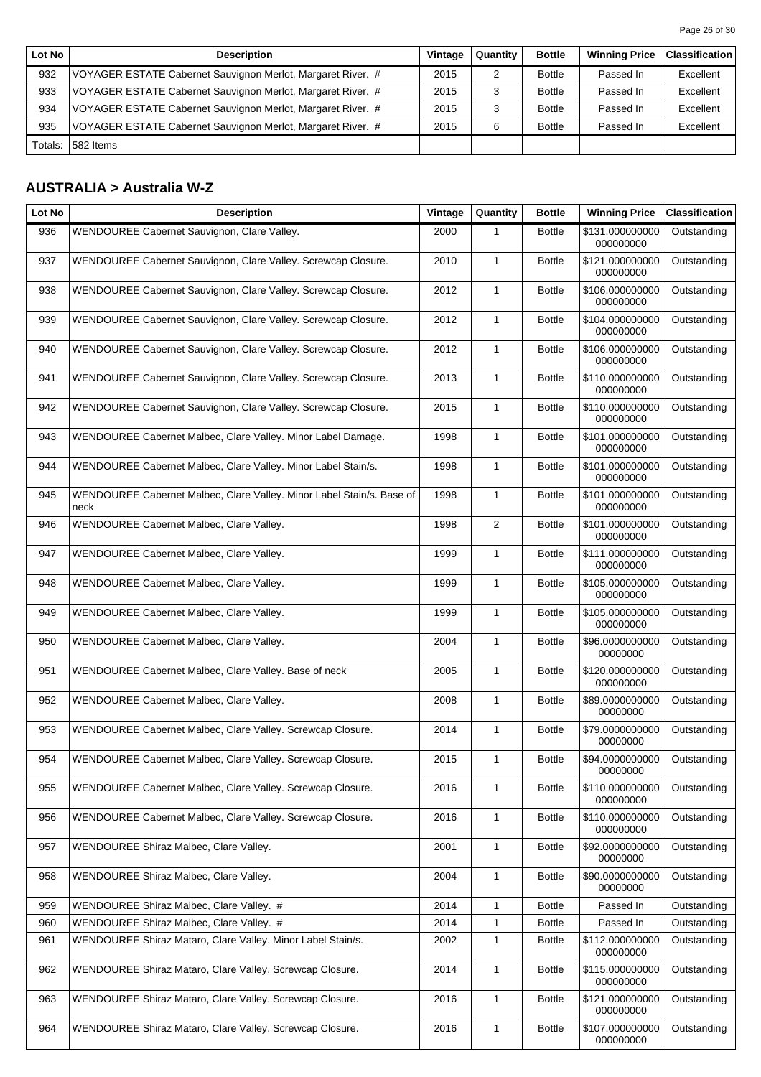| Lot No  | <b>Description</b>                                          | Vintage | Quantity | <b>Bottle</b> | <b>Winning Price</b> | <b>Classification</b> |
|---------|-------------------------------------------------------------|---------|----------|---------------|----------------------|-----------------------|
| 932     | VOYAGER ESTATE Cabernet Sauvignon Merlot, Margaret River. # | 2015    |          | <b>Bottle</b> | Passed In            | Excellent             |
| 933     | VOYAGER ESTATE Cabernet Sauvignon Merlot, Margaret River. # | 2015    |          | <b>Bottle</b> | Passed In            | Excellent             |
| 934     | VOYAGER ESTATE Cabernet Sauvignon Merlot, Margaret River. # | 2015    |          | <b>Bottle</b> | Passed In            | Excellent             |
| 935     | VOYAGER ESTATE Cabernet Sauvignon Merlot, Margaret River. # | 2015    | 6        | <b>Bottle</b> | Passed In            | Excellent             |
| Totals: | 582 Items                                                   |         |          |               |                      |                       |

## **AUSTRALIA > Australia W-Z**

| Lot No | <b>Description</b>                                                            | Vintage | Quantity     | <b>Bottle</b> | <b>Winning Price</b>         | <b>Classification</b> |
|--------|-------------------------------------------------------------------------------|---------|--------------|---------------|------------------------------|-----------------------|
| 936    | WENDOUREE Cabernet Sauvignon, Clare Valley.                                   | 2000    | 1            | <b>Bottle</b> | \$131.000000000<br>000000000 | Outstanding           |
| 937    | WENDOUREE Cabernet Sauvignon, Clare Valley. Screwcap Closure.                 | 2010    | $\mathbf{1}$ | <b>Bottle</b> | \$121.000000000<br>000000000 | Outstanding           |
| 938    | WENDOUREE Cabernet Sauvignon, Clare Valley. Screwcap Closure.                 | 2012    | 1            | <b>Bottle</b> | \$106.000000000<br>000000000 | Outstanding           |
| 939    | WENDOUREE Cabernet Sauvignon, Clare Valley. Screwcap Closure.                 | 2012    | 1            | <b>Bottle</b> | \$104.000000000<br>000000000 | Outstanding           |
| 940    | WENDOUREE Cabernet Sauvignon, Clare Valley. Screwcap Closure.                 | 2012    | $\mathbf{1}$ | <b>Bottle</b> | \$106.000000000<br>000000000 | Outstanding           |
| 941    | WENDOUREE Cabernet Sauvignon, Clare Valley. Screwcap Closure.                 | 2013    | $\mathbf{1}$ | <b>Bottle</b> | \$110.000000000<br>000000000 | Outstanding           |
| 942    | WENDOUREE Cabernet Sauvignon, Clare Valley. Screwcap Closure.                 | 2015    | $\mathbf{1}$ | <b>Bottle</b> | \$110.000000000<br>000000000 | Outstanding           |
| 943    | WENDOUREE Cabernet Malbec, Clare Valley. Minor Label Damage.                  | 1998    | $\mathbf{1}$ | <b>Bottle</b> | \$101.000000000<br>000000000 | Outstanding           |
| 944    | WENDOUREE Cabernet Malbec, Clare Valley. Minor Label Stain/s.                 | 1998    | $\mathbf{1}$ | <b>Bottle</b> | \$101.000000000<br>000000000 | Outstanding           |
| 945    | WENDOUREE Cabernet Malbec, Clare Valley. Minor Label Stain/s. Base of<br>neck | 1998    | $\mathbf{1}$ | <b>Bottle</b> | \$101.000000000<br>000000000 | Outstanding           |
| 946    | WENDOUREE Cabernet Malbec, Clare Valley.                                      | 1998    | 2            | <b>Bottle</b> | \$101.000000000<br>000000000 | Outstanding           |
| 947    | WENDOUREE Cabernet Malbec, Clare Valley.                                      | 1999    | $\mathbf{1}$ | <b>Bottle</b> | \$111.000000000<br>000000000 | Outstanding           |
| 948    | WENDOUREE Cabernet Malbec, Clare Valley.                                      | 1999    | $\mathbf{1}$ | <b>Bottle</b> | \$105.000000000<br>000000000 | Outstanding           |
| 949    | WENDOUREE Cabernet Malbec, Clare Valley.                                      | 1999    | 1            | <b>Bottle</b> | \$105.000000000<br>000000000 | Outstanding           |
| 950    | WENDOUREE Cabernet Malbec, Clare Valley.                                      | 2004    | $\mathbf{1}$ | <b>Bottle</b> | \$96.0000000000<br>00000000  | Outstanding           |
| 951    | WENDOUREE Cabernet Malbec, Clare Valley. Base of neck                         | 2005    | $\mathbf{1}$ | <b>Bottle</b> | \$120.000000000<br>000000000 | Outstanding           |
| 952    | WENDOUREE Cabernet Malbec, Clare Valley.                                      | 2008    | $\mathbf{1}$ | <b>Bottle</b> | \$89.0000000000<br>00000000  | Outstanding           |
| 953    | WENDOUREE Cabernet Malbec, Clare Valley. Screwcap Closure.                    | 2014    | $\mathbf{1}$ | <b>Bottle</b> | \$79.0000000000<br>00000000  | Outstanding           |
| 954    | WENDOUREE Cabernet Malbec, Clare Valley. Screwcap Closure.                    | 2015    | $\mathbf{1}$ | <b>Bottle</b> | \$94.0000000000<br>00000000  | Outstanding           |
| 955    | WENDOUREE Cabernet Malbec, Clare Valley. Screwcap Closure.                    | 2016    | 1            | <b>Bottle</b> | \$110.000000000<br>000000000 | Outstanding           |
| 956    | WENDOUREE Cabernet Malbec, Clare Valley. Screwcap Closure.                    | 2016    | $\mathbf{1}$ | <b>Bottle</b> | \$110.000000000<br>000000000 | Outstanding           |
| 957    | WENDOUREE Shiraz Malbec, Clare Valley.                                        | 2001    | $\mathbf{1}$ | <b>Bottle</b> | \$92.0000000000<br>00000000  | Outstanding           |
| 958    | WENDOUREE Shiraz Malbec, Clare Valley.                                        | 2004    | $\mathbf{1}$ | <b>Bottle</b> | \$90.0000000000<br>00000000  | Outstanding           |
| 959    | WENDOUREE Shiraz Malbec, Clare Valley. #                                      | 2014    | 1            | <b>Bottle</b> | Passed In                    | Outstanding           |
| 960    | WENDOUREE Shiraz Malbec, Clare Valley. #                                      | 2014    | 1            | <b>Bottle</b> | Passed In                    | Outstanding           |
| 961    | WENDOUREE Shiraz Mataro, Clare Valley. Minor Label Stain/s.                   | 2002    | 1            | <b>Bottle</b> | \$112.000000000<br>000000000 | Outstanding           |
| 962    | WENDOUREE Shiraz Mataro, Clare Valley. Screwcap Closure.                      | 2014    | $\mathbf{1}$ | <b>Bottle</b> | \$115.000000000<br>000000000 | Outstanding           |
| 963    | WENDOUREE Shiraz Mataro, Clare Valley. Screwcap Closure.                      | 2016    | $\mathbf{1}$ | <b>Bottle</b> | \$121.000000000<br>000000000 | Outstanding           |
| 964    | WENDOUREE Shiraz Mataro, Clare Valley. Screwcap Closure.                      | 2016    | $\mathbf{1}$ | <b>Bottle</b> | \$107.000000000<br>000000000 | Outstanding           |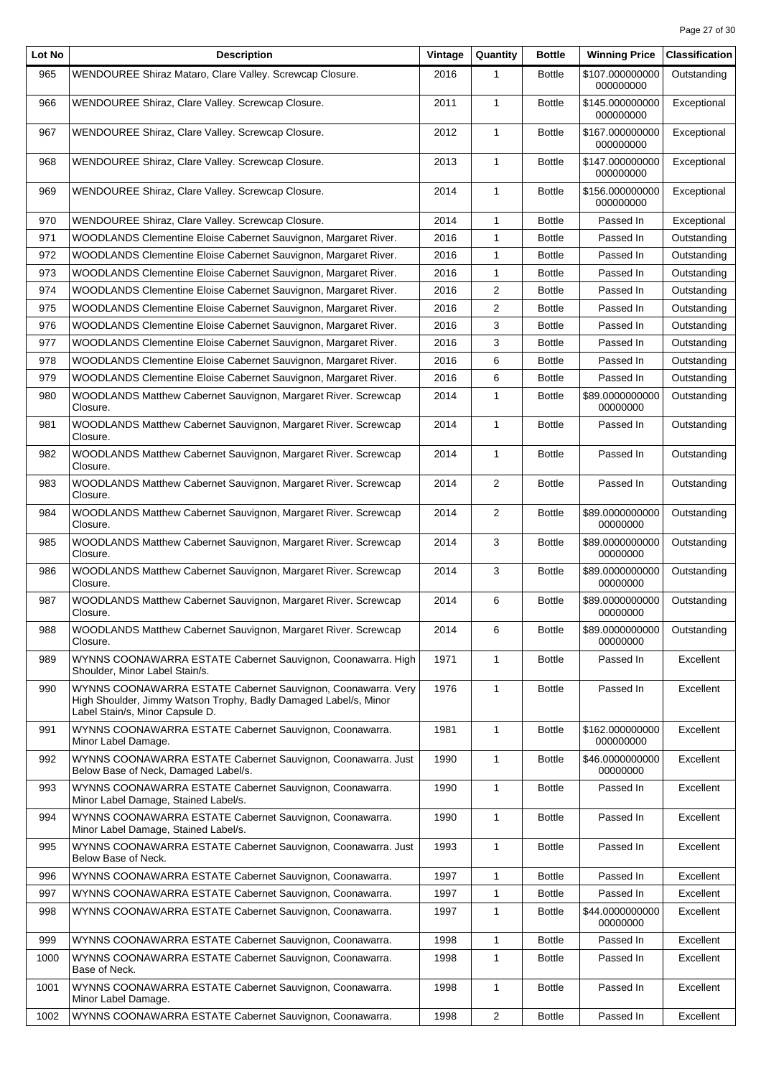| Lot No | <b>Description</b>                                                                                                                                                  | Vintage | Quantity       | <b>Bottle</b> | <b>Winning Price</b>         | <b>Classification</b> |
|--------|---------------------------------------------------------------------------------------------------------------------------------------------------------------------|---------|----------------|---------------|------------------------------|-----------------------|
| 965    | WENDOUREE Shiraz Mataro, Clare Valley. Screwcap Closure.                                                                                                            | 2016    | 1              | <b>Bottle</b> | \$107.000000000<br>000000000 | Outstanding           |
| 966    | WENDOUREE Shiraz, Clare Valley. Screwcap Closure.                                                                                                                   | 2011    | $\mathbf{1}$   | <b>Bottle</b> | \$145.000000000<br>000000000 | Exceptional           |
| 967    | WENDOUREE Shiraz, Clare Valley. Screwcap Closure.                                                                                                                   | 2012    | $\mathbf{1}$   | <b>Bottle</b> | \$167.000000000<br>000000000 | Exceptional           |
| 968    | WENDOUREE Shiraz, Clare Valley. Screwcap Closure.                                                                                                                   | 2013    | $\mathbf{1}$   | <b>Bottle</b> | \$147.000000000<br>000000000 | Exceptional           |
| 969    | WENDOUREE Shiraz, Clare Valley. Screwcap Closure.                                                                                                                   | 2014    | 1              | <b>Bottle</b> | \$156.000000000<br>000000000 | Exceptional           |
| 970    | WENDOUREE Shiraz, Clare Valley. Screwcap Closure.                                                                                                                   | 2014    | 1              | <b>Bottle</b> | Passed In                    | Exceptional           |
| 971    | WOODLANDS Clementine Eloise Cabernet Sauvignon, Margaret River.                                                                                                     | 2016    | 1              | <b>Bottle</b> | Passed In                    | Outstanding           |
| 972    | WOODLANDS Clementine Eloise Cabernet Sauvignon, Margaret River.                                                                                                     | 2016    | 1              | <b>Bottle</b> | Passed In                    | Outstanding           |
| 973    | WOODLANDS Clementine Eloise Cabernet Sauvignon, Margaret River.                                                                                                     | 2016    | 1              | <b>Bottle</b> | Passed In                    | Outstanding           |
| 974    | WOODLANDS Clementine Eloise Cabernet Sauvignon, Margaret River.                                                                                                     | 2016    | 2              | <b>Bottle</b> | Passed In                    | Outstanding           |
| 975    | WOODLANDS Clementine Eloise Cabernet Sauvignon, Margaret River.                                                                                                     | 2016    | 2              | <b>Bottle</b> | Passed In                    | Outstanding           |
| 976    | WOODLANDS Clementine Eloise Cabernet Sauvignon, Margaret River.                                                                                                     | 2016    | 3              | <b>Bottle</b> | Passed In                    | Outstanding           |
| 977    | WOODLANDS Clementine Eloise Cabernet Sauvignon, Margaret River.                                                                                                     | 2016    | 3              | <b>Bottle</b> | Passed In                    | Outstanding           |
| 978    | WOODLANDS Clementine Eloise Cabernet Sauvignon, Margaret River.                                                                                                     | 2016    | 6              | <b>Bottle</b> | Passed In                    | Outstanding           |
| 979    | WOODLANDS Clementine Eloise Cabernet Sauvignon, Margaret River.                                                                                                     | 2016    | 6              | <b>Bottle</b> | Passed In                    | Outstanding           |
| 980    | WOODLANDS Matthew Cabernet Sauvignon, Margaret River. Screwcap<br>Closure.                                                                                          | 2014    | 1              | <b>Bottle</b> | \$89.0000000000<br>00000000  | Outstanding           |
| 981    | WOODLANDS Matthew Cabernet Sauvignon, Margaret River. Screwcap<br>Closure.                                                                                          | 2014    | $\mathbf{1}$   | <b>Bottle</b> | Passed In                    | Outstanding           |
| 982    | WOODLANDS Matthew Cabernet Sauvignon, Margaret River. Screwcap<br>Closure.                                                                                          | 2014    | $\mathbf{1}$   | <b>Bottle</b> | Passed In                    | Outstanding           |
| 983    | WOODLANDS Matthew Cabernet Sauvignon, Margaret River. Screwcap<br>Closure.                                                                                          | 2014    | 2              | <b>Bottle</b> | Passed In                    | Outstanding           |
| 984    | WOODLANDS Matthew Cabernet Sauvignon, Margaret River. Screwcap<br>Closure.                                                                                          | 2014    | $\overline{2}$ | <b>Bottle</b> | \$89.0000000000<br>00000000  | Outstanding           |
| 985    | WOODLANDS Matthew Cabernet Sauvignon, Margaret River. Screwcap<br>Closure.                                                                                          | 2014    | 3              | <b>Bottle</b> | \$89.0000000000<br>00000000  | Outstanding           |
| 986    | WOODLANDS Matthew Cabernet Sauvignon, Margaret River. Screwcap<br>Closure.                                                                                          | 2014    | 3              | <b>Bottle</b> | \$89.0000000000<br>00000000  | Outstanding           |
| 987    | WOODLANDS Matthew Cabernet Sauvignon, Margaret River. Screwcap<br>Closure.                                                                                          | 2014    | 6              | <b>Bottle</b> | \$89.0000000000<br>00000000  | Outstanding           |
| 988    | WOODLANDS Matthew Cabernet Sauvignon, Margaret River. Screwcap<br>Closure.                                                                                          | 2014    | 6              | <b>Bottle</b> | \$89.0000000000<br>00000000  | Outstanding           |
| 989    | WYNNS COONAWARRA ESTATE Cabernet Sauvignon, Coonawarra. High<br>Shoulder, Minor Label Stain/s.                                                                      | 1971    | 1              | <b>Bottle</b> | Passed In                    | Excellent             |
| 990    | WYNNS COONAWARRA ESTATE Cabernet Sauvignon, Coonawarra. Very<br>High Shoulder, Jimmy Watson Trophy, Badly Damaged Label/s, Minor<br>Label Stain/s, Minor Capsule D. | 1976    | 1              | <b>Bottle</b> | Passed In                    | Excellent             |
| 991    | WYNNS COONAWARRA ESTATE Cabernet Sauvignon, Coonawarra.<br>Minor Label Damage.                                                                                      | 1981    | $\mathbf{1}$   | <b>Bottle</b> | \$162.000000000<br>000000000 | Excellent             |
| 992    | WYNNS COONAWARRA ESTATE Cabernet Sauvignon, Coonawarra. Just<br>Below Base of Neck, Damaged Label/s.                                                                | 1990    | 1              | <b>Bottle</b> | \$46.0000000000<br>00000000  | Excellent             |
| 993    | WYNNS COONAWARRA ESTATE Cabernet Sauvignon, Coonawarra.<br>Minor Label Damage, Stained Label/s.                                                                     | 1990    | 1              | <b>Bottle</b> | Passed In                    | Excellent             |
| 994    | WYNNS COONAWARRA ESTATE Cabernet Sauvignon, Coonawarra.<br>Minor Label Damage, Stained Label/s.                                                                     | 1990    | 1              | <b>Bottle</b> | Passed In                    | Excellent             |
| 995    | WYNNS COONAWARRA ESTATE Cabernet Sauvignon, Coonawarra. Just<br>Below Base of Neck.                                                                                 | 1993    | $\mathbf{1}$   | <b>Bottle</b> | Passed In                    | Excellent             |
| 996    | WYNNS COONAWARRA ESTATE Cabernet Sauvignon, Coonawarra.                                                                                                             | 1997    | 1              | <b>Bottle</b> | Passed In                    | Excellent             |
| 997    | WYNNS COONAWARRA ESTATE Cabernet Sauvignon, Coonawarra.                                                                                                             | 1997    | 1              | <b>Bottle</b> | Passed In                    | Excellent             |
| 998    | WYNNS COONAWARRA ESTATE Cabernet Sauvignon, Coonawarra.                                                                                                             | 1997    | 1              | <b>Bottle</b> | \$44.0000000000<br>00000000  | Excellent             |
| 999    | WYNNS COONAWARRA ESTATE Cabernet Sauvignon, Coonawarra.                                                                                                             | 1998    | 1              | <b>Bottle</b> | Passed In                    | Excellent             |
| 1000   | WYNNS COONAWARRA ESTATE Cabernet Sauvignon, Coonawarra.<br>Base of Neck.                                                                                            | 1998    | 1              | <b>Bottle</b> | Passed In                    | Excellent             |
| 1001   | WYNNS COONAWARRA ESTATE Cabernet Sauvignon, Coonawarra.<br>Minor Label Damage.                                                                                      | 1998    | 1              | <b>Bottle</b> | Passed In                    | Excellent             |
| 1002   | WYNNS COONAWARRA ESTATE Cabernet Sauvignon, Coonawarra.                                                                                                             | 1998    | $\overline{2}$ | <b>Bottle</b> | Passed In                    | Excellent             |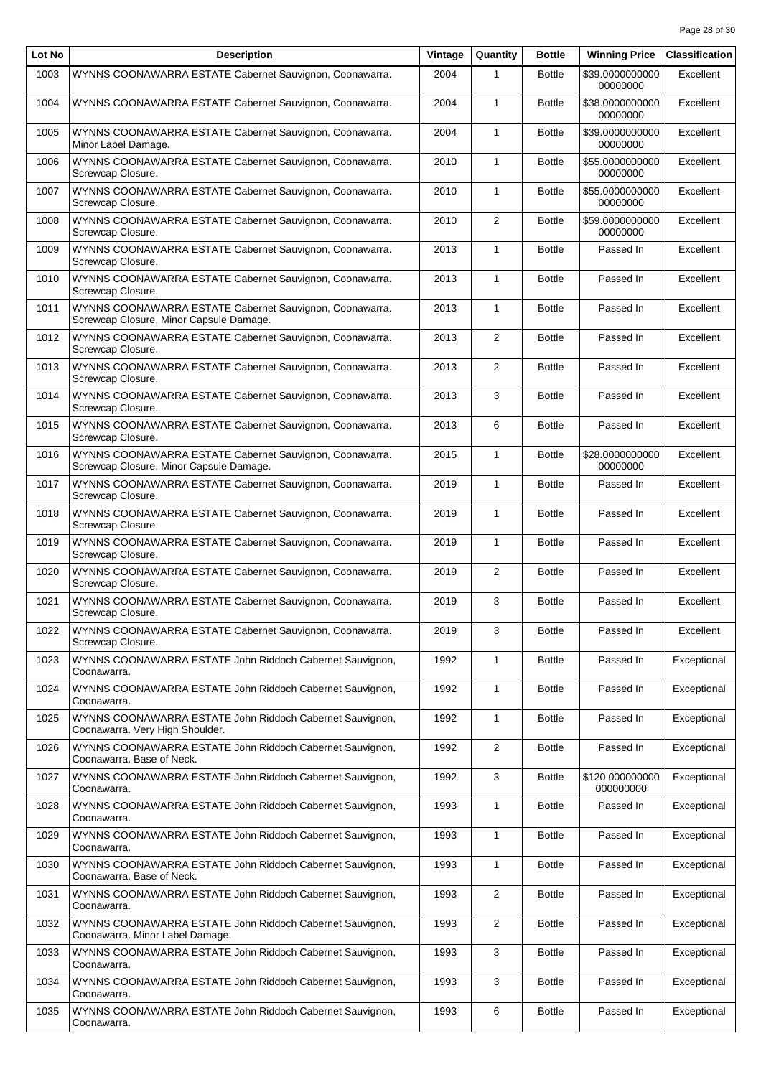| Lot No | <b>Description</b>                                                                                 | Vintage | Quantity       | <b>Bottle</b> | <b>Winning Price</b>         | <b>Classification</b> |
|--------|----------------------------------------------------------------------------------------------------|---------|----------------|---------------|------------------------------|-----------------------|
| 1003   | WYNNS COONAWARRA ESTATE Cabernet Sauvignon, Coonawarra.                                            | 2004    | 1              | <b>Bottle</b> | \$39.0000000000<br>00000000  | Excellent             |
| 1004   | WYNNS COONAWARRA ESTATE Cabernet Sauvignon, Coonawarra.                                            | 2004    | $\mathbf{1}$   | <b>Bottle</b> | \$38.0000000000<br>00000000  | Excellent             |
| 1005   | WYNNS COONAWARRA ESTATE Cabernet Sauvignon, Coonawarra.<br>Minor Label Damage.                     | 2004    | $\mathbf{1}$   | <b>Bottle</b> | \$39.0000000000<br>00000000  | Excellent             |
| 1006   | WYNNS COONAWARRA ESTATE Cabernet Sauvignon, Coonawarra.<br>Screwcap Closure.                       | 2010    | $\mathbf{1}$   | <b>Bottle</b> | \$55.0000000000<br>00000000  | Excellent             |
| 1007   | WYNNS COONAWARRA ESTATE Cabernet Sauvignon, Coonawarra.<br>Screwcap Closure.                       | 2010    | $\mathbf{1}$   | <b>Bottle</b> | \$55.0000000000<br>00000000  | Excellent             |
| 1008   | WYNNS COONAWARRA ESTATE Cabernet Sauvignon, Coonawarra.<br>Screwcap Closure.                       | 2010    | 2              | <b>Bottle</b> | \$59.0000000000<br>00000000  | Excellent             |
| 1009   | WYNNS COONAWARRA ESTATE Cabernet Sauvignon, Coonawarra.<br>Screwcap Closure.                       | 2013    | $\mathbf{1}$   | <b>Bottle</b> | Passed In                    | Excellent             |
| 1010   | WYNNS COONAWARRA ESTATE Cabernet Sauvignon, Coonawarra.<br>Screwcap Closure.                       | 2013    | $\mathbf{1}$   | <b>Bottle</b> | Passed In                    | Excellent             |
| 1011   | WYNNS COONAWARRA ESTATE Cabernet Sauvignon, Coonawarra.<br>Screwcap Closure, Minor Capsule Damage. | 2013    | $\mathbf{1}$   | <b>Bottle</b> | Passed In                    | Excellent             |
| 1012   | WYNNS COONAWARRA ESTATE Cabernet Sauvignon, Coonawarra.<br>Screwcap Closure.                       | 2013    | 2              | <b>Bottle</b> | Passed In                    | Excellent             |
| 1013   | WYNNS COONAWARRA ESTATE Cabernet Sauvignon, Coonawarra.<br>Screwcap Closure.                       | 2013    | 2              | <b>Bottle</b> | Passed In                    | Excellent             |
| 1014   | WYNNS COONAWARRA ESTATE Cabernet Sauvignon, Coonawarra.<br>Screwcap Closure.                       | 2013    | 3              | <b>Bottle</b> | Passed In                    | Excellent             |
| 1015   | WYNNS COONAWARRA ESTATE Cabernet Sauvignon, Coonawarra.<br>Screwcap Closure.                       | 2013    | 6              | <b>Bottle</b> | Passed In                    | Excellent             |
| 1016   | WYNNS COONAWARRA ESTATE Cabernet Sauvignon, Coonawarra.<br>Screwcap Closure, Minor Capsule Damage. | 2015    | $\mathbf{1}$   | <b>Bottle</b> | \$28.0000000000<br>00000000  | Excellent             |
| 1017   | WYNNS COONAWARRA ESTATE Cabernet Sauvignon, Coonawarra.<br>Screwcap Closure.                       | 2019    | $\mathbf{1}$   | <b>Bottle</b> | Passed In                    | Excellent             |
| 1018   | WYNNS COONAWARRA ESTATE Cabernet Sauvignon, Coonawarra.<br>Screwcap Closure.                       | 2019    | $\mathbf{1}$   | <b>Bottle</b> | Passed In                    | Excellent             |
| 1019   | WYNNS COONAWARRA ESTATE Cabernet Sauvignon, Coonawarra.<br>Screwcap Closure.                       | 2019    | $\mathbf{1}$   | <b>Bottle</b> | Passed In                    | Excellent             |
| 1020   | WYNNS COONAWARRA ESTATE Cabernet Sauvignon, Coonawarra.<br>Screwcap Closure.                       | 2019    | 2              | <b>Bottle</b> | Passed In                    | Excellent             |
| 1021   | WYNNS COONAWARRA ESTATE Cabernet Sauvignon, Coonawarra.<br>Screwcap Closure.                       | 2019    | 3              | <b>Bottle</b> | Passed In                    | Excellent             |
| 1022   | WYNNS COONAWARRA ESTATE Cabernet Sauvignon, Coonawarra.<br>Screwcap Closure.                       | 2019    | 3              | <b>Bottle</b> | Passed In                    | Excellent             |
| 1023   | WYNNS COONAWARRA ESTATE John Riddoch Cabernet Sauvignon,<br>Coonawarra.                            | 1992    | 1              | <b>Bottle</b> | Passed In                    | Exceptional           |
| 1024   | WYNNS COONAWARRA ESTATE John Riddoch Cabernet Sauvignon,<br>Coonawarra.                            | 1992    | 1              | <b>Bottle</b> | Passed In                    | Exceptional           |
| 1025   | WYNNS COONAWARRA ESTATE John Riddoch Cabernet Sauvignon,<br>Coonawarra. Very High Shoulder.        | 1992    | 1              | <b>Bottle</b> | Passed In                    | Exceptional           |
| 1026   | WYNNS COONAWARRA ESTATE John Riddoch Cabernet Sauvignon,<br>Coonawarra. Base of Neck.              | 1992    | 2              | <b>Bottle</b> | Passed In                    | Exceptional           |
| 1027   | WYNNS COONAWARRA ESTATE John Riddoch Cabernet Sauvignon,<br>Coonawarra.                            | 1992    | 3              | <b>Bottle</b> | \$120.000000000<br>000000000 | Exceptional           |
| 1028   | WYNNS COONAWARRA ESTATE John Riddoch Cabernet Sauvignon,<br>Coonawarra.                            | 1993    | $\mathbf{1}$   | <b>Bottle</b> | Passed In                    | Exceptional           |
| 1029   | WYNNS COONAWARRA ESTATE John Riddoch Cabernet Sauvignon,<br>Coonawarra.                            | 1993    | 1              | <b>Bottle</b> | Passed In                    | Exceptional           |
| 1030   | WYNNS COONAWARRA ESTATE John Riddoch Cabernet Sauvignon,<br>Coonawarra. Base of Neck.              | 1993    | 1              | <b>Bottle</b> | Passed In                    | Exceptional           |
| 1031   | WYNNS COONAWARRA ESTATE John Riddoch Cabernet Sauvignon,<br>Coonawarra.                            | 1993    | 2              | <b>Bottle</b> | Passed In                    | Exceptional           |
| 1032   | WYNNS COONAWARRA ESTATE John Riddoch Cabernet Sauvignon,<br>Coonawarra. Minor Label Damage.        | 1993    | $\overline{2}$ | <b>Bottle</b> | Passed In                    | Exceptional           |
| 1033   | WYNNS COONAWARRA ESTATE John Riddoch Cabernet Sauvignon,<br>Coonawarra.                            | 1993    | 3              | <b>Bottle</b> | Passed In                    | Exceptional           |
| 1034   | WYNNS COONAWARRA ESTATE John Riddoch Cabernet Sauvignon,<br>Coonawarra.                            | 1993    | 3              | <b>Bottle</b> | Passed In                    | Exceptional           |
| 1035   | WYNNS COONAWARRA ESTATE John Riddoch Cabernet Sauvignon,<br>Coonawarra.                            | 1993    | 6              | <b>Bottle</b> | Passed In                    | Exceptional           |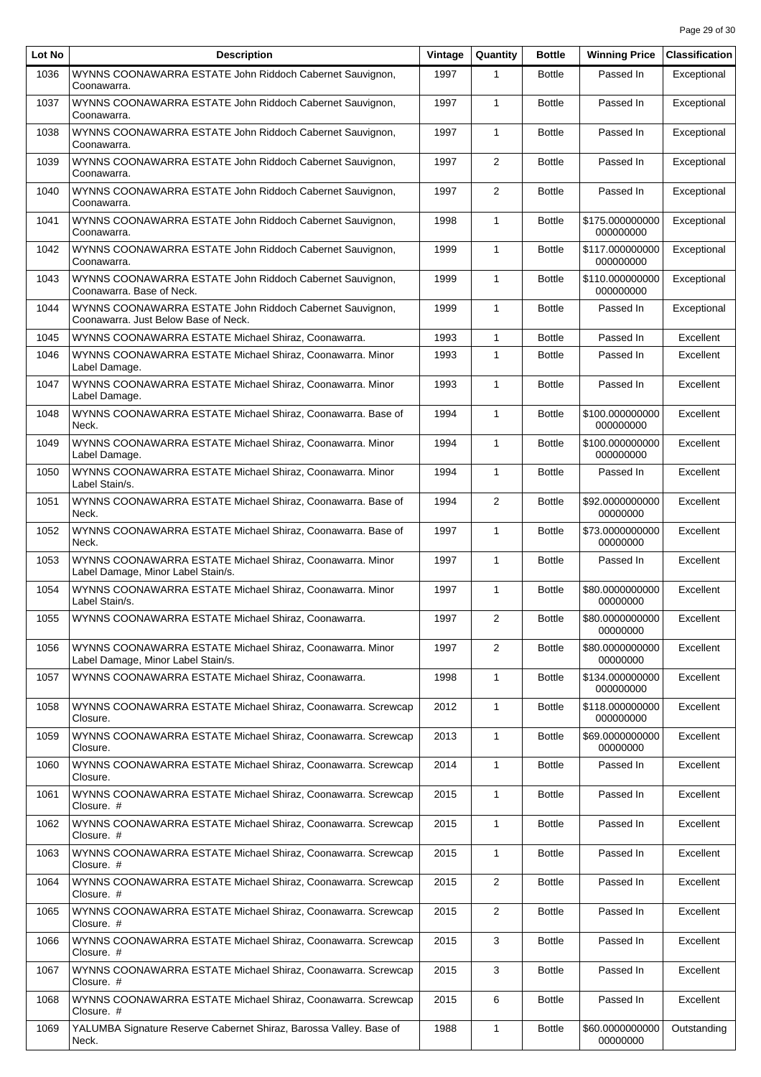| Lot No | <b>Description</b>                                                                               | Vintage | Quantity       | Bottle        | <b>Winning Price</b>         | <b>Classification</b> |
|--------|--------------------------------------------------------------------------------------------------|---------|----------------|---------------|------------------------------|-----------------------|
| 1036   | WYNNS COONAWARRA ESTATE John Riddoch Cabernet Sauvignon,<br>Coonawarra.                          | 1997    | 1              | <b>Bottle</b> | Passed In                    | Exceptional           |
| 1037   | WYNNS COONAWARRA ESTATE John Riddoch Cabernet Sauvignon,<br>Coonawarra.                          | 1997    | $\mathbf{1}$   | <b>Bottle</b> | Passed In                    | Exceptional           |
| 1038   | WYNNS COONAWARRA ESTATE John Riddoch Cabernet Sauvignon,<br>Coonawarra.                          | 1997    | $\mathbf{1}$   | <b>Bottle</b> | Passed In                    | Exceptional           |
| 1039   | WYNNS COONAWARRA ESTATE John Riddoch Cabernet Sauvignon,<br>Coonawarra.                          | 1997    | 2              | <b>Bottle</b> | Passed In                    | Exceptional           |
| 1040   | WYNNS COONAWARRA ESTATE John Riddoch Cabernet Sauvignon,<br>Coonawarra.                          | 1997    | 2              | <b>Bottle</b> | Passed In                    | Exceptional           |
| 1041   | WYNNS COONAWARRA ESTATE John Riddoch Cabernet Sauvignon.<br>Coonawarra.                          | 1998    | $\mathbf{1}$   | <b>Bottle</b> | \$175.000000000<br>000000000 | Exceptional           |
| 1042   | WYNNS COONAWARRA ESTATE John Riddoch Cabernet Sauvignon,<br>Coonawarra.                          | 1999    | $\mathbf{1}$   | <b>Bottle</b> | \$117.000000000<br>000000000 | Exceptional           |
| 1043   | WYNNS COONAWARRA ESTATE John Riddoch Cabernet Sauvignon,<br>Coonawarra. Base of Neck.            | 1999    | $\mathbf{1}$   | <b>Bottle</b> | \$110.000000000<br>000000000 | Exceptional           |
| 1044   | WYNNS COONAWARRA ESTATE John Riddoch Cabernet Sauvignon,<br>Coonawarra. Just Below Base of Neck. | 1999    | $\mathbf{1}$   | <b>Bottle</b> | Passed In                    | Exceptional           |
| 1045   | WYNNS COONAWARRA ESTATE Michael Shiraz, Coonawarra.                                              | 1993    | 1              | <b>Bottle</b> | Passed In                    | Excellent             |
| 1046   | WYNNS COONAWARRA ESTATE Michael Shiraz, Coonawarra. Minor<br>Label Damage.                       | 1993    | $\mathbf{1}$   | <b>Bottle</b> | Passed In                    | Excellent             |
| 1047   | WYNNS COONAWARRA ESTATE Michael Shiraz, Coonawarra. Minor<br>Label Damage.                       | 1993    | $\mathbf{1}$   | <b>Bottle</b> | Passed In                    | Excellent             |
| 1048   | WYNNS COONAWARRA ESTATE Michael Shiraz, Coonawarra. Base of<br>Neck.                             | 1994    | $\mathbf{1}$   | <b>Bottle</b> | \$100.000000000<br>000000000 | Excellent             |
| 1049   | WYNNS COONAWARRA ESTATE Michael Shiraz, Coonawarra. Minor<br>Label Damage.                       | 1994    | $\mathbf{1}$   | <b>Bottle</b> | \$100.000000000<br>000000000 | Excellent             |
| 1050   | WYNNS COONAWARRA ESTATE Michael Shiraz, Coonawarra. Minor<br>Label Stain/s.                      | 1994    | $\mathbf{1}$   | <b>Bottle</b> | Passed In                    | Excellent             |
| 1051   | WYNNS COONAWARRA ESTATE Michael Shiraz, Coonawarra. Base of<br>Neck.                             | 1994    | 2              | <b>Bottle</b> | \$92.0000000000<br>00000000  | Excellent             |
| 1052   | WYNNS COONAWARRA ESTATE Michael Shiraz, Coonawarra. Base of<br>Neck.                             | 1997    | $\mathbf{1}$   | <b>Bottle</b> | \$73.0000000000<br>00000000  | Excellent             |
| 1053   | WYNNS COONAWARRA ESTATE Michael Shiraz, Coonawarra. Minor<br>Label Damage, Minor Label Stain/s.  | 1997    | $\mathbf{1}$   | <b>Bottle</b> | Passed In                    | Excellent             |
| 1054   | WYNNS COONAWARRA ESTATE Michael Shiraz, Coonawarra. Minor<br>Label Stain/s.                      | 1997    | $\mathbf{1}$   | <b>Bottle</b> | \$80.0000000000<br>00000000  | Excellent             |
| 1055   | WYNNS COONAWARRA ESTATE Michael Shiraz, Coonawarra.                                              | 1997    | $\overline{2}$ | <b>Bottle</b> | \$80.0000000000<br>00000000  | Excellent             |
| 1056   | WYNNS COONAWARRA ESTATE Michael Shiraz, Coonawarra. Minor<br>Label Damage, Minor Label Stain/s.  | 1997    | 2              | <b>Bottle</b> | \$80.0000000000<br>00000000  | Excellent             |
| 1057   | WYNNS COONAWARRA ESTATE Michael Shiraz, Coonawarra.                                              | 1998    | $\mathbf{1}$   | <b>Bottle</b> | \$134.000000000<br>000000000 | Excellent             |
| 1058   | WYNNS COONAWARRA ESTATE Michael Shiraz, Coonawarra. Screwcap<br>Closure.                         | 2012    | $\mathbf{1}$   | <b>Bottle</b> | \$118.000000000<br>000000000 | Excellent             |
| 1059   | WYNNS COONAWARRA ESTATE Michael Shiraz, Coonawarra. Screwcap<br>Closure.                         | 2013    | $\mathbf{1}$   | <b>Bottle</b> | \$69.0000000000<br>00000000  | Excellent             |
| 1060   | WYNNS COONAWARRA ESTATE Michael Shiraz, Coonawarra. Screwcap<br>Closure.                         | 2014    | $\mathbf{1}$   | <b>Bottle</b> | Passed In                    | Excellent             |
| 1061   | WYNNS COONAWARRA ESTATE Michael Shiraz, Coonawarra. Screwcap<br>Closure. #                       | 2015    | $\mathbf{1}$   | <b>Bottle</b> | Passed In                    | Excellent             |
| 1062   | WYNNS COONAWARRA ESTATE Michael Shiraz, Coonawarra. Screwcap<br>Closure. #                       | 2015    | $\mathbf{1}$   | <b>Bottle</b> | Passed In                    | Excellent             |
| 1063   | WYNNS COONAWARRA ESTATE Michael Shiraz, Coonawarra. Screwcap<br>Closure. #                       | 2015    | $\mathbf{1}$   | <b>Bottle</b> | Passed In                    | Excellent             |
| 1064   | WYNNS COONAWARRA ESTATE Michael Shiraz, Coonawarra. Screwcap<br>Closure. #                       | 2015    | 2              | <b>Bottle</b> | Passed In                    | Excellent             |
| 1065   | WYNNS COONAWARRA ESTATE Michael Shiraz, Coonawarra. Screwcap<br>Closure. #                       | 2015    | $\overline{2}$ | <b>Bottle</b> | Passed In                    | Excellent             |
| 1066   | WYNNS COONAWARRA ESTATE Michael Shiraz, Coonawarra. Screwcap<br>Closure. #                       | 2015    | 3              | <b>Bottle</b> | Passed In                    | Excellent             |
| 1067   | WYNNS COONAWARRA ESTATE Michael Shiraz, Coonawarra. Screwcap<br>Closure. #                       | 2015    | 3              | <b>Bottle</b> | Passed In                    | Excellent             |
| 1068   | WYNNS COONAWARRA ESTATE Michael Shiraz, Coonawarra. Screwcap<br>Closure. #                       | 2015    | 6              | <b>Bottle</b> | Passed In                    | Excellent             |
| 1069   | YALUMBA Signature Reserve Cabernet Shiraz, Barossa Valley. Base of<br>Neck.                      | 1988    | $\mathbf{1}$   | <b>Bottle</b> | \$60.0000000000<br>00000000  | Outstanding           |